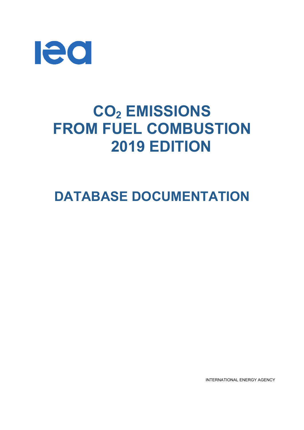

# **CO2 EMISSIONS FROM FUEL COMBUSTION 2019 EDITION**

## **DATABASE DOCUMENTATION**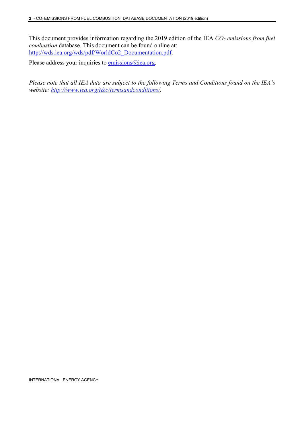This document provides information regarding the 2019 edition of the IEA *CO<sub>2</sub> emissions from fuel combustion* database. This document can be found online at: http://wds.iea.org/wds/pdf/WorldCo2\_Documentation.pdf.

Please address your inquiries to **emissions@iea.org**.

*Please note that all IEA data are subject to the following Terms and Conditions found on the IEA's website: http://www.iea.org/t&c/termsandconditions/.*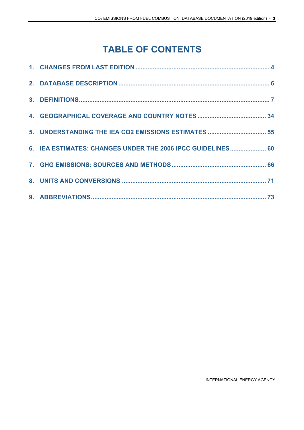## **TABLE OF CONTENTS**

| 5. UNDERSTANDING THE IEA CO2 EMISSIONS ESTIMATES  55        |  |
|-------------------------------------------------------------|--|
| 6. IEA ESTIMATES: CHANGES UNDER THE 2006 IPCC GUIDELINES 60 |  |
|                                                             |  |
|                                                             |  |
|                                                             |  |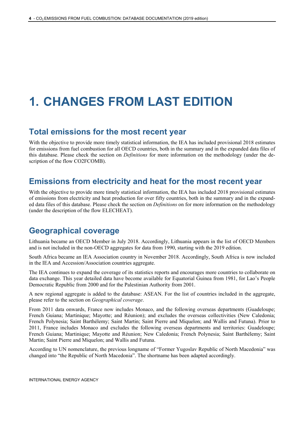## **1. CHANGES FROM LAST EDITION**

## **Total emissions for the most recent year**

With the objective to provide more timely statistical information, the IEA has included provisional 2018 estimates for emissions from fuel combustion for all OECD countries, both in the summary and in the expanded data files of this database. Please check the section on *Definitions* for more information on the methodology (under the description of the flow CO2FCOMB).

#### **Emissions from electricity and heat for the most recent year**

With the objective to provide more timely statistical information, the IEA has included 2018 provisional estimates of emissions from electricity and heat production for over fifty countries, both in the summary and in the expanded data files of this database. Please check the section on *Definitions* on for more information on the methodology (under the description of the flow ELECHEAT).

#### **Geographical coverage**

Lithuania became an OECD Member in July 2018. Accordingly, Lithuania appears in the list of OECD Members and is not included in the non-OECD aggregates for data from 1990, starting with the 2019 edition.

South Africa became an IEA Association country in November 2018. Accordingly, South Africa is now included in the IEA and Accession/Association countries aggregate.

The IEA continues to expand the coverage of its statistics reports and encourages more countries to collaborate on data exchange. This year detailed data have become available for Equatorial Guinea from 1981, for Lao's People Democratic Republic from 2000 and for the Palestinian Authority from 2001.

A new regional aggregate is added to the database: ASEAN. For the list of countries included in the aggregate, please refer to the section on *Geographical coverage*.

From 2011 data onwards, France now includes Monaco, and the following overseas departments (Guadeloupe; French Guiana; Martinique; Mayotte; and Réunion); and excludes the overseas collectivities (New Caledonia; French Polynesia; Saint Barthélemy; Saint Martin; Saint Pierre and Miquelon; and Wallis and Futuna). Prior to 2011, France includes Monaco and excludes the following overseas departments and territories: Guadeloupe; French Guiana; Martinique; Mayotte and Réunion; New Caledonia; French Polynesia; Saint Barthélemy; Saint Martin; Saint Pierre and Miquelon; and Wallis and Futuna.

According to UN nomenclature, the previous longname of "Former Yugoslav Republic of North Macedonia" was changed into "the Republic of North Macedonia". The shortname has been adapted accordingly.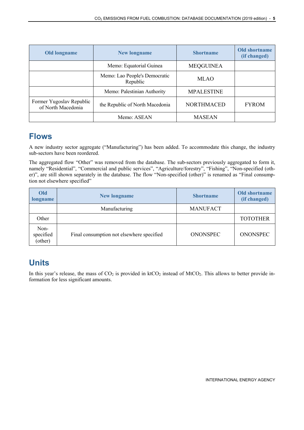| <b>Old longname</b>                            | <b>New longname</b>                       | <b>Shortname</b>  | <b>Old shortname</b><br>(if changed) |
|------------------------------------------------|-------------------------------------------|-------------------|--------------------------------------|
|                                                | Memo: Equatorial Guinea                   | <b>MEQGUINEA</b>  |                                      |
|                                                | Memo: Lao People's Democratic<br>Republic | MLAO              |                                      |
|                                                | Memo: Palestinian Authority               | <b>MPALESTINE</b> |                                      |
| Former Yugoslav Republic<br>of North Macedonia | the Republic of North Macedonia           | <b>NORTHMACED</b> | <b>FYROM</b>                         |
|                                                | Memo: ASEAN                               | <b>MASEAN</b>     |                                      |

#### **Flows**

A new industry sector aggregate ("Manufacturing") has been added. To accommodate this change, the industry sub-sectors have been reordered.

The aggregated flow "Other" was removed from the database. The sub-sectors previously aggregated to form it, namely "Residential", "Commercial and public services", "Agriculture/forestry", "Fishing", "Non-specified (other)", are still shown separately in the database. The flow "Non-specified (other)" is renamed as "Final consumption not elsewhere specified"

| Old<br>longname              | <b>New longname</b>                       | <b>Shortname</b> | Old shortname<br>(if changed) |
|------------------------------|-------------------------------------------|------------------|-------------------------------|
|                              | Manufacturing                             | <b>MANUFACT</b>  |                               |
| Other                        |                                           |                  | <b>TOTOTHER</b>               |
| Non-<br>specified<br>(other) | Final consumption not elsewhere specified | <b>ONONSPEC</b>  | <b>ONONSPEC</b>               |

## **Units**

In this year's release, the mass of  $CO<sub>2</sub>$  is provided in ktCO<sub>2</sub> instead of MtCO<sub>2</sub>. This allows to better provide information for less significant amounts.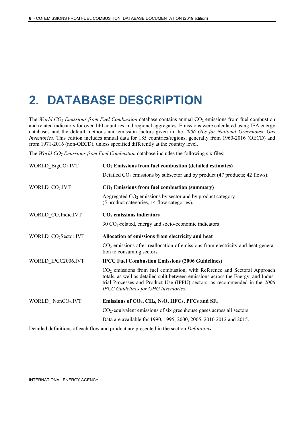## **2. DATABASE DESCRIPTION**

The *World* CO<sub>2</sub> Emissions from Fuel Combustion database contains annual CO<sub>2</sub> emissions from fuel combustion and related indicators for over 140 countries and regional aggregates. Emissions were calculated using IEA energy databases and the default methods and emission factors given in the *2006 GLs for National Greenhouse Gas Inventories*. This edition includes annual data for 185 countries/regions, generally from 1960-2016 (OECD) and from 1971-2016 (non-OECD), unless specified differently at the country level.

The *World CO2 Emissions from Fuel Combustion* database includes the following six files:

| WORLD BigCO <sub>2</sub> .IVT    | $CO2$ Emissions from fuel combustion (detailed estimates)                                                                                                                                                                                                                                    |
|----------------------------------|----------------------------------------------------------------------------------------------------------------------------------------------------------------------------------------------------------------------------------------------------------------------------------------------|
|                                  | Detailed $CO2$ emissions by subsector and by product (47 products; 42 flows).                                                                                                                                                                                                                |
| WORLD $CO2$ . IVT                | $CO2$ Emissions from fuel combustion (summary)                                                                                                                                                                                                                                               |
|                                  | Aggregated $CO2$ emissions by sector and by product category<br>(5 product categories, 14 flow categories).                                                                                                                                                                                  |
| WORLD CO <sub>2</sub> Indic.IVT  | $CO2$ emissions indicators                                                                                                                                                                                                                                                                   |
|                                  | $30 \text{ CO}_2$ -related, energy and socio-economic indicators                                                                                                                                                                                                                             |
| WORLD_CO <sub>2</sub> Sector.IVT | Allocation of emissions from electricity and heat                                                                                                                                                                                                                                            |
|                                  | $CO2$ emissions after reallocation of emissions from electricity and heat genera-<br>tion to consuming sectors.                                                                                                                                                                              |
| WORLD_IPCC2006.IVT               | <b>IPCC Fuel Combustion Emissions (2006 Guidelines)</b>                                                                                                                                                                                                                                      |
|                                  | $CO2$ emissions from fuel combustion, with Reference and Sectoral Approach<br>totals, as well as detailed split between emissions across the Energy, and Indus-<br>trial Processes and Product Use (IPPU) sectors, as recommended in the 2006<br><b>IPCC</b> Guidelines for GHG inventories. |
| WORLD NonCO2.IVT                 | Emissions of $CO_2$ , CH <sub>4</sub> , N <sub>2</sub> O, HFCs, PFCs and SF <sub>6</sub>                                                                                                                                                                                                     |
|                                  | $CO2$ -equivalent emissions of six greenhouse gases across all sectors.                                                                                                                                                                                                                      |
|                                  | Data are available for 1990, 1995, 2000, 2005, 2010 2012 and 2015.                                                                                                                                                                                                                           |
|                                  |                                                                                                                                                                                                                                                                                              |

Detailed definitions of each flow and product are presented in the section *Definitions*.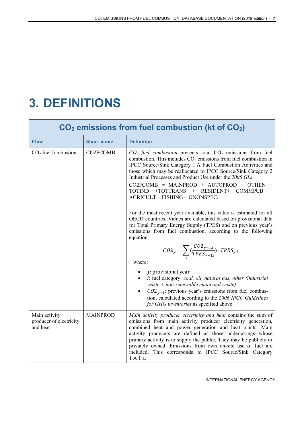## **3. DEFINITIONS**

| $CO2$ emissions from fuel combustion (kt of $CO2$ )  |                   |                                                                                                                                                                                                                                                                                                                                                                                                                                                                       |  |
|------------------------------------------------------|-------------------|-----------------------------------------------------------------------------------------------------------------------------------------------------------------------------------------------------------------------------------------------------------------------------------------------------------------------------------------------------------------------------------------------------------------------------------------------------------------------|--|
| <b>Flow</b>                                          | <b>Short name</b> | <b>Definition</b>                                                                                                                                                                                                                                                                                                                                                                                                                                                     |  |
| $CO2$ fuel fombustion                                | CO2FCOMB          | $CO2$ fuel combustion presents total $CO2$ emissions from fuel<br>combustion. This includes $CO2$ emissions from fuel combustion in<br>IPCC Source/Sink Category 1 A Fuel Combustion Activities and<br>those which may be reallocated to IPCC Source/Sink Category 2<br>Industrial Processes and Product Use under the 2006 GLs.<br>$CO2FCOMB = MANPROD + AUTOPROD + OTHER +$<br>TOTIND +TOTTRANS + RESIDENT+ COMMPUB<br>$+$<br>AGRICULT + FISHING + ONONSPEC.        |  |
|                                                      |                   | For the most recent year available, this value is estimated for all<br>OECD countries. Values are calculated based on provisional data<br>for Total Primary Energy Supply (TPES) and on previous year's<br>emissions from fuel combustion, according to the following<br>equation:<br>$CO2_y = \sum_{i} \left( \frac{CO2_{y-1,i}}{TPES_{y-1,i}} \right) \cdot TPES_{y,i}$                                                                                             |  |
|                                                      |                   | where:                                                                                                                                                                                                                                                                                                                                                                                                                                                                |  |
|                                                      |                   | y: provisional year<br>٠<br>i: fuel category: coal, oil, natural gas, other (industrial<br>$\bullet$<br>$waste + non-renewable municipal waste)$<br>$CO2_{v-1}$ : previous year's emissions from fuel combus-<br>$\bullet$<br>tion, calculated according to the 2006 IPCC Guidelines<br>for GHG inventories as specified above.                                                                                                                                       |  |
| Main activity<br>producer of electricity<br>and heat | <b>MAINPROD</b>   | Main activity producer electricity and heat contains the sum of<br>emissions from main activity producer electricity generation,<br>combined heat and power generation and heat plants. Main<br>activity producers are defined as those undertakings whose<br>primary activity is to supply the public. They may be publicly or<br>privately owned. Emissions from own on-site use of fuel are<br>included. This corresponds to IPCC Source/Sink Category<br>1 A 1 a. |  |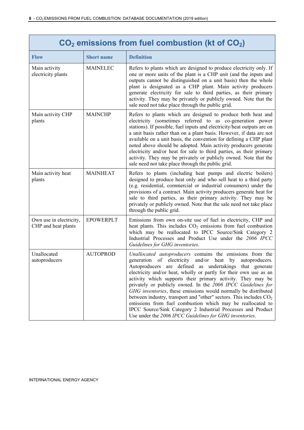| $CO2$ emissions from fuel combustion (kt of $CO2$ ) |                   |                                                                                                                                                                                                                                                                                                                                                                                                                                                                                                                                                                                                                                                                                                                              |
|-----------------------------------------------------|-------------------|------------------------------------------------------------------------------------------------------------------------------------------------------------------------------------------------------------------------------------------------------------------------------------------------------------------------------------------------------------------------------------------------------------------------------------------------------------------------------------------------------------------------------------------------------------------------------------------------------------------------------------------------------------------------------------------------------------------------------|
| <b>Flow</b>                                         | <b>Short name</b> | <b>Definition</b>                                                                                                                                                                                                                                                                                                                                                                                                                                                                                                                                                                                                                                                                                                            |
| Main activity<br>electricity plants                 | <b>MAINELEC</b>   | Refers to plants which are designed to produce electricity only. If<br>one or more units of the plant is a CHP unit (and the inputs and<br>outputs cannot be distinguished on a unit basis) then the whole<br>plant is designated as a CHP plant. Main activity producers<br>generate electricity for sale to third parties, as their primary<br>activity. They may be privately or publicly owned. Note that the<br>sale need not take place through the public grid.                                                                                                                                                                                                                                                       |
| Main activity CHP<br>plants                         | <b>MAINCHP</b>    | Refers to plants which are designed to produce both heat and<br>electricity (sometimes referred to as co-generation power<br>stations). If possible, fuel inputs and electricity/heat outputs are on<br>a unit basis rather than on a plant basis. However, if data are not<br>available on a unit basis, the convention for defining a CHP plant<br>noted above should be adopted. Main activity producers generate<br>electricity and/or heat for sale to third parties, as their primary<br>activity. They may be privately or publicly owned. Note that the<br>sale need not take place through the public grid.                                                                                                         |
| Main activity heat<br>plants                        | <b>MAINHEAT</b>   | Refers to plants (including heat pumps and electric boilers)<br>designed to produce heat only and who sell heat to a third party<br>(e.g. residential, commercial or industrial consumers) under the<br>provisions of a contract. Main activity producers generate heat for<br>sale to third parties, as their primary activity. They may be<br>privately or publicly owned. Note that the sale need not take place<br>through the public grid.                                                                                                                                                                                                                                                                              |
| Own use in electricity,<br>CHP and heat plants      | <b>EPOWERPLT</b>  | Emissions from own on-site use of fuel in electricity, CHP and<br>heat plants. This includes $CO2$ emissions from fuel combustion<br>which may be reallocated to IPCC Source/Sink Category 2<br>Industrial Processes and Product Use under the 2006 IPCC<br>Guidelines for GHG inventories.                                                                                                                                                                                                                                                                                                                                                                                                                                  |
| Unallocated<br>autoproducers                        | <b>AUTOPROD</b>   | Unallocated autoproducers contains the emissions from the<br>generation of electricity and/or heat<br>by<br>autoproducers.<br>Autoproducers are defined as undertakings that generate<br>electricity and/or heat, wholly or partly for their own use as an<br>activity which supports their primary activity. They may be<br>privately or publicly owned. In the 2006 IPCC Guidelines for<br>GHG inventories, these emissions would normally be distributed<br>between industry, transport and "other" sectors. This includes $CO2$<br>emissions from fuel combustion which may be reallocated to<br>IPCC Source/Sink Category 2 Industrial Processes and Product<br>Use under the 2006 IPCC Guidelines for GHG inventories. |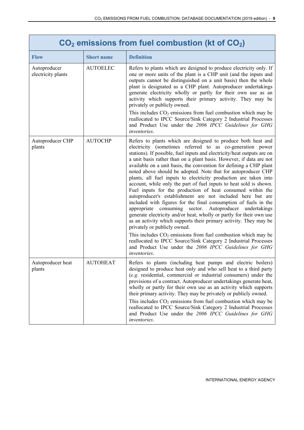| $CO2$ emissions from fuel combustion (kt of $CO2$ ) |                   |                                                                                                                                                                                                                                                                                                                                                                                                                                                                                                                                                                                                                                                                                                                                                                                                                                                                                                                                                                                                                                                                                                                                                                                                                        |  |
|-----------------------------------------------------|-------------------|------------------------------------------------------------------------------------------------------------------------------------------------------------------------------------------------------------------------------------------------------------------------------------------------------------------------------------------------------------------------------------------------------------------------------------------------------------------------------------------------------------------------------------------------------------------------------------------------------------------------------------------------------------------------------------------------------------------------------------------------------------------------------------------------------------------------------------------------------------------------------------------------------------------------------------------------------------------------------------------------------------------------------------------------------------------------------------------------------------------------------------------------------------------------------------------------------------------------|--|
| <b>Flow</b>                                         | <b>Short name</b> | <b>Definition</b>                                                                                                                                                                                                                                                                                                                                                                                                                                                                                                                                                                                                                                                                                                                                                                                                                                                                                                                                                                                                                                                                                                                                                                                                      |  |
| Autoproducer<br>electricity plants                  | <b>AUTOELEC</b>   | Refers to plants which are designed to produce electricity only. If<br>one or more units of the plant is a CHP unit (and the inputs and<br>outputs cannot be distinguished on a unit basis) then the whole<br>plant is designated as a CHP plant. Autoproducer undertakings<br>generate electricity wholly or partly for their own use as an<br>activity which supports their primary activity. They may be<br>privately or publicly owned.<br>This includes $CO2$ emissions from fuel combustion which may be<br>reallocated to IPCC Source/Sink Category 2 Industrial Processes<br>and Product Use under the 2006 IPCC Guidelines for GHG<br><i>inventories.</i>                                                                                                                                                                                                                                                                                                                                                                                                                                                                                                                                                     |  |
| Autoproducer CHP<br>plants                          | <b>AUTOCHP</b>    | Refers to plants which are designed to produce both heat and<br>electricity (sometimes referred to as co-generation power<br>stations). If possible, fuel inputs and electricity/heat outputs are on<br>a unit basis rather than on a plant basis. However, if data are not<br>available on a unit basis, the convention for defining a CHP plant<br>noted above should be adopted. Note that for autoproducer CHP<br>plants, all fuel inputs to electricity production are taken into<br>account, while only the part of fuel inputs to heat sold is shown.<br>Fuel inputs for the production of heat consumed within the<br>autoproducer's establishment are not included here but are<br>included with figures for the final consumption of fuels in the<br>appropriate consuming<br>sector. Autoproducer undertakings<br>generate electricity and/or heat, wholly or partly for their own use<br>as an activity which supports their primary activity. They may be<br>privately or publicly owned.<br>This includes $CO2$ emissions from fuel combustion which may be<br>reallocated to IPCC Source/Sink Category 2 Industrial Processes<br>and Product Use under the 2006 IPCC Guidelines for GHG<br>inventories. |  |
| Autoproducer heat<br>plants                         | <b>AUTOHEAT</b>   | Refers to plants (including heat pumps and electric boilers)<br>designed to produce heat only and who sell heat to a third party<br>(e.g. residential, commercial or industrial consumers) under the<br>provisions of a contract. Autoproducer undertakings generate heat,<br>wholly or partly for their own use as an activity which supports<br>their primary activity. They may be privately or publicly owned.<br>This includes $CO2$ emissions from fuel combustion which may be<br>reallocated to IPCC Source/Sink Category 2 Industrial Processes<br>and Product Use under the 2006 IPCC Guidelines for GHG<br><i>inventories.</i>                                                                                                                                                                                                                                                                                                                                                                                                                                                                                                                                                                              |  |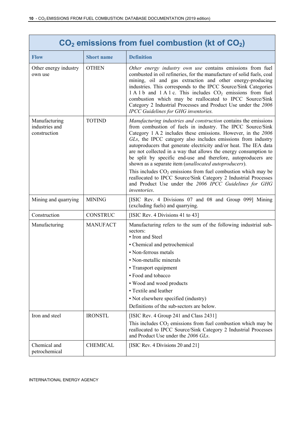| $CO2$ emissions from fuel combustion (kt of $CO2$ ) |                   |                                                                                                                                                                                                                                                                                                                                                                                                                                                                                                                                    |  |
|-----------------------------------------------------|-------------------|------------------------------------------------------------------------------------------------------------------------------------------------------------------------------------------------------------------------------------------------------------------------------------------------------------------------------------------------------------------------------------------------------------------------------------------------------------------------------------------------------------------------------------|--|
| <b>Flow</b>                                         | <b>Short name</b> | <b>Definition</b>                                                                                                                                                                                                                                                                                                                                                                                                                                                                                                                  |  |
| Other energy industry<br>own use                    | <b>OTHEN</b>      | Other energy industry own use contains emissions from fuel<br>combusted in oil refineries, for the manufacture of solid fuels, coal<br>mining, oil and gas extraction and other energy-producing<br>industries. This corresponds to the IPCC Source/Sink Categories<br>$1 A 1 b$ and $1 A 1 c$ . This includes $CO2$ emissions from fuel<br>combustion which may be reallocated to IPCC Source/Sink<br>Category 2 Industrial Processes and Product Use under the 2006<br>IPCC Guidelines for GHG inventories.                      |  |
| Manufacturing<br>industries and<br>construction     | <b>TOTIND</b>     | Manufacturing industries and construction contains the emissions<br>from combustion of fuels in industry. The IPCC Source/Sink<br>Category 1 A 2 includes these emissions. However, in the 2006<br>GLs, the IPCC category also includes emissions from industry<br>autoproducers that generate electricity and/or heat. The IEA data<br>are not collected in a way that allows the energy consumption to<br>be split by specific end-use and therefore, autoproducers are<br>shown as a separate item (unallocated autoproducers). |  |
|                                                     |                   | This includes $CO2$ emissions from fuel combustion which may be<br>reallocated to IPCC Source/Sink Category 2 Industrial Processes<br>and Product Use under the 2006 IPCC Guidelines for GHG<br>inventories.                                                                                                                                                                                                                                                                                                                       |  |
| Mining and quarrying                                | <b>MINING</b>     | [ISIC Rev. 4 Divisions 07 and 08 and Group 099] Mining<br>(excluding fuels) and quarrying.                                                                                                                                                                                                                                                                                                                                                                                                                                         |  |
| Construction                                        | <b>CONSTRUC</b>   | [ISIC Rev. 4 Divisions 41 to 43]                                                                                                                                                                                                                                                                                                                                                                                                                                                                                                   |  |
| Manufacturing                                       | <b>MANUFACT</b>   | Manufacturing refers to the sum of the following industrial sub-<br>sectors:<br>• Iron and Steel<br>• Chemical and petrochemical<br>• Non-ferrous metals<br>• Non-metallic minerals<br>• Transport equipment<br>• Food and tobacco<br>• Wood and wood products<br>• Textile and leather<br>• Not elsewhere specified (industry)<br>Definitions of the sub-sectors are below.                                                                                                                                                       |  |
| Iron and steel                                      | <b>IRONSTL</b>    | [ISIC Rev. 4 Group 241 and Class 2431]<br>This includes $CO2$ emissions from fuel combustion which may be<br>reallocated to IPCC Source/Sink Category 2 Industrial Processes<br>and Product Use under the 2006 GLs.                                                                                                                                                                                                                                                                                                                |  |
| Chemical and<br>petrochemical                       | <b>CHEMICAL</b>   | [ISIC Rev. 4 Divisions 20 and 21]                                                                                                                                                                                                                                                                                                                                                                                                                                                                                                  |  |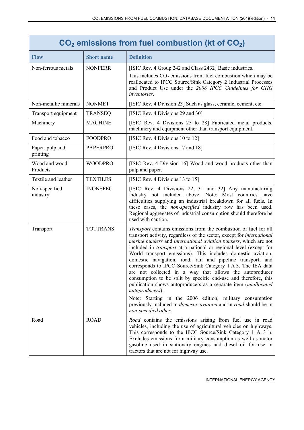| $CO2$ emissions from fuel combustion (kt of $CO2$ ) |                   |                                                                                                                                                                                                                                                                                                                                                                                                                                                                                                                                                                                                                                                                                                                                                                                                                                                                                             |  |
|-----------------------------------------------------|-------------------|---------------------------------------------------------------------------------------------------------------------------------------------------------------------------------------------------------------------------------------------------------------------------------------------------------------------------------------------------------------------------------------------------------------------------------------------------------------------------------------------------------------------------------------------------------------------------------------------------------------------------------------------------------------------------------------------------------------------------------------------------------------------------------------------------------------------------------------------------------------------------------------------|--|
| <b>Flow</b>                                         | <b>Short name</b> | <b>Definition</b>                                                                                                                                                                                                                                                                                                                                                                                                                                                                                                                                                                                                                                                                                                                                                                                                                                                                           |  |
| Non-ferrous metals                                  | <b>NONFERR</b>    | [ISIC Rev. 4 Group 242 and Class 2432] Basic industries.                                                                                                                                                                                                                                                                                                                                                                                                                                                                                                                                                                                                                                                                                                                                                                                                                                    |  |
|                                                     |                   | This includes $CO2$ emissions from fuel combustion which may be<br>reallocated to IPCC Source/Sink Category 2 Industrial Processes<br>and Product Use under the 2006 IPCC Guidelines for GHG<br><i>inventories.</i>                                                                                                                                                                                                                                                                                                                                                                                                                                                                                                                                                                                                                                                                         |  |
| Non-metallic minerals                               | <b>NONMET</b>     | [ISIC Rev. 4 Division 23] Such as glass, ceramic, cement, etc.                                                                                                                                                                                                                                                                                                                                                                                                                                                                                                                                                                                                                                                                                                                                                                                                                              |  |
| Transport equipment                                 | <b>TRANSEQ</b>    | [ISIC Rev. 4 Divisions 29 and 30]                                                                                                                                                                                                                                                                                                                                                                                                                                                                                                                                                                                                                                                                                                                                                                                                                                                           |  |
| Machinery                                           | <b>MACHINE</b>    | [ISIC Rev. 4 Divisions 25 to 28] Fabricated metal products,<br>machinery and equipment other than transport equipment.                                                                                                                                                                                                                                                                                                                                                                                                                                                                                                                                                                                                                                                                                                                                                                      |  |
| Food and tobacco                                    | <b>FOODPRO</b>    | [ISIC Rev. 4 Divisions 10 to 12]                                                                                                                                                                                                                                                                                                                                                                                                                                                                                                                                                                                                                                                                                                                                                                                                                                                            |  |
| Paper, pulp and<br>printing                         | <b>PAPERPRO</b>   | [ISIC Rev. 4 Divisions 17 and 18]                                                                                                                                                                                                                                                                                                                                                                                                                                                                                                                                                                                                                                                                                                                                                                                                                                                           |  |
| Wood and wood<br>Products                           | <b>WOODPRO</b>    | [ISIC Rev. 4 Division 16] Wood and wood products other than<br>pulp and paper.                                                                                                                                                                                                                                                                                                                                                                                                                                                                                                                                                                                                                                                                                                                                                                                                              |  |
| Textile and leather                                 | <b>TEXTILES</b>   | [ISIC Rev. 4 Divisions 13 to 15]                                                                                                                                                                                                                                                                                                                                                                                                                                                                                                                                                                                                                                                                                                                                                                                                                                                            |  |
| Non-specified<br>industry                           | <b>INONSPEC</b>   | [ISIC Rev. 4 Divisions 22, 31 and 32] Any manufacturing<br>industry not included above. Note: Most countries have<br>difficulties supplying an industrial breakdown for all fuels. In<br>these cases, the <i>non-specified</i> industry row has been used.<br>Regional aggregates of industrial consumption should therefore be<br>used with caution.                                                                                                                                                                                                                                                                                                                                                                                                                                                                                                                                       |  |
| Transport                                           | <b>TOTTRANS</b>   | Transport contains emissions from the combustion of fuel for all<br>transport activity, regardless of the sector, except for <i>international</i><br>marine bunkers and international aviation bunkers, which are not<br>included in <i>transport</i> at a national or regional level (except for<br>World transport emissions). This includes domestic aviation,<br>domestic navigation, road, rail and pipeline transport, and<br>corresponds to IPCC Source/Sink Category 1 A 3. The IEA data<br>are not collected in a way that allows the autoproducer<br>consumption to be split by specific end-use and therefore, this<br>publication shows autoproducers as a separate item (unallocated<br>autoproducers).<br>Note: Starting in the 2006 edition, military consumption<br>previously included in <i>domestic aviation</i> and in <i>road</i> should be in<br>non-specified other. |  |
| Road                                                | <b>ROAD</b>       | Road contains the emissions arising from fuel use in road<br>vehicles, including the use of agricultural vehicles on highways.<br>This corresponds to the IPCC Source/Sink Category 1 A 3 b.<br>Excludes emissions from military consumption as well as motor<br>gasoline used in stationary engines and diesel oil for use in<br>tractors that are not for highway use.                                                                                                                                                                                                                                                                                                                                                                                                                                                                                                                    |  |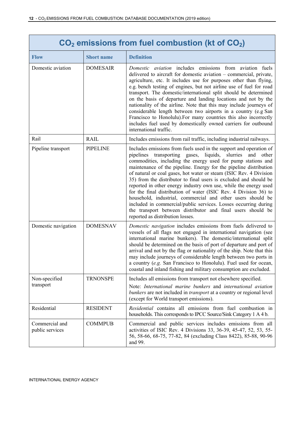'n

| $CO2$ emissions from fuel combustion (kt of $CO2$ ) |                   |                                                                                                                                                                                                                                                                                                                                                                                                                                                                                                                                                                                                                                                                                                                                                                                                       |  |
|-----------------------------------------------------|-------------------|-------------------------------------------------------------------------------------------------------------------------------------------------------------------------------------------------------------------------------------------------------------------------------------------------------------------------------------------------------------------------------------------------------------------------------------------------------------------------------------------------------------------------------------------------------------------------------------------------------------------------------------------------------------------------------------------------------------------------------------------------------------------------------------------------------|--|
| <b>Flow</b>                                         | <b>Short name</b> | <b>Definition</b>                                                                                                                                                                                                                                                                                                                                                                                                                                                                                                                                                                                                                                                                                                                                                                                     |  |
| Domestic aviation                                   | <b>DOMESAIR</b>   | Domestic aviation includes emissions from aviation fuels<br>delivered to aircraft for domestic aviation – commercial, private,<br>agriculture, etc. It includes use for purposes other than flying,<br>e.g. bench testing of engines, but not airline use of fuel for road<br>transport. The domestic/international split should be determined<br>on the basis of departure and landing locations and not by the<br>nationality of the airline. Note that this may include journeys of<br>considerable length between two airports in a country (e.g San<br>Francisco to Honolulu). For many countries this also incorrectly<br>includes fuel used by domestically owned carriers for outbound<br>international traffic.                                                                              |  |
| Rail                                                | <b>RAIL</b>       | Includes emissions from rail traffic, including industrial railways.                                                                                                                                                                                                                                                                                                                                                                                                                                                                                                                                                                                                                                                                                                                                  |  |
| Pipeline transport                                  | <b>PIPELINE</b>   | Includes emissions from fuels used in the support and operation of<br>pipelines transporting gases, liquids,<br>slurries<br>and<br>other<br>commodities, including the energy used for pump stations and<br>maintenance of the pipeline. Energy for the pipeline distribution<br>of natural or coal gases, hot water or steam (ISIC Rev. 4 Division<br>35) from the distributor to final users is excluded and should be<br>reported in other energy industry own use, while the energy used<br>for the final distribution of water (ISIC Rev. 4 Division 36) to<br>household, industrial, commercial and other users should be<br>included in commercial/public services. Losses occurring during<br>the transport between distributor and final users should be<br>reported as distribution losses. |  |
| Domestic navigation                                 | <b>DOMESNAV</b>   | Domestic navigation includes emissions from fuels delivered to<br>vessels of all flags not engaged in international navigation (see<br>international marine bunkers). The domestic/international split<br>should be determined on the basis of port of departure and port of<br>arrival and not by the flag or nationality of the ship. Note that this<br>may include journeys of considerable length between two ports in<br>a country (e.g. San Francisco to Honolulu). Fuel used for ocean,<br>coastal and inland fishing and military consumption are excluded.                                                                                                                                                                                                                                   |  |
| Non-specified<br>transport                          | <b>TRNONSPE</b>   | Includes all emissions from transport not elsewhere specified.<br>Note: International marine bunkers and international aviation<br>bunkers are not included in <i>transport</i> at a country or regional level<br>(except for World transport emissions).                                                                                                                                                                                                                                                                                                                                                                                                                                                                                                                                             |  |
| Residential                                         | <b>RESIDENT</b>   | Residential contains all emissions from fuel combustion in<br>households. This corresponds to IPCC Source/Sink Category 1 A 4 b.                                                                                                                                                                                                                                                                                                                                                                                                                                                                                                                                                                                                                                                                      |  |
| Commercial and<br>public services                   | <b>COMMPUB</b>    | Commercial and public services includes emissions from all<br>activities of ISIC Rev. 4 Divisions 33, 36-39, 45-47, 52, 53, 55-<br>56, 58-66, 68-75, 77-82, 84 (excluding Class 8422), 85-88, 90-96<br>and 99.                                                                                                                                                                                                                                                                                                                                                                                                                                                                                                                                                                                        |  |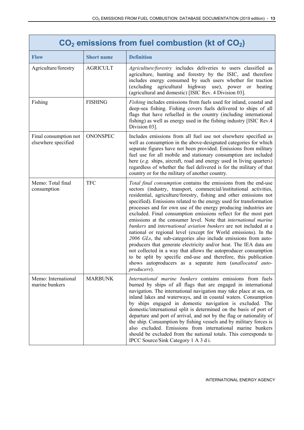| $CO2$ emissions from fuel combustion (kt of $CO2$ ) |                   |                                                                                                                                                                                                                                                                                                                                                                                                                                                                                                                                                                                                                                                                                                                                                                                                                                                                                                                                                                                                     |  |
|-----------------------------------------------------|-------------------|-----------------------------------------------------------------------------------------------------------------------------------------------------------------------------------------------------------------------------------------------------------------------------------------------------------------------------------------------------------------------------------------------------------------------------------------------------------------------------------------------------------------------------------------------------------------------------------------------------------------------------------------------------------------------------------------------------------------------------------------------------------------------------------------------------------------------------------------------------------------------------------------------------------------------------------------------------------------------------------------------------|--|
| <b>Flow</b>                                         | <b>Short name</b> | <b>Definition</b>                                                                                                                                                                                                                                                                                                                                                                                                                                                                                                                                                                                                                                                                                                                                                                                                                                                                                                                                                                                   |  |
| Agriculture/forestry                                | <b>AGRICULT</b>   | Agriculture/forestry includes deliveries to users classified as<br>agriculture, hunting and forestry by the ISIC, and therefore<br>includes energy consumed by such users whether for traction<br>(excluding agricultural highway use), power or heating<br>(agricultural and domestic) [ISIC Rev. 4 Division 03].                                                                                                                                                                                                                                                                                                                                                                                                                                                                                                                                                                                                                                                                                  |  |
| Fishing                                             | <b>FISHING</b>    | Fishing includes emissions from fuels used for inland, coastal and<br>deep-sea fishing. Fishing covers fuels delivered to ships of all<br>flags that have refuelled in the country (including international<br>fishing) as well as energy used in the fishing industry [ISIC Rev.4<br>Division 03].                                                                                                                                                                                                                                                                                                                                                                                                                                                                                                                                                                                                                                                                                                 |  |
| Final consumption not<br>elsewhere specified        | <b>ONONSPEC</b>   | Includes emissions from all fuel use not elsewhere specified as<br>well as consumption in the above-designated categories for which<br>separate figures have not been provided. Emissions from military<br>fuel use for all mobile and stationary consumption are included<br>here (e.g. ships, aircraft, road and energy used in living quarters)<br>regardless of whether the fuel delivered is for the military of that<br>country or for the military of another country.                                                                                                                                                                                                                                                                                                                                                                                                                                                                                                                       |  |
| Memo: Total final<br>consumption                    | <b>TFC</b>        | Total final consumption contains the emissions from the end-use<br>sectors (industry, transport, commercial/institutional activities,<br>residential, agriculture/forestry, fishing and other emissions not<br>specified). Emissions related to the energy used for transformation<br>processes and for own use of the energy producing industries are<br>excluded. Final consumption emissions reflect for the most part<br>emissions at the consumer level. Note that <i>international marine</i><br>bunkers and international aviation bunkers are not included at a<br>national or regional level (except for World emissions). In the<br>2006 GLs, the sub-categories also include emissions from auto-<br>producers that generate electricity and/or heat. The IEA data are<br>not collected in a way that allows the autoproducer consumption<br>to be split by specific end-use and therefore, this publication<br>shows autoproducers as a separate item (unallocated auto-<br>producers). |  |
| Memo: International<br>marine bunkers               | <b>MARBUNK</b>    | International marine bunkers contains emissions from fuels<br>burned by ships of all flags that are engaged in international<br>navigation. The international navigation may take place at sea, on<br>inland lakes and waterways, and in coastal waters. Consumption<br>by ships engaged in domestic navigation is excluded. The<br>domestic/international split is determined on the basis of port of<br>departure and port of arrival, and not by the flag or nationality of<br>the ship. Consumption by fishing vessels and by military forces is<br>also excluded. Emissions from international marine bunkers<br>should be excluded from the national totals. This corresponds to<br>IPCC Source/Sink Category 1 A 3 d i.                                                                                                                                                                                                                                                                      |  |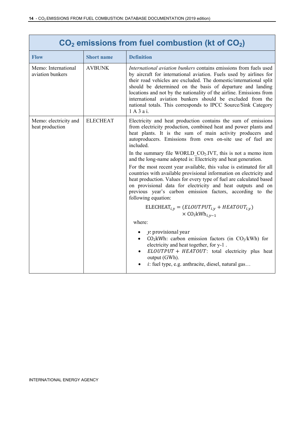| $CO2$ emissions from fuel combustion (kt of $CO2$ ) |                   |                                                                                                                                                                                                                                                                                                                                                                                                                                                                                                                                                                                                                                                                                                                                                                                     |  |
|-----------------------------------------------------|-------------------|-------------------------------------------------------------------------------------------------------------------------------------------------------------------------------------------------------------------------------------------------------------------------------------------------------------------------------------------------------------------------------------------------------------------------------------------------------------------------------------------------------------------------------------------------------------------------------------------------------------------------------------------------------------------------------------------------------------------------------------------------------------------------------------|--|
| <b>Flow</b>                                         | <b>Short name</b> | <b>Definition</b>                                                                                                                                                                                                                                                                                                                                                                                                                                                                                                                                                                                                                                                                                                                                                                   |  |
| Memo: International<br>aviation bunkers             | <b>AVBUNK</b>     | International aviation bunkers contains emissions from fuels used<br>by aircraft for international aviation. Fuels used by airlines for<br>their road vehicles are excluded. The domestic/international split<br>should be determined on the basis of departure and landing<br>locations and not by the nationality of the airline. Emissions from<br>international aviation bunkers should be excluded from the<br>national totals. This corresponds to IPCC Source/Sink Category<br>1 A 3 a i.                                                                                                                                                                                                                                                                                    |  |
| Memo: electricity and<br>heat production            | <b>ELECHEAT</b>   | Electricity and heat production contains the sum of emissions<br>from electricity production, combined heat and power plants and<br>heat plants. It is the sum of main activity producers and<br>autoproducers. Emissions from own on-site use of fuel are<br>included.<br>In the summary file WORLD $CO2$ . IVT, this is not a memo item<br>and the long-name adopted is: Electricity and heat generation.<br>For the most recent year available, this value is estimated for all<br>countries with available provisional information on electricity and<br>heat production. Values for every type of fuel are calculated based<br>on provisional data for electricity and heat outputs and on<br>previous year's carbon emission factors, according to the<br>following equation: |  |
|                                                     |                   | ELECHEAT <sub>i.v</sub> = (ELOUTPUT <sub>i.v</sub> + HEATOUT <sub>i.v</sub> )<br>$\times$ CO <sub>2</sub> kWh <sub>i.v-1</sub><br>where:                                                                                                                                                                                                                                                                                                                                                                                                                                                                                                                                                                                                                                            |  |
|                                                     |                   | <i>y</i> : provisional year<br>$\bullet$<br>$CO2$ kWh: carbon emission factors (in $CO2/kWh$ ) for<br>$\bullet$<br>electricity and heat together, for y-1.<br>ELOUTPUT + HEATOUT: total electricity plus heat<br>output (GWh).<br><i>i</i> : fuel type, e.g. anthracite, diesel, natural gas                                                                                                                                                                                                                                                                                                                                                                                                                                                                                        |  |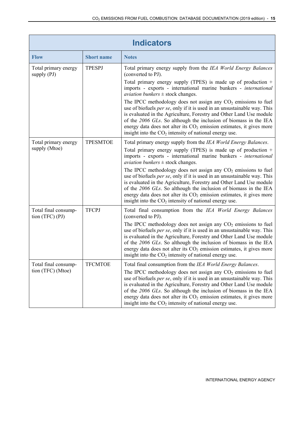| <b>Indicators</b>                         |                   |                                                                                                                                                                                                                                                                                                                                                                                                                                                                                                      |
|-------------------------------------------|-------------------|------------------------------------------------------------------------------------------------------------------------------------------------------------------------------------------------------------------------------------------------------------------------------------------------------------------------------------------------------------------------------------------------------------------------------------------------------------------------------------------------------|
| <b>Flow</b>                               | <b>Short name</b> | <b>Notes</b>                                                                                                                                                                                                                                                                                                                                                                                                                                                                                         |
| Total primary energy<br>supply $(PI)$     | <b>TPESPJ</b>     | Total primary energy supply from the IEA World Energy Balances<br>(converted to PJ).                                                                                                                                                                                                                                                                                                                                                                                                                 |
|                                           |                   | Total primary energy supply (TPES) is made up of production $+$<br>imports - exports - international marine bunkers - international<br><i>aviation bunkers</i> $\pm$ stock changes.                                                                                                                                                                                                                                                                                                                  |
|                                           |                   | The IPCC methodology does not assign any $CO2$ emissions to fuel<br>use of biofuels <i>per se</i> , only if it is used in an unsustainable way. This<br>is evaluated in the Agriculture, Forestry and Other Land Use module<br>of the 2006 GLs. So although the inclusion of biomass in the IEA<br>energy data does not alter its $CO2$ emission estimates, it gives more<br>insight into the CO <sub>2</sub> intensity of national energy use.                                                      |
| Total primary energy                      | <b>TPESMTOE</b>   | Total primary energy supply from the IEA World Energy Balances.                                                                                                                                                                                                                                                                                                                                                                                                                                      |
| supply (Mtoe)                             |                   | Total primary energy supply (TPES) is made up of production $+$<br>imports - exports - international marine bunkers - international<br><i>aviation bunkers</i> $\pm$ stock changes.                                                                                                                                                                                                                                                                                                                  |
|                                           |                   | The IPCC methodology does not assign any $CO2$ emissions to fuel<br>use of biofuels <i>per se</i> , only if it is used in an unsustainable way. This<br>is evaluated in the Agriculture, Forestry and Other Land Use module<br>of the 2006 GLs. So although the inclusion of biomass in the IEA<br>energy data does not alter its $CO2$ emission estimates, it gives more<br>insight into the $CO2$ intensity of national energy use.                                                                |
| Total final consump-<br>tion $(TFC)$ (PJ) | <b>TFCPJ</b>      | Total final consumption from the IEA World Energy Balances<br>(converted to PJ).                                                                                                                                                                                                                                                                                                                                                                                                                     |
|                                           |                   | The IPCC methodology does not assign any $CO2$ emissions to fuel<br>use of biofuels <i>per se</i> , only if it is used in an unsustainable way. This<br>is evaluated in the Agriculture, Forestry and Other Land Use module<br>of the 2006 GLs. So although the inclusion of biomass in the IEA<br>energy data does not alter its $CO2$ emission estimates, it gives more<br>insight into the $CO2$ intensity of national energy use.                                                                |
| Total final consump-<br>tion (TFC) (Mtoe) | <b>TFCMTOE</b>    | Total final consumption from the IEA World Energy Balances.<br>The IPCC methodology does not assign any $CO2$ emissions to fuel<br>use of biofuels <i>per se</i> , only if it is used in an unsustainable way. This<br>is evaluated in the Agriculture, Forestry and Other Land Use module<br>of the 2006 GLs. So although the inclusion of biomass in the IEA<br>energy data does not alter its $CO2$ emission estimates, it gives more<br>insight into the $CO2$ intensity of national energy use. |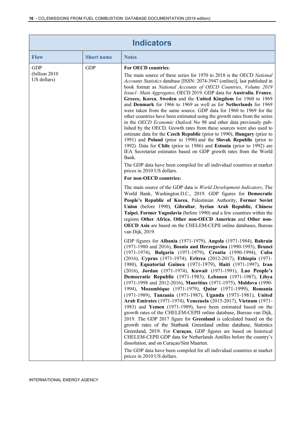| <b>Indicators</b>                          |                   |                                                                                                                                                                                                                                                                                                                                                                                                                                                                                                                                                                                                                                                                                                                                                                                                                                                                                                                                                                                                                                                                                                                                                                                                                                                                                                                                                                                                                                                                                                                                                                                                                                                                                                                    |
|--------------------------------------------|-------------------|--------------------------------------------------------------------------------------------------------------------------------------------------------------------------------------------------------------------------------------------------------------------------------------------------------------------------------------------------------------------------------------------------------------------------------------------------------------------------------------------------------------------------------------------------------------------------------------------------------------------------------------------------------------------------------------------------------------------------------------------------------------------------------------------------------------------------------------------------------------------------------------------------------------------------------------------------------------------------------------------------------------------------------------------------------------------------------------------------------------------------------------------------------------------------------------------------------------------------------------------------------------------------------------------------------------------------------------------------------------------------------------------------------------------------------------------------------------------------------------------------------------------------------------------------------------------------------------------------------------------------------------------------------------------------------------------------------------------|
| <b>Flow</b>                                | <b>Short name</b> | <b>Notes</b>                                                                                                                                                                                                                                                                                                                                                                                                                                                                                                                                                                                                                                                                                                                                                                                                                                                                                                                                                                                                                                                                                                                                                                                                                                                                                                                                                                                                                                                                                                                                                                                                                                                                                                       |
| <b>GDP</b><br>(billion 2010<br>US dollars) | <b>GDP</b>        | For OECD countries:<br>The main source of these series for 1970 to 2018 is the OECD National<br>Accounts Statistics database [ISSN: 2074-3947 (online)], last published in<br>book format as National Accounts of OECD Countries, Volume 2019<br>Issuel: Main Aggregates, OECD 2019. GDP data for Australia, France,<br>Greece, Korea, Sweden and the United Kingdom for 1960 to 1969<br>and Denmark for 1966 to 1969 as well as for Netherlands for 1969<br>were taken from the same source. GDP data for 1960 to 1969 for the<br>other countries have been estimated using the growth rates from the series<br>in the OECD Economic Outlook No 98 and other data previously pub-<br>lished by the OECD. Growth rates from these sources were also used to<br>estimate data for the Czech Republic (prior to 1990), Hungary (prior to<br>1991) and Poland (prior to 1990) and the Slovak Republic (prior to<br>1992). Data for Chile (prior to 1986) and Estonia (prior to 1992) are<br>IEA Secretariat estimates based on GDP growth rates from the World<br>Bank.<br>The GDP data have been compiled for all individual countries at market<br>prices in 2010 US dollars.<br>For non-OECD countries:<br>The main source of the GDP data is <i>World Development Indicators</i> , The<br>World Bank, Washington D.C., 2019. GDP figures for Democratic<br>People's Republic of Korea, Palestinian Authority, Former Soviet<br>Union (before 1990), Gibraltar, Syrian Arab Republic, Chinese<br>Taipei, Former Yugoslavia (before 1990) and a few countries within the<br>regions Other Africa, Other non-OECD Americas and Other non-<br><b>OECD</b> Asia are based on the CHELEM-CEPII online databases, Bureau |
|                                            |                   | van Dijk, 2019.<br>GDP figures for Albania (1971-1979), Angola (1971-1984), Bahrain<br>(1971-1980 and 2016), Bosnia and Herzegovina (1990-1993), Brunei<br>(1971-1974), Bulgaria (1971-1979), Croatia (1990-1994), Cuba<br>(2016), Cyprus (1971-1974), Eritrea (2012-2017), Ethiopia (1971-<br>1980), Equatorial Guinea (1971-1979), Haiti (1971-1997), Iran<br>(2016), Jordan (1971-1974), Kuwait (1971-1991), Lao People's<br>Democratic Republic (1971-1983), Lebanon (1971-1987), Libya<br>(1971-1998 and 2012-2016), Mauritius (1971-1975), Moldova (1990-<br>1994), Mozambique (1971-1979), Qatar (1971-1999), Romania<br>(1971-1989), Tanzania (1971-1987), Uganda (1971-1981), United<br>Arab Emirates (1971-1974), Venezuela (2015-2017), Vietnam (1971-<br>1983) and Yemen (1971-1989), have been estimated based on the<br>growth rates of the CHELEM-CEPII online database, Bureau van Dijk,<br>2019. The GDP 2017 figure for Greenland is calculated based on the<br>growth rates of the Statbank Greenland online database, Statistics<br>Greenland, 2019. For Curaçao, GDP figures are based on historical<br>CHELEM-CEPII GDP data for Netherlands Antilles before the country's<br>dissolution, and on Curaçao/Sint Maarten.<br>The GDP data have been compiled for all individual countries at market<br>prices in 2010 US dollars.                                                                                                                                                                                                                                                                                                                                                              |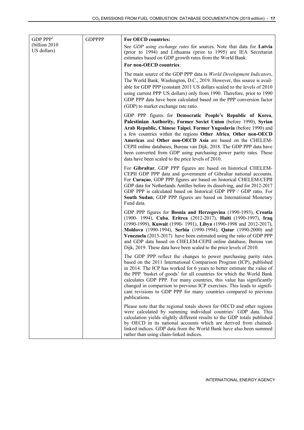| $GDP$ $PPP1$                  | <b>GDPPPP</b> | For OECD countries:                                                                                                                                                                                                                                                                                                                                                                                                                                                                                                                      |
|-------------------------------|---------------|------------------------------------------------------------------------------------------------------------------------------------------------------------------------------------------------------------------------------------------------------------------------------------------------------------------------------------------------------------------------------------------------------------------------------------------------------------------------------------------------------------------------------------------|
| (billion 2010)<br>US dollars) |               | See GDP using exchange rates for sources. Note that data for Latvia<br>(prior to 1994) and Lithuania (prior to 1995) are IEA Secretariat<br>estimates based on GDP growth rates from the World Bank.                                                                                                                                                                                                                                                                                                                                     |
|                               |               | For non-OECD countries:                                                                                                                                                                                                                                                                                                                                                                                                                                                                                                                  |
|                               |               | The main source of the GDP PPP data is <i>World Development Indicators</i> ,<br>The World Bank, Washington, D.C., 2019. However, this source is avail-<br>able for GDP PPP (constant 2011 US dollars scaled to the levels of 2010<br>using current PPP US dollars) only from 1990. Therefore, prior to 1990<br>GDP PPP data have been calculated based on the PPP conversion factor<br>(GDP) to market exchange rate ratio.                                                                                                              |
|                               |               | GDP PPP figures for Democratic People's Republic of Korea,<br>Palestinian Authority, Former Soviet Union (before 1990), Syrian<br>Arab Republic, Chinese Taipei, Former Yugoslavia (before 1990) and<br>a few countries within the regions Other Africa, Other non-OECD<br>Americas and Other non-OECD Asia are based on the CHELEM-<br>CEPII online databases, Bureau van Dijk, 2018. The GDP PPP data have<br>been converted from GDP using purchasing power parity rates. These<br>data have been scaled to the price levels of 2010. |
|                               |               | For Gibraltar, GDP PPP figures are based on historical CHELEM-<br>CEPII GDP PPP data and government of Gibraltar national accounts.<br>For Curaçao, GDP PPP figures are based on historical CHELEM-CEPII<br>GDP data for Netherlands Antilles before its dissolving, and for 2012-2017<br>GDP PPP is calculated based on historical GDP PPP / GDP ratio. For<br>South Sudan, GDP PPP figures are based on International Monetary<br>Fund data.                                                                                           |
|                               |               | GDP PPP figures for Bosnia and Herzegovina (1990-1993), Croatia<br>(1900- 1994), Cuba, Eritrea (2012-2017), Haiti (1990-1997), Iraq<br>(1990-1999), Kuwait (1990-1991), Libya (1990-1998 and 2012-2017),<br>Moldova (1990-1994), Serbia (1990-1994), Qatar (1990-2000) and<br><b>Venezuela</b> (2015-2017) have been estimated using the ratio of GDP PPP<br>and GDP data based on CHELEM-CEPII online database, Bureau van<br>Dijk, 2019. These data have been scaled to the price levels of 2010.                                      |
|                               |               | The GDP PPP reflect the changes to power purchasing parity rates<br>based on the 2011 International Comparison Program (ICP), published<br>in 2014. The ICP has worked for 6 years to better estimate the value of<br>the PPP 'basket of goods' for all countries for which the World Bank<br>calculates GDP PPP. For many countries, this value has significantly<br>changed in comparison to previous ICP exercises. This leads to signifi-<br>cant revisions to GDP PPP for many countries compared to previous<br>publications.      |
|                               |               | Please note that the regional totals shown for OECD and other regions<br>were calculated by summing individual countries' GDP data. This<br>calculation yields slightly different results to the GDP totals published<br>by OECD in its national accounts which are derived from chained-<br>linked indices. GDP data from the World Bank have also been summed<br>rather than using chain-linked indices.                                                                                                                               |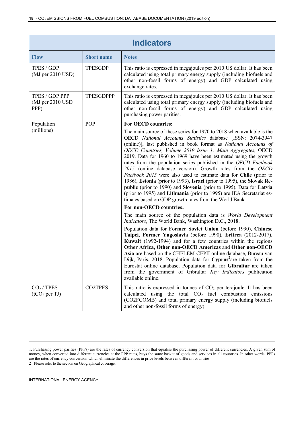| <b>Indicators</b>                          |                   |                                                                                                                                                                                                                                                                                                                                                                                                                                                                                                                                                                                                                                                                                                                                                                                                                                        |
|--------------------------------------------|-------------------|----------------------------------------------------------------------------------------------------------------------------------------------------------------------------------------------------------------------------------------------------------------------------------------------------------------------------------------------------------------------------------------------------------------------------------------------------------------------------------------------------------------------------------------------------------------------------------------------------------------------------------------------------------------------------------------------------------------------------------------------------------------------------------------------------------------------------------------|
| <b>Flow</b>                                | <b>Short name</b> | <b>Notes</b>                                                                                                                                                                                                                                                                                                                                                                                                                                                                                                                                                                                                                                                                                                                                                                                                                           |
| TPES / GDP<br>(MJ per 2010 USD)            | <b>TPESGDP</b>    | This ratio is expressed in megajoules per 2010 US dollar. It has been<br>calculated using total primary energy supply (including biofuels and<br>other non-fossil forms of energy) and GDP calculated using<br>exchange rates.                                                                                                                                                                                                                                                                                                                                                                                                                                                                                                                                                                                                         |
| TPES / GDP PPP<br>(MJ per 2010 USD<br>PPP) | <b>TPESGDPPP</b>  | This ratio is expressed in megajoules per 2010 US dollar. It has been<br>calculated using total primary energy supply (including biofuels and<br>other non-fossil forms of energy) and GDP calculated using<br>purchasing power parities.                                                                                                                                                                                                                                                                                                                                                                                                                                                                                                                                                                                              |
| Population                                 | POP               | <b>For OECD countries:</b>                                                                                                                                                                                                                                                                                                                                                                                                                                                                                                                                                                                                                                                                                                                                                                                                             |
| (millions)                                 |                   | The main source of these series for 1970 to 2018 when available is the<br>OECD National Accounts Statistics database [ISSN: 2074-3947<br>(online)], last published in book format as National Accounts of<br>OECD Countries, Volume 2019 Issue 1: Main Aggregates, OECD<br>2019. Data for 1960 to 1969 have been estimated using the growth<br>rates from the population series published in the OECD Factbook<br>2015 (online database version). Growth rates from the OECD<br>Factbook 2015 were also used to estimate data for Chile (prior to<br>1986), Estonia (prior to 1993), Israel (prior to 1995), the Slovak Re-<br>public (prior to 1990) and Slovenia (prior to 1995). Data for Latvia<br>(prior to 1995) and Lithuania (prior to 1995) are IEA Secretariat es-<br>timates based on GDP growth rates from the World Bank. |
|                                            |                   | For non-OECD countries:                                                                                                                                                                                                                                                                                                                                                                                                                                                                                                                                                                                                                                                                                                                                                                                                                |
|                                            |                   | The main source of the population data is <i>World Development</i><br>Indicators, The World Bank, Washington D.C., 2018.                                                                                                                                                                                                                                                                                                                                                                                                                                                                                                                                                                                                                                                                                                               |
|                                            |                   | Population data for Former Soviet Union (before 1990), Chinese<br>Taipei, Former Yugoslavia (before 1990), Eritrea (2012-2017),<br>Kuwait (1992-1994) and for a few countries within the regions<br>Other Africa, Other non-OECD Americas and Other non-OECD<br>Asia are based on the CHELEM-CEPII online database, Bureau van<br>Dijk, Paris, 2018. Population data for Cyprus <sup>2</sup> are taken from the<br>Eurostat online database. Population data for Gibraltar are taken<br>from the government of Gibraltar Key Indicators publication<br>available online.                                                                                                                                                                                                                                                               |
| $CO2$ / TPES<br>$(tCO2$ per TJ)            | <b>CO2TPES</b>    | This ratio is expressed in tonnes of $CO2$ per terajoule. It has been<br>calculated using the total $CO2$ fuel combustion emissions<br>(CO2FCOMB) and total primary energy supply (including biofuels<br>and other non-fossil forms of energy).                                                                                                                                                                                                                                                                                                                                                                                                                                                                                                                                                                                        |

<sup>1.</sup> Purchasing power parities (PPPs) are the rates of currency conversion that equalise the purchasing power of different currencies. A given sum of money, when converted into different currencies at the PPP rates, buys the same basket of goods and services in all countries. In other words, PPPs are the rates of currency conversion which eliminate the differences in price levels between different countries. 2 Please refer to the section on Geographical coverage.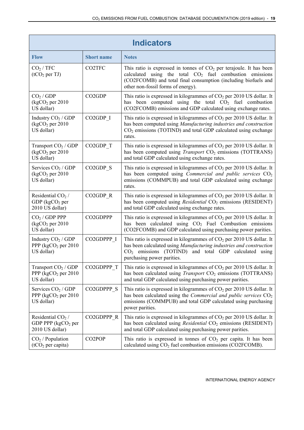| <b>Indicators</b>                                                      |                   |                                                                                                                                                                                                                                             |
|------------------------------------------------------------------------|-------------------|---------------------------------------------------------------------------------------------------------------------------------------------------------------------------------------------------------------------------------------------|
| <b>Flow</b>                                                            | <b>Short name</b> | <b>Notes</b>                                                                                                                                                                                                                                |
| CO <sub>2</sub> / TFC<br>$(tCO2$ per TJ)                               | CO2TFC            | This ratio is expressed in tonnes of $CO2$ per terajoule. It has been<br>calculated using the total $CO2$ fuel combustion emissions<br>(CO2FCOMB) and total final consumption (including biofuels and<br>other non-fossil forms of energy). |
| CO <sub>2</sub> / GDP<br>$(kgCO2$ per 2010<br>US dollar)               | CO2GDP            | This ratio is expressed in kilogrammes of $CO2$ per 2010 US dollar. It<br>has been computed using the total $CO2$ fuel combustion<br>(CO2FCOMB) emissions and GDP calculated using exchange rates.                                          |
| Industry $CO2 / GDP$<br>$(kgCO2$ per 2010<br>US dollar)                | CO2GDP I          | This ratio is expressed in kilogrammes of $CO2$ per 2010 US dollar. It<br>has been computed using Manufacturing industries and construction<br>$CO2$ emissions (TOTIND) and total GDP calculated using exchange<br>rates.                   |
| Transport $CO2 / GDP$<br>$(kgCO2$ per 2010<br>US dollar)               | CO2GDP T          | This ratio is expressed in kilogrammes of $CO2$ per 2010 US dollar. It<br>has been computed using <i>Transport</i> CO <sub>2</sub> emissions (TOTTRANS)<br>and total GDP calculated using exchange rates.                                   |
| Services $CO2$ / GDP<br>$(kgCO2$ per 2010<br>US dollar)                | CO2GDP S          | This ratio is expressed in kilogrammes of $CO2$ per 2010 US dollar. It<br>has been computed using <i>Commercial and public services</i> $CO2$<br>emissions (COMMPUB) and total GDP calculated using exchange<br>rates.                      |
| Residential $CO2$ /<br>$GDP$ (kgCO <sub>2</sub> per<br>2010 US dollar) | $CO2GDP_R$        | This ratio is expressed in kilogrammes of $CO2$ per 2010 US dollar. It<br>has been computed using <i>Residential</i> CO <sub>2</sub> emissions (RESIDENT)<br>and total GDP calculated using exchange rates.                                 |
| $CO2$ / GDP PPP<br>$(kgCO2$ per 2010<br>US dollar)                     | CO2GDPPP          | This ratio is expressed in kilogrammes of $CO2$ per 2010 US dollar. It<br>has been calculated using CO <sub>2</sub> Fuel Combustion emissions<br>(CO2FCOMB) and GDP calculated using purchasing power parities.                             |
| Industry $CO2 / GDP$<br>PPP ( $kgCO2$ per 2010<br>US dollar)           | CO2GDPPP I        | This ratio is expressed in kilogrammes of $CO2$ per 2010 US dollar. It<br>has been calculated using Manufacturing industries and construction<br>$CO2$ emissions (TOTIND) and total GDP calculated using<br>purchasing power parities.      |
| Transport $CO2$ / GDP<br>PPP ( $kgCO2$ per 2010<br>US dollar)          | CO2GDPPP T        | This ratio is expressed in kilogrammes of $CO2$ per 2010 US dollar. It<br>has been calculated using <i>Transport</i> CO <sub>2</sub> emissions (TOTTRANS)<br>and total GDP calculated using purchasing power parities.                      |
| Services $CO2$ / GDP<br>PPP ( $kgCO2$ per 2010<br>US dollar)           | CO2GDPPP S        | This ratio is expressed in kilogrammes of $CO2$ per 2010 US dollar. It<br>has been calculated using the <i>Commercial and public services</i> $CO2$<br>emissions (COMMPUB) and total GDP calculated using purchasing<br>power parities.     |
| Residential $CO2$ /<br>GDP PPP $(kgCO2)$ per<br>2010 US dollar)        | CO2GDPPP R        | This ratio is expressed in kilogrammes of $CO2$ per 2010 US dollar. It<br>has been calculated using <i>Residential</i> CO <sub>2</sub> emissions (RESIDENT)<br>and total GDP calculated using purchasing power parities.                    |
| $CO2$ / Population<br>$(tCO2$ per capita)                              | CO2POP            | This ratio is expressed in tonnes of $CO2$ per capita. It has been<br>calculated using CO <sub>2</sub> fuel combustion emissions (CO2FCOMB).                                                                                                |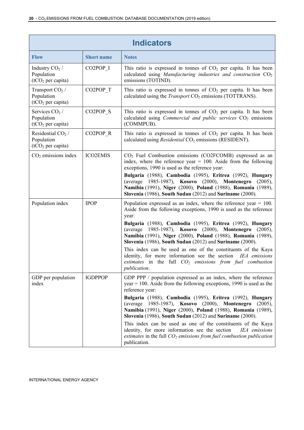| <b>Indicators</b>                                                |                   |                                                                                                                                                                                                                                                                                                                                                                                                                                                                                                                                                                                                                                                |
|------------------------------------------------------------------|-------------------|------------------------------------------------------------------------------------------------------------------------------------------------------------------------------------------------------------------------------------------------------------------------------------------------------------------------------------------------------------------------------------------------------------------------------------------------------------------------------------------------------------------------------------------------------------------------------------------------------------------------------------------------|
| <b>Flow</b>                                                      | <b>Short name</b> | <b>Notes</b>                                                                                                                                                                                                                                                                                                                                                                                                                                                                                                                                                                                                                                   |
| Industry $CO2$ /<br>Population<br>$(tCO2$ per capita)            | CO2POP I          | This ratio is expressed in tonnes of $CO2$ per capita. It has been<br>calculated using Manufacturing industries and construction $CO2$<br>emissions (TOTIND).                                                                                                                                                                                                                                                                                                                                                                                                                                                                                  |
| Transport CO <sub>2</sub> /<br>Population<br>$(tCO2$ per capita) | CO2POP T          | This ratio is expressed in tonnes of $CO2$ per capita. It has been<br>calculated using the <i>Transport</i> CO <sub>2</sub> emissions (TOTTRANS).                                                                                                                                                                                                                                                                                                                                                                                                                                                                                              |
| Services $CO2$ /<br>Population<br>$(tCO2$ per capita)            | CO2POP S          | This ratio is expressed in tonnes of $CO2$ per capita. It has been<br>calculated using <i>Commercial and public services</i> $CO2$ emissions<br>(COMMPUB).                                                                                                                                                                                                                                                                                                                                                                                                                                                                                     |
| Residential $CO2$ /<br>Population<br>$(tCO2$ per capita)         | CO2POP R          | This ratio is expressed in tonnes of $CO2$ per capita. It has been<br>calculated using <i>Residential</i> CO <sub>2</sub> emissions (RESIDENT).                                                                                                                                                                                                                                                                                                                                                                                                                                                                                                |
| $CO2$ emissions index                                            | <b>ICO2EMIS</b>   | $CO2$ Fuel Combustion emissions (CO2FCOMB) expressed as an<br>index, where the reference year $= 100$ . Aside from the following<br>exceptions, 1990 is used as the reference year:<br>Bulgaria (1988), Cambodia (1995), Eritrea (1992), Hungary<br>1985-1987), Kosovo (2000), Montenegro<br>(average)<br>$(2005)$ ,<br>Namibia (1991), Niger (2000), Poland (1988), Romania (1989),<br>Slovenia (1986), South Sudan (2012) and Suriname (2000).                                                                                                                                                                                               |
| Population index                                                 | <b>IPOP</b>       | Population expressed as an index, where the reference year $= 100$ .<br>Aside from the following exceptions, 1990 is used as the reference<br>year:<br>Bulgaria (1988), Cambodia (1995), Eritrea (1992), Hungary<br>1985-1987), Kosovo (2000), Montenegro (2005),<br>(average)<br>Namibia (1991), Niger (2000), Poland (1988), Romania (1989),<br>Slovenia (1986), South Sudan (2012) and Suriname (2000).<br>This index can be used as one of the constituents of the Kaya<br>identity, for more information see the section IEA emissions<br>estimates in the full $CO2$ emissions from fuel combustion<br><i>publication.</i>               |
| GDP per population<br>index                                      | <b>IGDPPOP</b>    | GDP PPP / population expressed as an index, where the reference<br>$year = 100$ . Aside from the following exceptions, 1990 is used as the<br>reference year:<br>Bulgaria (1988), Cambodia (1995), Eritrea (1992), Hungary<br>(average 1985-1987), Kosovo (2000), Montenegro (2005),<br>Namibia (1991), Niger (2000), Poland (1988), Romania (1989),<br>Slovenia (1986), South Sudan (2012) and Suriname (2000).<br>This index can be used as one of the constituents of the Kaya<br>identity, for more information see the section<br>IEA emissions<br>estimates in the full $CO2$ emissions from fuel combustion publication<br>publication. |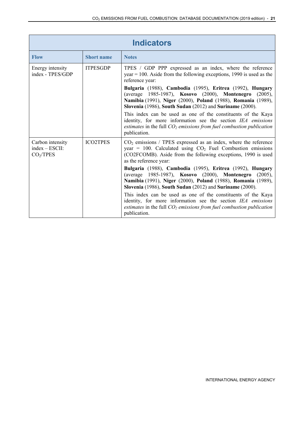| <b>Indicators</b>                                           |                   |                                                                                                                                                                                                                                                 |
|-------------------------------------------------------------|-------------------|-------------------------------------------------------------------------------------------------------------------------------------------------------------------------------------------------------------------------------------------------|
| Flow                                                        | <b>Short name</b> | <b>Notes</b>                                                                                                                                                                                                                                    |
| Energy intensity<br>index - TPES/GDP                        | <b>ITPESGDP</b>   | TPES / GDP PPP expressed as an index, where the reference<br>$year = 100$ . Aside from the following exceptions, 1990 is used as the<br>reference year:                                                                                         |
|                                                             |                   | Bulgaria (1988), Cambodia (1995), Eritrea (1992), Hungary<br>(average 1985-1987), Kosovo (2000), Montenegro (2005),<br>Namibia (1991), Niger (2000), Poland (1988), Romania (1989),<br>Slovenia (1986), South Sudan (2012) and Suriname (2000). |
|                                                             |                   | This index can be used as one of the constituents of the Kaya<br>identity, for more information see the section IEA emissions<br>estimates in the full $CO2$ emissions from fuel combustion publication<br>publication.                         |
| Carbon intensity<br>index - ESCII:<br>CO <sub>2</sub> /TPES | <b>ICO2TPES</b>   | $CO2$ emissions / TPES expressed as an index, where the reference<br>year = 100. Calculated using $CO2$ Fuel Combustion emissions<br>(CO2FCOMB). Aside from the following exceptions, 1990 is used<br>as the reference year:                    |
|                                                             |                   | Bulgaria (1988), Cambodia (1995), Eritrea (1992), Hungary<br>(average 1985-1987), Kosovo (2000), Montenegro (2005),<br>Namibia (1991), Niger (2000), Poland (1988), Romania (1989),<br>Slovenia (1986), South Sudan (2012) and Suriname (2000). |
|                                                             |                   | This index can be used as one of the constituents of the Kaya<br>identity, for more information see the section IEA emissions<br>estimates in the full $CO2$ emissions from fuel combustion publication<br>publication.                         |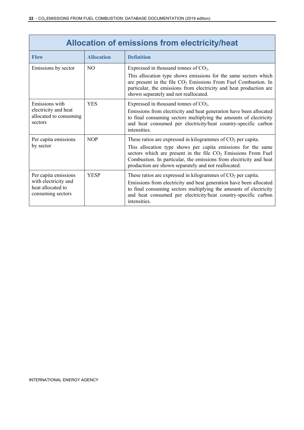| <b>Allocation of emissions from electricity/heat</b>                                   |                   |                                                                                                                                                                                                                                                                                                                                 |
|----------------------------------------------------------------------------------------|-------------------|---------------------------------------------------------------------------------------------------------------------------------------------------------------------------------------------------------------------------------------------------------------------------------------------------------------------------------|
| <b>Flow</b>                                                                            | <b>Allocation</b> | <b>Definition</b>                                                                                                                                                                                                                                                                                                               |
| Emissions by sector                                                                    | N <sub>O</sub>    | Expressed in thousand tonnes of $CO2$ .<br>This allocation type shows emissions for the same sectors which<br>are present in the file CO <sub>2</sub> Emissions From Fuel Combustion. In<br>particular, the emissions from electricity and heat production are<br>shown separately and not reallocated.                         |
| Emissions with<br>electricity and heat<br>allocated to consuming<br>sectors            | <b>YES</b>        | Expressed in thousand tonnes of $CO2$ .<br>Emissions from electricity and heat generation have been allocated<br>to final consuming sectors multiplying the amounts of electricity<br>and heat consumed per electricity/heat country-specific carbon<br>intensities.                                                            |
| Per capita emissions<br>by sector                                                      | <b>NOP</b>        | These ratios are expressed in kilogrammes of $CO2$ per capita.<br>This allocation type shows per capita emissions for the same<br>sectors which are present in the file $CO2$ Emissions From Fuel<br>Combustion. In particular, the emissions from electricity and heat<br>production are shown separately and not reallocated. |
| Per capita emissions<br>with electricity and<br>heat allocated to<br>consuming sectors | <b>YESP</b>       | These ratios are expressed in kilogrammes of $CO2$ per capita.<br>Emissions from electricity and heat generation have been allocated<br>to final consuming sectors multiplying the amounts of electricity<br>and heat consumed per electricity/heat country-specific carbon<br>intensities.                                     |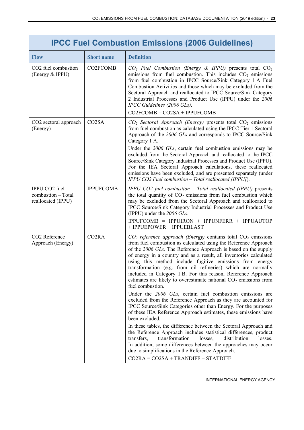| <b>IPCC Fuel Combustion Emissions (2006 Guidelines)</b>   |                    |                                                                                                                                                                                                                                                                                                                                                                                                                                                                                                                                                                                                                                                                                                                                                                                                                                                                                                                                                                                                                                                                                                                                                                                                                                          |
|-----------------------------------------------------------|--------------------|------------------------------------------------------------------------------------------------------------------------------------------------------------------------------------------------------------------------------------------------------------------------------------------------------------------------------------------------------------------------------------------------------------------------------------------------------------------------------------------------------------------------------------------------------------------------------------------------------------------------------------------------------------------------------------------------------------------------------------------------------------------------------------------------------------------------------------------------------------------------------------------------------------------------------------------------------------------------------------------------------------------------------------------------------------------------------------------------------------------------------------------------------------------------------------------------------------------------------------------|
| <b>Flow</b>                                               | <b>Short name</b>  | <b>Definition</b>                                                                                                                                                                                                                                                                                                                                                                                                                                                                                                                                                                                                                                                                                                                                                                                                                                                                                                                                                                                                                                                                                                                                                                                                                        |
| CO2 fuel combustion<br>(Energy & IPPU)                    | CO2FCOMB           | $CO2$ Fuel Combustion (Energy & IPPU) presents total $CO2$<br>emissions from fuel combustion. This includes $CO2$ emissions<br>from fuel combustion in IPCC Source/Sink Category 1 A Fuel<br>Combustion Activities and those which may be excluded from the<br>Sectoral Approach and reallocated to IPCC Source/Sink Category<br>2 Industrial Processes and Product Use (IPPU) under the 2006<br>IPCC Guidelines (2006 GLs).<br>$CO2FCOMB = CO2SA + IPPUFCOMB$                                                                                                                                                                                                                                                                                                                                                                                                                                                                                                                                                                                                                                                                                                                                                                           |
| CO <sub>2</sub> sectoral approach<br>(Energy)             | CO <sub>2</sub> SA | $CO2$ Sectoral Approach (Energy) presents total $CO2$ emissions<br>from fuel combustion as calculated using the IPCC Tier 1 Sectoral<br>Approach of the 2006 GLs and corresponds to IPCC Source/Sink<br>Category 1 A.<br>Under the 2006 GLs, certain fuel combustion emissions may be<br>excluded from the Sectoral Approach and reallocated to the IPCC<br>Source/Sink Category Industrial Processes and Product Use (IPPU).<br>For the IEA Sectoral Approach calculations, these reallocated<br>emissions have been excluded, and are presented separately (under<br>IPPU CO2 Fuel combustion - Total reallocated [IPPU]).                                                                                                                                                                                                                                                                                                                                                                                                                                                                                                                                                                                                             |
| IPPU CO2 fuel<br>combustion - Total<br>reallocated (IPPU) | <b>IPPUFCOMB</b>   | IPPU CO2 fuel combustion - Total reallocated (IPPU) presents<br>the total quantity of $CO2$ emissions from fuel combustion which<br>may be excluded from the Sectoral Approach and reallocated to<br>IPCC Source/Sink Category Industrial Processes and Product Use<br>(IPPU) under the 2006 GLs.<br>$IPPUFCOMB = IPPUIRON + IPPUNFERR + IPPUAUTOP$<br>+ IPPUEPOWER + IPPUEBLAST                                                                                                                                                                                                                                                                                                                                                                                                                                                                                                                                                                                                                                                                                                                                                                                                                                                         |
| CO2 Reference<br>Approach (Energy)                        | CO <sub>2</sub> RA | $CO2$ reference approach (Energy) contains total $CO2$ emissions<br>from fuel combustion as calculated using the Reference Approach<br>of the 2006 GLs. The Reference Approach is based on the supply<br>of energy in a country and as a result, all inventories calculated<br>using this method include fugitive emissions from energy<br>transformation (e.g. from oil refineries) which are normally<br>included in Category 1 B. For this reason, Reference Approach<br>estimates are likely to overestimate national $CO2$ emissions from<br>fuel combustion.<br>Under the 2006 GLs, certain fuel combustion emissions are<br>excluded from the Reference Approach as they are accounted for<br>IPCC Source/Sink Categories other than Energy. For the purposes<br>of these IEA Reference Approach estimates, these emissions have<br>been excluded.<br>In these tables, the difference between the Sectoral Approach and<br>the Reference Approach includes statistical differences, product<br>transformation<br>distribution<br>transfers,<br>losses,<br>losses.<br>In addition, some differences between the approaches may occur<br>due to simplifications in the Reference Approach.<br>$CO2RA = CO2SA + TRANDIFF + STATDIFF$ |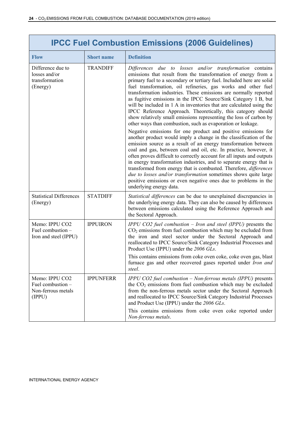| <b>IPCC Fuel Combustion Emissions (2006 Guidelines)</b>             |                   |                                                                                                                                                                                                                                                                                                                                                                                                                                                                                                                                                                                                                                                                                                                                                                                                                                                                                                                                                                                                                                                                                                                                                                                                                                                                 |
|---------------------------------------------------------------------|-------------------|-----------------------------------------------------------------------------------------------------------------------------------------------------------------------------------------------------------------------------------------------------------------------------------------------------------------------------------------------------------------------------------------------------------------------------------------------------------------------------------------------------------------------------------------------------------------------------------------------------------------------------------------------------------------------------------------------------------------------------------------------------------------------------------------------------------------------------------------------------------------------------------------------------------------------------------------------------------------------------------------------------------------------------------------------------------------------------------------------------------------------------------------------------------------------------------------------------------------------------------------------------------------|
| <b>Flow</b>                                                         | <b>Short name</b> | <b>Definition</b>                                                                                                                                                                                                                                                                                                                                                                                                                                                                                                                                                                                                                                                                                                                                                                                                                                                                                                                                                                                                                                                                                                                                                                                                                                               |
| Difference due to<br>losses and/or<br>transformation<br>(Energy)    | <b>TRANDIFF</b>   | Differences due to losses and/or transformation contains<br>emissions that result from the transformation of energy from a<br>primary fuel to a secondary or tertiary fuel. Included here are solid<br>fuel transformation, oil refineries, gas works and other fuel<br>transformation industries. These emissions are normally reported<br>as fugitive emissions in the IPCC Source/Sink Category 1 B, but<br>will be included in 1 A in inventories that are calculated using the<br>IPCC Reference Approach. Theoretically, this category should<br>show relatively small emissions representing the loss of carbon by<br>other ways than combustion, such as evaporation or leakage.<br>Negative emissions for one product and positive emissions for<br>another product would imply a change in the classification of the<br>emission source as a result of an energy transformation between<br>coal and gas, between coal and oil, etc. In practice, however, it<br>often proves difficult to correctly account for all inputs and outputs<br>in energy transformation industries, and to separate energy that is<br>transformed from energy that is combusted. Therefore, differences<br>due to losses and/or transformation sometimes shows quite large |
|                                                                     |                   | positive emissions or even negative ones due to problems in the<br>underlying energy data.                                                                                                                                                                                                                                                                                                                                                                                                                                                                                                                                                                                                                                                                                                                                                                                                                                                                                                                                                                                                                                                                                                                                                                      |
| <b>Statistical Differences</b><br>(Energy)                          | <b>STATDIFF</b>   | Statistical differences can be due to unexplained discrepancies in<br>the underlying energy data. They can also be caused by differences<br>between emissions calculated using the Reference Approach and<br>the Sectoral Approach.                                                                                                                                                                                                                                                                                                                                                                                                                                                                                                                                                                                                                                                                                                                                                                                                                                                                                                                                                                                                                             |
| Memo: IPPU CO2<br>Fuel combustion -<br>Iron and steel (IPPU)        | <b>IPPUIRON</b>   | IPPU CO2 fuel combustion $-$ Iron and steel (IPPU) presents the<br>$CO2$ emissions from fuel combustion which may be excluded from<br>the iron and steel sector under the Sectoral Approach and<br>reallocated to IPCC Source/Sink Category Industrial Processes and<br>Product Use (IPPU) under the 2006 GLs.                                                                                                                                                                                                                                                                                                                                                                                                                                                                                                                                                                                                                                                                                                                                                                                                                                                                                                                                                  |
|                                                                     |                   | This contains emissions from coke oven coke, coke oven gas, blast<br>furnace gas and other recovered gases reported under Iron and<br>steel.                                                                                                                                                                                                                                                                                                                                                                                                                                                                                                                                                                                                                                                                                                                                                                                                                                                                                                                                                                                                                                                                                                                    |
| Memo: IPPU CO2<br>Fuel combustion -<br>Non-ferrous metals<br>(IPPU) | <b>IPPUNFERR</b>  | IPPU CO2 fuel combustion - Non-ferrous metals (IPPU) presents<br>the $CO2$ emissions from fuel combustion which may be excluded<br>from the non-ferrous metals sector under the Sectoral Approach<br>and reallocated to IPCC Source/Sink Category Industrial Processes<br>and Product Use (IPPU) under the 2006 GLs.                                                                                                                                                                                                                                                                                                                                                                                                                                                                                                                                                                                                                                                                                                                                                                                                                                                                                                                                            |
|                                                                     |                   | This contains emissions from coke oven coke reported under<br>Non-ferrous metals.                                                                                                                                                                                                                                                                                                                                                                                                                                                                                                                                                                                                                                                                                                                                                                                                                                                                                                                                                                                                                                                                                                                                                                               |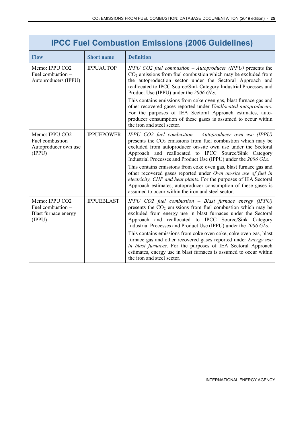| <b>IPCC Fuel Combustion Emissions (2006 Guidelines)</b>                 |                   |                                                                                                                                                                                                                                                                                                                                                                                                                                                                                                                                                                                                                                                               |
|-------------------------------------------------------------------------|-------------------|---------------------------------------------------------------------------------------------------------------------------------------------------------------------------------------------------------------------------------------------------------------------------------------------------------------------------------------------------------------------------------------------------------------------------------------------------------------------------------------------------------------------------------------------------------------------------------------------------------------------------------------------------------------|
| <b>Flow</b>                                                             | <b>Short name</b> | <b>Definition</b>                                                                                                                                                                                                                                                                                                                                                                                                                                                                                                                                                                                                                                             |
| Memo: IPPU CO2<br>Fuel combustion -<br>Autoproducers (IPPU)             | <b>IPPUAUTOP</b>  | IPPU CO2 fuel combustion $-$ Autoproducer (IPPU) presents the<br>$CO2$ emissions from fuel combustion which may be excluded from<br>the autoproduction sector under the Sectoral Approach and<br>reallocated to IPCC Source/Sink Category Industrial Processes and<br>Product Use (IPPU) under the 2006 GLs.<br>This contains emissions from coke oven gas, blast furnace gas and<br>other recovered gases reported under Unallocated autoproducers.<br>For the purposes of IEA Sectoral Approach estimates, auto-<br>producer consumption of these gases is assumed to occur within<br>the iron and steel sector.                                            |
| Memo: IPPU CO2<br>Fuel combustion -<br>Autoproducer own use<br>(IPPU)   | <b>IPPUEPOWER</b> | IPPU $CO2$ fuel combustion – Autoproducer own use (IPPU)<br>presents the $CO2$ emissions from fuel combustion which may be<br>excluded from autoproducer on-site own use under the Sectoral<br>Approach and reallocated to IPCC Source/Sink Category<br>Industrial Processes and Product Use (IPPU) under the 2006 GLs.<br>This contains emissions from coke oven gas, blast furnace gas and<br>other recovered gases reported under Own on-site use of fuel in<br>electricity, CHP and heat plants. For the purposes of IEA Sectoral<br>Approach estimates, autoproducer consumption of these gases is<br>assumed to occur within the iron and steel sector. |
| Memo: IPPU CO2<br>Fuel combustion $-$<br>Blast furnace energy<br>(IPPU) | <b>IPPUEBLAST</b> | IPPU CO2 fuel combustion - Blast furnace energy (IPPU)<br>presents the $CO2$ emissions from fuel combustion which may be<br>excluded from energy use in blast furnaces under the Sectoral<br>Approach and reallocated to IPCC Source/Sink Category<br>Industrial Processes and Product Use (IPPU) under the 2006 GLs.<br>This contains emissions from coke oven coke, coke oven gas, blast<br>furnace gas and other recovered gases reported under <i>Energy use</i><br>in blast furnaces. For the purposes of IEA Sectoral Approach<br>estimates, energy use in blast furnaces is assumed to occur within<br>the iron and steel sector.                      |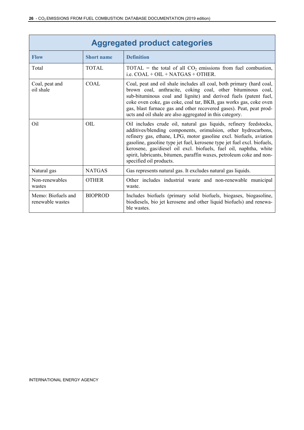| <b>Aggregated product categories</b>   |                   |                                                                                                                                                                                                                                                                                                                                                                                                                                                               |
|----------------------------------------|-------------------|---------------------------------------------------------------------------------------------------------------------------------------------------------------------------------------------------------------------------------------------------------------------------------------------------------------------------------------------------------------------------------------------------------------------------------------------------------------|
| <b>Flow</b>                            | <b>Short name</b> | <b>Definition</b>                                                                                                                                                                                                                                                                                                                                                                                                                                             |
| Total                                  | <b>TOTAL</b>      | TOTAL = the total of all $CO2$ emissions from fuel combustion,<br>i.e. $COAL + OIL + NATGAS + OTHER$ .                                                                                                                                                                                                                                                                                                                                                        |
| Coal, peat and<br>oil shale            | <b>COAL</b>       | Coal, peat and oil shale includes all coal, both primary (hard coal,<br>brown coal, anthracite, coking coal, other bituminous coal,<br>sub-bituminous coal and lignite) and derived fuels (patent fuel,<br>coke oven coke, gas coke, coal tar, BKB, gas works gas, coke oven<br>gas, blast furnace gas and other recovered gases). Peat, peat prod-<br>ucts and oil shale are also aggregated in this category.                                               |
| Oil                                    | OIL               | Oil includes crude oil, natural gas liquids, refinery feedstocks,<br>additives/blending components, orimulsion, other hydrocarbons,<br>refinery gas, ethane, LPG, motor gasoline excl. biofuels, aviation<br>gasoline, gasoline type jet fuel, kerosene type jet fuel excl. biofuels,<br>kerosene, gas/diesel oil excl. biofuels, fuel oil, naphtha, white<br>spirit, lubricants, bitumen, paraffin waxes, petroleum coke and non-<br>specified oil products. |
| Natural gas                            | <b>NATGAS</b>     | Gas represents natural gas. It excludes natural gas liquids.                                                                                                                                                                                                                                                                                                                                                                                                  |
| Non-renewables<br>wastes               | <b>OTHER</b>      | Other includes industrial waste and non-renewable municipal<br>waste.                                                                                                                                                                                                                                                                                                                                                                                         |
| Memo: Biofuels and<br>renewable wastes | <b>BIOPROD</b>    | Includes biofuels (primary solid biofuels, biogases, biogasoline,<br>biodiesels, bio jet kerosene and other liquid biofuels) and renewa-<br>ble wastes.                                                                                                                                                                                                                                                                                                       |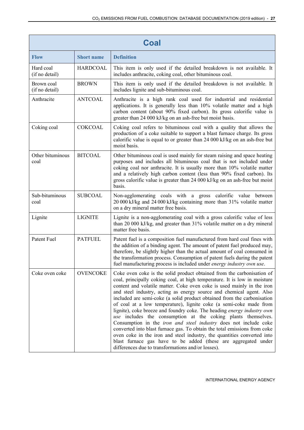| <b>Coal</b>                  |                   |                                                                                                                                                                                                                                                                                                                                                                                                                                                                                                                                                                                                                                                                                                                                                                                                                                                                                                                                                               |  |
|------------------------------|-------------------|---------------------------------------------------------------------------------------------------------------------------------------------------------------------------------------------------------------------------------------------------------------------------------------------------------------------------------------------------------------------------------------------------------------------------------------------------------------------------------------------------------------------------------------------------------------------------------------------------------------------------------------------------------------------------------------------------------------------------------------------------------------------------------------------------------------------------------------------------------------------------------------------------------------------------------------------------------------|--|
| <b>Flow</b>                  | <b>Short name</b> | <b>Definition</b>                                                                                                                                                                                                                                                                                                                                                                                                                                                                                                                                                                                                                                                                                                                                                                                                                                                                                                                                             |  |
| Hard coal<br>(if no detail)  | <b>HARDCOAL</b>   | This item is only used if the detailed breakdown is not available. It<br>includes anthracite, coking coal, other bituminous coal.                                                                                                                                                                                                                                                                                                                                                                                                                                                                                                                                                                                                                                                                                                                                                                                                                             |  |
| Brown coal<br>(if no detail) | <b>BROWN</b>      | This item is only used if the detailed breakdown is not available. It<br>includes lignite and sub-bituminous coal.                                                                                                                                                                                                                                                                                                                                                                                                                                                                                                                                                                                                                                                                                                                                                                                                                                            |  |
| Anthracite                   | <b>ANTCOAL</b>    | Anthracite is a high rank coal used for industrial and residential<br>applications. It is generally less than 10% volatile matter and a high<br>carbon content (about 90% fixed carbon). Its gross calorific value is<br>greater than 24 000 kJ/kg on an ash-free but moist basis.                                                                                                                                                                                                                                                                                                                                                                                                                                                                                                                                                                                                                                                                            |  |
| Coking coal                  | <b>COKCOAL</b>    | Coking coal refers to bituminous coal with a quality that allows the<br>production of a coke suitable to support a blast furnace charge. Its gross<br>calorific value is equal to or greater than 24 000 kJ/kg on an ash-free but<br>moist basis.                                                                                                                                                                                                                                                                                                                                                                                                                                                                                                                                                                                                                                                                                                             |  |
| Other bituminous<br>coal     | <b>BITCOAL</b>    | Other bituminous coal is used mainly for steam raising and space heating<br>purposes and includes all bituminous coal that is not included under<br>coking coal nor anthracite. It is usually more than 10% volatile matter<br>and a relatively high carbon content (less than 90% fixed carbon). Its<br>gross calorific value is greater than 24 000 kJ/kg on an ash-free but moist<br>basis.                                                                                                                                                                                                                                                                                                                                                                                                                                                                                                                                                                |  |
| Sub-bituminous<br>coal       | <b>SUBCOAL</b>    | Non-agglomerating coals with a gross calorific value between<br>20 000 kJ/kg and 24 000 kJ/kg containing more than 31% volatile matter<br>on a dry mineral matter free basis.                                                                                                                                                                                                                                                                                                                                                                                                                                                                                                                                                                                                                                                                                                                                                                                 |  |
| Lignite                      | <b>LIGNITE</b>    | Lignite is a non-agglomerating coal with a gross calorific value of less<br>than 20 000 kJ/kg, and greater than 31% volatile matter on a dry mineral<br>matter free basis.                                                                                                                                                                                                                                                                                                                                                                                                                                                                                                                                                                                                                                                                                                                                                                                    |  |
| Patent Fuel                  | <b>PATFUEL</b>    | Patent fuel is a composition fuel manufactured from hard coal fines with<br>the addition of a binding agent. The amount of patent fuel produced may,<br>therefore, be slightly higher than the actual amount of coal consumed in<br>the transformation process. Consumption of patent fuels during the patent<br>fuel manufacturing process is included under <i>energy industry own use</i> .                                                                                                                                                                                                                                                                                                                                                                                                                                                                                                                                                                |  |
| Coke oven coke               | <b>OVENCOKE</b>   | Coke oven coke is the solid product obtained from the carbonisation of<br>coal, principally coking coal, at high temperature. It is low in moisture<br>content and volatile matter. Coke oven coke is used mainly in the iron<br>and steel industry, acting as energy source and chemical agent. Also<br>included are semi-coke (a solid product obtained from the carbonisation<br>of coal at a low temperature), lignite coke (a semi-coke made from<br>lignite), coke breeze and foundry coke. The heading energy industry own<br>use includes the consumption at the coking plants themselves.<br>Consumption in the <i>iron and steel industry</i> does not include coke<br>converted into blast furnace gas. To obtain the total emissions from coke<br>oven coke in the iron and steel industry, the quantities converted into<br>blast furnace gas have to be added (these are aggregated under<br>differences due to transformations and/or losses). |  |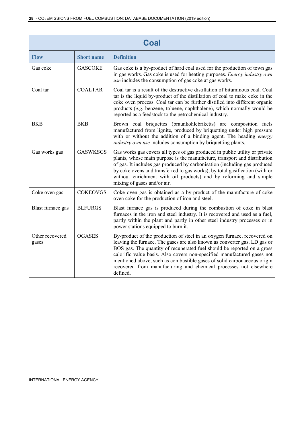| Coal                     |                   |                                                                                                                                                                                                                                                                                                                                                                                                                                                                         |  |
|--------------------------|-------------------|-------------------------------------------------------------------------------------------------------------------------------------------------------------------------------------------------------------------------------------------------------------------------------------------------------------------------------------------------------------------------------------------------------------------------------------------------------------------------|--|
| <b>Flow</b>              | <b>Short name</b> | <b>Definition</b>                                                                                                                                                                                                                                                                                                                                                                                                                                                       |  |
| Gas coke                 | <b>GASCOKE</b>    | Gas coke is a by-product of hard coal used for the production of town gas<br>in gas works. Gas coke is used for heating purposes. Energy industry own<br>use includes the consumption of gas coke at gas works.                                                                                                                                                                                                                                                         |  |
| Coal tar                 | <b>COALTAR</b>    | Coal tar is a result of the destructive distillation of bituminous coal. Coal<br>tar is the liquid by-product of the distillation of coal to make coke in the<br>coke oven process. Coal tar can be further distilled into different organic<br>products (e.g. benzene, toluene, naphthalene), which normally would be<br>reported as a feedstock to the petrochemical industry.                                                                                        |  |
| <b>BKB</b>               | <b>BKB</b>        | Brown coal briquettes (braunkohlebriketts) are composition fuels<br>manufactured from lignite, produced by briquetting under high pressure<br>with or without the addition of a binding agent. The heading energy<br>industry own use includes consumption by briquetting plants.                                                                                                                                                                                       |  |
| Gas works gas            | <b>GASWKSGS</b>   | Gas works gas covers all types of gas produced in public utility or private<br>plants, whose main purpose is the manufacture, transport and distribution<br>of gas. It includes gas produced by carbonisation (including gas produced<br>by coke ovens and transferred to gas works), by total gasification (with or<br>without enrichment with oil products) and by reforming and simple<br>mixing of gases and/or air.                                                |  |
| Coke oven gas            | <b>COKEOVGS</b>   | Coke oven gas is obtained as a by-product of the manufacture of coke<br>oven coke for the production of iron and steel.                                                                                                                                                                                                                                                                                                                                                 |  |
| Blast furnace gas        | <b>BLFURGS</b>    | Blast furnace gas is produced during the combustion of coke in blast<br>furnaces in the iron and steel industry. It is recovered and used as a fuel,<br>partly within the plant and partly in other steel industry processes or in<br>power stations equipped to burn it.                                                                                                                                                                                               |  |
| Other recovered<br>gases | <b>OGASES</b>     | By-product of the production of steel in an oxygen furnace, recovered on<br>leaving the furnace. The gases are also known as converter gas, LD gas or<br>BOS gas. The quantity of recuperated fuel should be reported on a gross<br>calorific value basis. Also covers non-specified manufactured gases not<br>mentioned above, such as combustible gases of solid carbonaceous origin<br>recovered from manufacturing and chemical processes not elsewhere<br>defined. |  |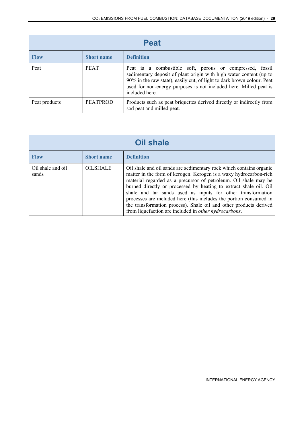| <b>Peat</b>   |                   |                                                                                                                                                                                                                                                                                                    |
|---------------|-------------------|----------------------------------------------------------------------------------------------------------------------------------------------------------------------------------------------------------------------------------------------------------------------------------------------------|
| <b>Flow</b>   | <b>Short name</b> | <b>Definition</b>                                                                                                                                                                                                                                                                                  |
| Peat          | <b>PEAT</b>       | Peat is a combustible soft, porous or compressed,<br>fossil<br>sedimentary deposit of plant origin with high water content (up to<br>90% in the raw state), easily cut, of light to dark brown colour. Peat<br>used for non-energy purposes is not included here. Milled peat is<br>included here. |
| Peat products | <b>PEATPROD</b>   | Products such as peat briquettes derived directly or indirectly from<br>sod peat and milled peat.                                                                                                                                                                                                  |

| Oil shale                  |                   |                                                                                                                                                                                                                                                                                                                                                                                                                                                                                                                                                             |  |
|----------------------------|-------------------|-------------------------------------------------------------------------------------------------------------------------------------------------------------------------------------------------------------------------------------------------------------------------------------------------------------------------------------------------------------------------------------------------------------------------------------------------------------------------------------------------------------------------------------------------------------|--|
| <b>Flow</b>                | <b>Short name</b> | <b>Definition</b>                                                                                                                                                                                                                                                                                                                                                                                                                                                                                                                                           |  |
| Oil shale and oil<br>sands | <b>OILSHALE</b>   | Oil shale and oil sands are sedimentary rock which contains organic<br>matter in the form of kerogen. Kerogen is a waxy hydrocarbon-rich<br>material regarded as a precursor of petroleum. Oil shale may be<br>burned directly or processed by heating to extract shale oil. Oil<br>shale and tar sands used as inputs for other transformation<br>processes are included here (this includes the portion consumed in<br>the transformation process). Shale oil and other products derived<br>from liquefaction are included in <i>other hydrocarbons</i> . |  |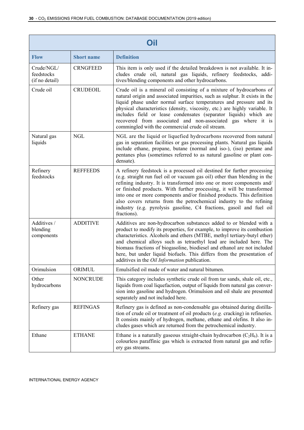| Oil                                        |                   |                                                                                                                                                                                                                                                                                                                                                                                                                                                                                                                                               |  |
|--------------------------------------------|-------------------|-----------------------------------------------------------------------------------------------------------------------------------------------------------------------------------------------------------------------------------------------------------------------------------------------------------------------------------------------------------------------------------------------------------------------------------------------------------------------------------------------------------------------------------------------|--|
| <b>Flow</b>                                | <b>Short name</b> | <b>Definition</b>                                                                                                                                                                                                                                                                                                                                                                                                                                                                                                                             |  |
| Crude/NGL/<br>feedstocks<br>(if no detail) | <b>CRNGFEED</b>   | This item is only used if the detailed breakdown is not available. It in-<br>cludes crude oil, natural gas liquids, refinery feedstocks, addi-<br>tives/blending components and other hydrocarbons.                                                                                                                                                                                                                                                                                                                                           |  |
| Crude oil                                  | <b>CRUDEOIL</b>   | Crude oil is a mineral oil consisting of a mixture of hydrocarbons of<br>natural origin and associated impurities, such as sulphur. It exists in the<br>liquid phase under normal surface temperatures and pressure and its<br>physical characteristics (density, viscosity, etc.) are highly variable. It<br>includes field or lease condensates (separator liquids) which are<br>recovered from associated and non-associated gas where it is<br>commingled with the commercial crude oil stream.                                           |  |
| Natural gas<br>liquids                     | <b>NGL</b>        | NGL are the liquid or liquefied hydrocarbons recovered from natural<br>gas in separation facilities or gas processing plants. Natural gas liquids<br>include ethane, propane, butane (normal and iso-), (iso) pentane and<br>pentanes plus (sometimes referred to as natural gasoline or plant con-<br>densate).                                                                                                                                                                                                                              |  |
| Refinery<br>feedstocks                     | <b>REFFEEDS</b>   | A refinery feedstock is a processed oil destined for further processing<br>(e.g. straight run fuel oil or vacuum gas oil) other than blending in the<br>refining industry. It is transformed into one or more components and/<br>or finished products. With further processing, it will be transformed<br>into one or more components and/or finished products. This definition<br>also covers returns from the petrochemical industry to the refining<br>industry (e.g. pyrolysis gasoline, C4 fractions, gasoil and fuel oil<br>fractions). |  |
| Additives /<br>blending<br>components      | <b>ADDITIVE</b>   | Additives are non-hydrocarbon substances added to or blended with a<br>product to modify its properties, for example, to improve its combustion<br>characteristics. Alcohols and ethers (MTBE, methyl tertiary-butyl ether)<br>and chemical alloys such as tetraethyl lead are included here. The<br>biomass fractions of biogasoline, biodiesel and ethanol are not included<br>here, but under liquid biofuels. This differs from the presentation of<br>additives in the Oil Information publication                                       |  |
| Orimulsion                                 | ORIMUL            | Emulsified oil made of water and natural bitumen.                                                                                                                                                                                                                                                                                                                                                                                                                                                                                             |  |
| Other<br>hydrocarbons                      | <b>NONCRUDE</b>   | This category includes synthetic crude oil from tar sands, shale oil, etc.,<br>liquids from coal liquefaction, output of liquids from natural gas conver-<br>sion into gasoline and hydrogen. Orimulsion and oil shale are presented<br>separately and not included here.                                                                                                                                                                                                                                                                     |  |
| Refinery gas                               | <b>REFINGAS</b>   | Refinery gas is defined as non-condensable gas obtained during distilla-<br>tion of crude oil or treatment of oil products (e.g. cracking) in refineries.<br>It consists mainly of hydrogen, methane, ethane and olefins. It also in-<br>cludes gases which are returned from the petrochemical industry.                                                                                                                                                                                                                                     |  |
| Ethane                                     | <b>ETHANE</b>     | Ethane is a naturally gaseous straight-chain hydrocarbon $(C_2H_6)$ . It is a<br>colourless paraffinic gas which is extracted from natural gas and refin-<br>ery gas streams.                                                                                                                                                                                                                                                                                                                                                                 |  |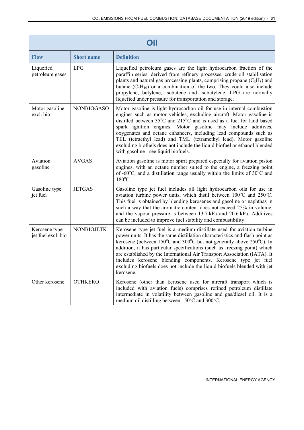| Oil                                 |                   |                                                                                                                                                                                                                                                                                                                                                                                                                                                                                                                                                                             |  |
|-------------------------------------|-------------------|-----------------------------------------------------------------------------------------------------------------------------------------------------------------------------------------------------------------------------------------------------------------------------------------------------------------------------------------------------------------------------------------------------------------------------------------------------------------------------------------------------------------------------------------------------------------------------|--|
| <b>Flow</b>                         | <b>Short name</b> | <b>Definition</b>                                                                                                                                                                                                                                                                                                                                                                                                                                                                                                                                                           |  |
| Liquefied<br>petroleum gases        | <b>LPG</b>        | Liquefied petroleum gases are the light hydrocarbon fraction of the<br>paraffin series, derived from refinery processes, crude oil stabilisation<br>plants and natural gas processing plants, comprising propane $(C_3H_8)$ and<br>butane $(C_4H_{10})$ or a combination of the two. They could also include<br>propylene, butylene, isobutene and isobutylene. LPG are normally<br>liquefied under pressure for transportation and storage.                                                                                                                                |  |
| Motor gasoline<br>excl. bio         | <b>NONBIOGASO</b> | Motor gasoline is light hydrocarbon oil for use in internal combustion<br>engines such as motor vehicles, excluding aircraft. Motor gasoline is<br>distilled between $35^{\circ}$ C and $215^{\circ}$ C and is used as a fuel for land based<br>spark ignition engines. Motor gasoline may include additives,<br>oxygenates and octane enhancers, including lead compounds such as<br>TEL (tetraethyl lead) and TML (tetramethyl lead). Motor gasoline<br>excluding biofuels does not include the liquid biofuel or ethanol blended<br>with gasoline - see liquid biofuels. |  |
| Aviation<br>gasoline                | <b>AVGAS</b>      | Aviation gasoline is motor spirit prepared especially for aviation piston<br>engines, with an octane number suited to the engine, a freezing point<br>of -60 $^{\circ}$ C, and a distillation range usually within the limits of 30 $^{\circ}$ C and<br>$180^{\circ}$ C.                                                                                                                                                                                                                                                                                                    |  |
| Gasoline type<br>jet fuel           | <b>JETGAS</b>     | Gasoline type jet fuel includes all light hydrocarbon oils for use in<br>aviation turbine power units, which distil between 100°C and 250°C.<br>This fuel is obtained by blending kerosenes and gasoline or naphthas in<br>such a way that the aromatic content does not exceed 25% in volume,<br>and the vapour pressure is between 13.7 kPa and 20.6 kPa. Additives<br>can be included to improve fuel stability and combustibility.                                                                                                                                      |  |
| Kerosene type<br>jet fuel excl. bio | <b>NONBIOJETK</b> | Kerosene type jet fuel is a medium distillate used for aviation turbine<br>power units. It has the same distillation characteristics and flash point as<br>kerosene (between 150°C and 300°C but not generally above 250°C). In<br>addition, it has particular specifications (such as freezing point) which<br>are established by the International Air Transport Association (IATA). It<br>includes kerosene blending components. Kerosene type jet fuel<br>excluding biofuels does not include the liquid biofuels blended with jet<br>kerosene.                         |  |
| Other kerosene                      | <b>OTHKERO</b>    | Kerosene (other than kerosene used for aircraft transport which is<br>included with aviation fuels) comprises refined petroleum distillate<br>intermediate in volatility between gasoline and gas/diesel oil. It is a<br>medium oil distilling between 150°C and 300°C.                                                                                                                                                                                                                                                                                                     |  |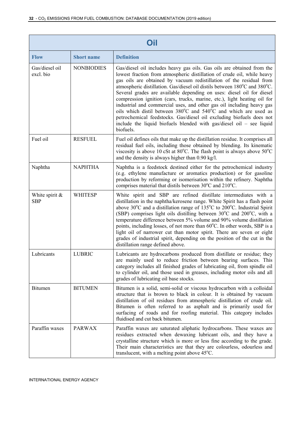|                              | <b>Oil</b>        |                                                                                                                                                                                                                                                                                                                                                                                                                                                                                                                                                                                                                                                                                                                                                                       |  |
|------------------------------|-------------------|-----------------------------------------------------------------------------------------------------------------------------------------------------------------------------------------------------------------------------------------------------------------------------------------------------------------------------------------------------------------------------------------------------------------------------------------------------------------------------------------------------------------------------------------------------------------------------------------------------------------------------------------------------------------------------------------------------------------------------------------------------------------------|--|
| <b>Flow</b>                  | <b>Short name</b> | <b>Definition</b>                                                                                                                                                                                                                                                                                                                                                                                                                                                                                                                                                                                                                                                                                                                                                     |  |
| Gas/diesel oil<br>excl. bio  | <b>NONBIODIES</b> | Gas/diesel oil includes heavy gas oils. Gas oils are obtained from the<br>lowest fraction from atmospheric distillation of crude oil, while heavy<br>gas oils are obtained by vacuum redistillation of the residual from<br>atmospheric distillation. Gas/diesel oil distils between 180°C and 380°C.<br>Several grades are available depending on uses: diesel oil for diesel<br>compression ignition (cars, trucks, marine, etc.), light heating oil for<br>industrial and commercial uses, and other gas oil including heavy gas<br>oils which distil between 380°C and 540°C and which are used as<br>petrochemical feedstocks. Gas/diesel oil excluding biofuels does not<br>include the liquid biofuels blended with gas/diesel oil $-$ see liquid<br>biofuels. |  |
| Fuel oil                     | <b>RESFUEL</b>    | Fuel oil defines oils that make up the distillation residue. It comprises all<br>residual fuel oils, including those obtained by blending. Its kinematic<br>viscosity is above 10 cSt at $80^{\circ}$ C. The flash point is always above $50^{\circ}$ C<br>and the density is always higher than 0.90 kg/l.                                                                                                                                                                                                                                                                                                                                                                                                                                                           |  |
| Naphtha                      | <b>NAPHTHA</b>    | Naphtha is a feedstock destined either for the petrochemical industry<br>(e.g. ethylene manufacture or aromatics production) or for gasoline<br>production by reforming or isomerisation within the refinery. Naphtha<br>comprises material that distils between 30°C and 210°C.                                                                                                                                                                                                                                                                                                                                                                                                                                                                                      |  |
| White spirit &<br><b>SBP</b> | <b>WHITESP</b>    | White spirit and SBP are refined distillate intermediates with a<br>distillation in the naphtha/kerosene range. White Spirit has a flash point<br>above 30°C and a distillation range of 135°C to 200°C. Industrial Spirit<br>(SBP) comprises light oils distilling between $30^{\circ}$ C and $200^{\circ}$ C, with a<br>temperature difference between 5% volume and 90% volume distillation<br>points, including losses, of not more than 60°C. In other words, SBP is a<br>light oil of narrower cut than motor spirit. There are seven or eight<br>grades of industrial spirit, depending on the position of the cut in the<br>distillation range defined above.                                                                                                 |  |
| Lubricants                   | <b>LUBRIC</b>     | Lubricants are hydrocarbons produced from distillate or residue; they<br>are mainly used to reduce friction between bearing surfaces. This<br>category includes all finished grades of lubricating oil, from spindle oil<br>to cylinder oil, and those used in greases, including motor oils and all<br>grades of lubricating oil base stocks.                                                                                                                                                                                                                                                                                                                                                                                                                        |  |
| <b>Bitumen</b>               | <b>BITUMEN</b>    | Bitumen is a solid, semi-solid or viscous hydrocarbon with a colloidal<br>structure that is brown to black in colour. It is obtained by vacuum<br>distillation of oil residues from atmospheric distillation of crude oil.<br>Bitumen is often referred to as asphalt and is primarily used for<br>surfacing of roads and for roofing material. This category includes<br>fluidised and cut back bitumen.                                                                                                                                                                                                                                                                                                                                                             |  |
| Paraffin waxes               | <b>PARWAX</b>     | Paraffin waxes are saturated aliphatic hydrocarbons. These waxes are<br>residues extracted when dewaxing lubricant oils, and they have a<br>crystalline structure which is more or less fine according to the grade.<br>Their main characteristics are that they are colourless, odourless and<br>translucent, with a melting point above $45^{\circ}$ C.                                                                                                                                                                                                                                                                                                                                                                                                             |  |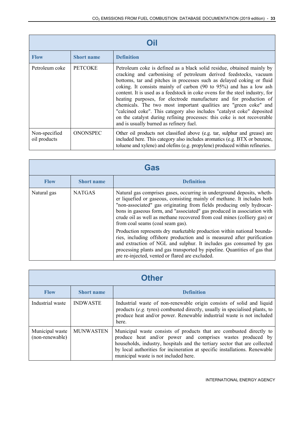| <b>Flow</b>                   | <b>Short name</b> | <b>Definition</b>                                                                                                                                                                                                                                                                                                                                                                                                                                                                                                                                                                                                                                                                                                  |
|-------------------------------|-------------------|--------------------------------------------------------------------------------------------------------------------------------------------------------------------------------------------------------------------------------------------------------------------------------------------------------------------------------------------------------------------------------------------------------------------------------------------------------------------------------------------------------------------------------------------------------------------------------------------------------------------------------------------------------------------------------------------------------------------|
| Petroleum coke                | <b>PETCOKE</b>    | Petroleum coke is defined as a black solid residue, obtained mainly by<br>cracking and carbonising of petroleum derived feedstocks, vacuum<br>bottoms, tar and pitches in processes such as delayed coking or fluid<br>coking. It consists mainly of carbon (90 to 95%) and has a low ash<br>content. It is used as a feedstock in coke ovens for the steel industry, for<br>heating purposes, for electrode manufacture and for production of<br>chemicals. The two most important qualities are "green coke" and<br>"calcined coke". This category also includes "catalyst coke" deposited<br>on the catalyst during refining processes: this coke is not recoverable<br>and is usually burned as refinery fuel. |
| Non-specified<br>oil products | <b>ONONSPEC</b>   | Other oil products not classified above (e.g. tar, sulphur and grease) are<br>included here. This category also includes aromatics (e.g. BTX or benzene,<br>toluene and xylene) and olefins (e.g. propylene) produced within refineries.                                                                                                                                                                                                                                                                                                                                                                                                                                                                           |

| Gas         |                   |                                                                                                                                                                                                                                                                                                                                                                                                                       |
|-------------|-------------------|-----------------------------------------------------------------------------------------------------------------------------------------------------------------------------------------------------------------------------------------------------------------------------------------------------------------------------------------------------------------------------------------------------------------------|
| <b>Flow</b> | <b>Short name</b> | <b>Definition</b>                                                                                                                                                                                                                                                                                                                                                                                                     |
| Natural gas | <b>NATGAS</b>     | Natural gas comprises gases, occurring in underground deposits, wheth-<br>er liquefied or gaseous, consisting mainly of methane. It includes both<br>"non-associated" gas originating from fields producing only hydrocar-<br>bons in gaseous form, and "associated" gas produced in association with<br>crude oil as well as methane recovered from coal mines (colliery gas) or<br>from coal seams (coal seam gas). |
|             |                   | Production represents dry marketable production within national bounda-<br>ries, including offshore production and is measured after purification<br>and extraction of NGL and sulphur. It includes gas consumed by gas<br>processing plants and gas transported by pipeline. Quantities of gas that<br>are re-injected, vented or flared are excluded.                                                               |

| <b>Other</b>                       |                   |                                                                                                                                                                                                                                                                                                                                        |
|------------------------------------|-------------------|----------------------------------------------------------------------------------------------------------------------------------------------------------------------------------------------------------------------------------------------------------------------------------------------------------------------------------------|
| <b>Flow</b>                        | <b>Short name</b> | <b>Definition</b>                                                                                                                                                                                                                                                                                                                      |
| Industrial waste                   | <b>INDWASTE</b>   | Industrial waste of non-renewable origin consists of solid and liquid<br>products (e.g. tyres) combusted directly, usually in specialised plants, to<br>produce heat and/or power. Renewable industrial waste is not included<br>here.                                                                                                 |
| Municipal waste<br>(non-renewable) | <b>MUNWASTEN</b>  | Municipal waste consists of products that are combusted directly to<br>produce heat and/or power and comprises wastes produced by<br>households, industry, hospitals and the tertiary sector that are collected<br>by local authorities for incineration at specific installations. Renewable<br>municipal waste is not included here. |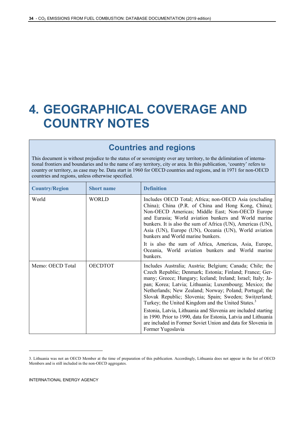## **4. GEOGRAPHICAL COVERAGE AND COUNTRY NOTES**

### **Countries and regions**

This document is without prejudice to the status of or sovereignty over any territory, to the delimitation of international frontiers and boundaries and to the name of any territory, city or area. In this publication, 'country' refers to country or territory, as case may be. Data start in 1960 for OECD countries and regions, and in 1971 for non-OECD countries and regions, unless otherwise specified.

| <b>Country/Region</b> | <b>Short name</b> | <b>Definition</b>                                                                                                                                                                                                                                                                                                                                                                                                                                                                                                                                                                                                                                           |
|-----------------------|-------------------|-------------------------------------------------------------------------------------------------------------------------------------------------------------------------------------------------------------------------------------------------------------------------------------------------------------------------------------------------------------------------------------------------------------------------------------------------------------------------------------------------------------------------------------------------------------------------------------------------------------------------------------------------------------|
| World                 | <b>WORLD</b>      | Includes OECD Total; Africa; non-OECD Asia (excluding<br>China); China (P.R. of China and Hong Kong, China);<br>Non-OECD Americas; Middle East; Non-OECD Europe<br>and Eurasia; World aviation bunkers and World marine<br>bunkers. It is also the sum of Africa (UN), Americas (UN),<br>Asia (UN), Europe (UN), Oceania (UN), World aviation<br>bunkers and World marine bunkers.<br>It is also the sum of Africa, Americas, Asia, Europe,<br>Oceania, World aviation bunkers and World marine<br>bunkers.                                                                                                                                                 |
| Memo: OECD Total      | <b>OECDTOT</b>    | Includes Australia; Austria; Belgium; Canada; Chile; the<br>Czech Republic; Denmark; Estonia; Finland; France; Ger-<br>many; Greece; Hungary; Iceland; Ireland; Israel; Italy; Ja-<br>pan; Korea; Latvia; Lithuania; Luxembourg; Mexico; the<br>Netherlands; New Zealand; Norway; Poland; Portugal; the<br>Slovak Republic; Slovenia; Spain; Sweden; Switzerland;<br>Turkey; the United Kingdom and the United States. <sup>3</sup><br>Estonia, Latvia, Lithuania and Slovenia are included starting<br>in 1990. Prior to 1990, data for Estonia, Latvia and Lithuania<br>are included in Former Soviet Union and data for Slovenia in<br>Former Yugoslavia |

<sup>3.</sup> Lithuania was not an OECD Member at the time of preparation of this publication. Accordingly, Lithuania does not appear in the list of OECD Members and is still included in the non-OECD aggregates.

INTERNATIONAL ENERGY AGENCY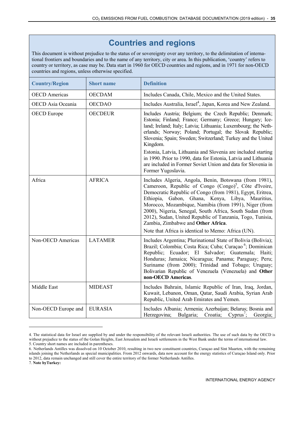## **Countries and regions**

This document is without prejudice to the status of or sovereignty over any territory, to the delimitation of international frontiers and boundaries and to the name of any territory, city or area. In this publication, 'country' refers to country or territory, as case may be. Data start in 1960 for OECD countries and regions, and in 1971 for non-OECD countries and regions, unless otherwise specified.

| <b>Country/Region</b> | <b>Short name</b> | <b>Definition</b>                                                                                                                                                                                                                                                                                                                                                                                                                                                                                                           |
|-----------------------|-------------------|-----------------------------------------------------------------------------------------------------------------------------------------------------------------------------------------------------------------------------------------------------------------------------------------------------------------------------------------------------------------------------------------------------------------------------------------------------------------------------------------------------------------------------|
| <b>OECD</b> Americas  | <b>OECDAM</b>     | Includes Canada, Chile, Mexico and the United States.                                                                                                                                                                                                                                                                                                                                                                                                                                                                       |
| OECD Asia Oceania     | <b>OECDAO</b>     | Includes Australia, Israel <sup>4</sup> , Japan, Korea and New Zealand.                                                                                                                                                                                                                                                                                                                                                                                                                                                     |
| <b>OECD</b> Europe    | <b>OECDEUR</b>    | Includes Austria; Belgium; the Czech Republic; Denmark;<br>Estonia; Finland; France; Germany; Greece; Hungary; Ice-<br>land; Ireland; Italy; Latvia; Lithuania; Luxembourg; the Neth-<br>erlands; Norway; Poland; Portugal; the Slovak Republic;<br>Slovenia; Spain; Sweden; Switzerland; Turkey and the United<br>Kingdom.                                                                                                                                                                                                 |
|                       |                   | Estonia, Latvia, Lithuania and Slovenia are included starting<br>in 1990. Prior to 1990, data for Estonia, Latvia and Lithuania<br>are included in Former Soviet Union and data for Slovenia in<br>Former Yugoslavia.                                                                                                                                                                                                                                                                                                       |
| Africa                | <b>AFRICA</b>     | Includes Algeria, Angola, Benin, Botswana (from 1981),<br>Cameroon, Republic of Congo (Congo) <sup>5</sup> , Côte d'Ivoire,<br>Democratic Republic of Congo (from 1981), Egypt, Eritrea,<br>Ethiopia, Gabon, Ghana, Kenya, Libya, Mauritius,<br>Morocco, Mozambique, Namibia (from 1991), Niger (from<br>2000), Nigeria, Senegal, South Africa, South Sudan (from<br>2012), Sudan, United Republic of Tanzania, Togo, Tunisia,<br>Zambia, Zimbabwe and Other Africa.<br>Note that Africa is identical to Memo: Africa (UN). |
| Non-OECD Americas     | <b>LATAMER</b>    | Includes Argentina; Plurinational State of Bolivia (Bolivia);<br>Brazil; Colombia; Costa Rica; Cuba; Curaçao <sup>6</sup> ; Dominican<br>Republic; Ecuador; El Salvador; Guatemala; Haiti;<br>Honduras; Jamaica; Nicaragua; Panama; Paraguay; Peru;<br>Suriname (from 2000); Trinidad and Tobago; Uruguay;<br>Bolivarian Republic of Venezuela (Venezuela) and Other<br>non-OECD Americas.                                                                                                                                  |
| Middle East           | <b>MIDEAST</b>    | Includes Bahrain, Islamic Republic of Iran, Iraq, Jordan,<br>Kuwait, Lebanon, Oman, Qatar, Saudi Arabia, Syrian Arab<br>Republic, United Arab Emirates and Yemen.                                                                                                                                                                                                                                                                                                                                                           |
| Non-OECD Europe and   | <b>EURASIA</b>    | Includes Albania; Armenia; Azerbaijan; Belarus; Bosnia and<br>Cyprus $^{\prime}$ ;<br>Herzegovina;<br>Bulgaria;<br>Croatia;<br>Georgia;                                                                                                                                                                                                                                                                                                                                                                                     |

<sup>4.</sup> The statistical data for Israel are supplied by and under the responsibility of the relevant Israeli authorities. The use of such data by the OECD is without prejudice to the status of the Golan Heights, East Jerusalem and Israeli settlements in the West Bank under the terms of international law. 5. Country short names are included in parentheses.

7. **Note byTurkey:**

<sup>6.</sup> Netherlands Antilles was dissolved on 10 October 2010, resulting in two new constituent countries, Curaçao and Sint Maarten, with the remaining islands joining the Netherlands as special municipalities. From 2012 onwards, data now account for the energy statistics of Curaçao Island only. Prior to 2012, data remain unchanged and still cover the entire territory of the former Netherlands Antilles.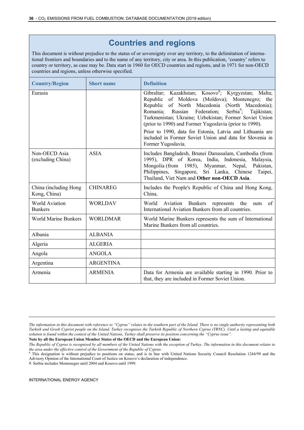#### **Countries and regions**

This document is without prejudice to the status of or sovereignty over any territory, to the delimitation of international frontiers and boundaries and to the name of any territory, city or area. In this publication, 'country' refers to country or territory, as case may be. Data start in 1960 for OECD countries and regions, and in 1971 for non-OECD countries and regions, unless otherwise specified.

| <b>Country/Region</b>                   | <b>Short name</b> | <b>Definition</b>                                                                                                                                                                                                                                                                                                                                                                                                                                                                                                        |
|-----------------------------------------|-------------------|--------------------------------------------------------------------------------------------------------------------------------------------------------------------------------------------------------------------------------------------------------------------------------------------------------------------------------------------------------------------------------------------------------------------------------------------------------------------------------------------------------------------------|
| Eurasia                                 |                   | Gibraltar; Kazakhstan; Kosovo <sup>8</sup> ; Kyrgyzstan; Malta;<br>Republic of Moldova (Moldova); Montenegro; the<br>of North Macedonia (North Macedonia);<br>Republic<br>Serbia $\frac{9}{2}$ ;<br>Tajikistan;<br>Federation;<br>Russian<br>Romania;<br>Turkmenistan; Ukraine; Uzbekistan; Former Soviet Union<br>(prior to 1990) and Former Yugoslavia (prior to 1990).<br>Prior to 1990, data for Estonia, Latvia and Lithuania are<br>included in Former Soviet Union and data for Slovenia in<br>Former Yugoslavia. |
| Non-OECD Asia<br>(excluding China)      | <b>ASIA</b>       | Includes Bangladesh, Brunei Darussalam, Cambodia (from<br>1995), DPR of Korea, India, Indonesia,<br>Malaysia,<br>Mongolia (from 1985), Myanmar,<br>Nepal,<br>Pakistan,<br>Philippines, Singapore, Sri Lanka, Chinese<br>Taipei,<br>Thailand, Viet Nam and Other non-OECD Asia.                                                                                                                                                                                                                                           |
| China (including Hong<br>Kong, China)   | <b>CHINAREG</b>   | Includes the People's Republic of China and Hong Kong,<br>China.                                                                                                                                                                                                                                                                                                                                                                                                                                                         |
| <b>World Aviation</b><br><b>Bunkers</b> | <b>WORLDAV</b>    | Aviation Bunkers represents the<br>World<br>sum<br>of<br>International Aviation Bunkers from all countries.                                                                                                                                                                                                                                                                                                                                                                                                              |
| <b>World Marine Bunkers</b>             | <b>WORLDMAR</b>   | World Marine Bunkers represents the sum of International<br>Marine Bunkers from all countries.                                                                                                                                                                                                                                                                                                                                                                                                                           |
| Albania                                 | <b>ALBANIA</b>    |                                                                                                                                                                                                                                                                                                                                                                                                                                                                                                                          |
| Algeria                                 | <b>ALGERIA</b>    |                                                                                                                                                                                                                                                                                                                                                                                                                                                                                                                          |
| Angola                                  | <b>ANGOLA</b>     |                                                                                                                                                                                                                                                                                                                                                                                                                                                                                                                          |
| Argentina                               | <b>ARGENTINA</b>  |                                                                                                                                                                                                                                                                                                                                                                                                                                                                                                                          |
| Armenia                                 | <b>ARMENIA</b>    | Data for Armenia are available starting in 1990. Prior to<br>that, they are included in Former Soviet Union.                                                                                                                                                                                                                                                                                                                                                                                                             |

**Note by all the European Union Member States of the OECD and the European Union:** 

9. Serbia includes Montenegro until 2004 and Kosovo until 1999.

INTERNATIONAL ENERGY AGENCY

*The information in this document with reference to "Cyprus" relates to the southern part of the Island. There is no single authority representing both Turkish and Greek Cypriot people on the Island. Turkey recognises the Turkish Republic of Northern Cyprus (TRNC). Until a lasting and equitable solution is found within the context of the United Nations, Turkey shall preserve its position concerning the "Cyprus issue".* 

*The Republic of Cyprus is recognised by all members of the United Nations with the exception of Turkey. The information in this document relates to the area under the effective control of the Government of the Republic of Cyprus.*

<sup>&</sup>lt;sup>8</sup> This designation is without prejudice to positions on status, and is in line with United Nations Security Council Resolution 1244/99 and the Advisory Opinion of the International Court of Justice on Kosovo's declaration of independence.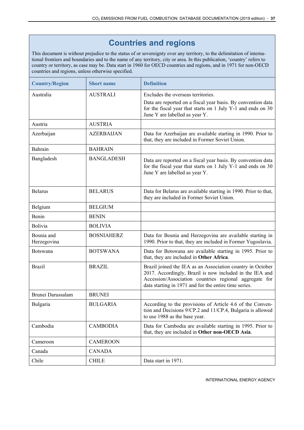This document is without prejudice to the status of or sovereignty over any territory, to the delimitation of international frontiers and boundaries and to the name of any territory, city or area. In this publication, 'country' refers to country or territory, as case may be. Data start in 1960 for OECD countries and regions, and in 1971 for non-OECD countries and regions, unless otherwise specified.

| <b>Country/Region</b>     | <b>Short name</b> | <b>Definition</b>                                                                                                                                                                                                                         |
|---------------------------|-------------------|-------------------------------------------------------------------------------------------------------------------------------------------------------------------------------------------------------------------------------------------|
| Australia                 | <b>AUSTRALI</b>   | Excludes the overseas territories.                                                                                                                                                                                                        |
|                           |                   | Data are reported on a fiscal year basis. By convention data<br>for the fiscal year that starts on 1 July Y-1 and ends on 30<br>June Y are labelled as year Y.                                                                            |
| Austria                   | <b>AUSTRIA</b>    |                                                                                                                                                                                                                                           |
| Azerbaijan                | <b>AZERBAIJAN</b> | Data for Azerbaijan are available starting in 1990. Prior to<br>that, they are included in Former Soviet Union.                                                                                                                           |
| Bahrain                   | <b>BAHRAIN</b>    |                                                                                                                                                                                                                                           |
| Bangladesh                | <b>BANGLADESH</b> | Data are reported on a fiscal year basis. By convention data<br>for the fiscal year that starts on 1 July Y-1 and ends on 30<br>June Y are labelled as year Y.                                                                            |
| <b>Belarus</b>            | <b>BELARUS</b>    | Data for Belarus are available starting in 1990. Prior to that,<br>they are included in Former Soviet Union.                                                                                                                              |
| Belgium                   | <b>BELGIUM</b>    |                                                                                                                                                                                                                                           |
| Benin                     | <b>BENIN</b>      |                                                                                                                                                                                                                                           |
| <b>Bolivia</b>            | <b>BOLIVIA</b>    |                                                                                                                                                                                                                                           |
| Bosnia and<br>Herzegovina | <b>BOSNIAHERZ</b> | Data for Bosnia and Herzegovina are available starting in<br>1990. Prior to that, they are included in Former Yugoslavia.                                                                                                                 |
| <b>Botswana</b>           | <b>BOTSWANA</b>   | Data for Botswana are available starting in 1995. Prior to<br>that, they are included in Other Africa.                                                                                                                                    |
| <b>Brazil</b>             | <b>BRAZIL</b>     | Brazil joined the IEA as an Association country in October<br>2017. Accordingly, Brazil is now included in the IEA and<br>Accession/Association countries regional aggregate for<br>data starting in 1971 and for the entire time series. |
| Brunei Darussalam         | <b>BRUNEI</b>     |                                                                                                                                                                                                                                           |
| Bulgaria                  | <b>BULGARIA</b>   | According to the provisions of Article 4.6 of the Conven-<br>tion and Decisions 9/CP.2 and 11/CP.4, Bulgaria is allowed<br>to use 1988 as the base year.                                                                                  |
| Cambodia                  | <b>CAMBODIA</b>   | Data for Cambodia are available starting in 1995. Prior to<br>that, they are included in Other non-OECD Asia.                                                                                                                             |
| Cameroon                  | <b>CAMEROON</b>   |                                                                                                                                                                                                                                           |
| Canada                    | <b>CANADA</b>     |                                                                                                                                                                                                                                           |
| Chile                     | <b>CHILE</b>      | Data start in 1971.                                                                                                                                                                                                                       |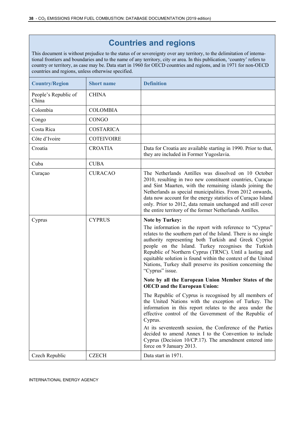This document is without prejudice to the status of or sovereignty over any territory, to the delimitation of international frontiers and boundaries and to the name of any territory, city or area. In this publication, 'country' refers to country or territory, as case may be. Data start in 1960 for OECD countries and regions, and in 1971 for non-OECD countries and regions, unless otherwise specified.

| <b>Country/Region</b>         | <b>Short name</b> | <b>Definition</b>                                                                                                                                                                                                                                                                                                                                                                                                                                                                |
|-------------------------------|-------------------|----------------------------------------------------------------------------------------------------------------------------------------------------------------------------------------------------------------------------------------------------------------------------------------------------------------------------------------------------------------------------------------------------------------------------------------------------------------------------------|
| People's Republic of<br>China | <b>CHINA</b>      |                                                                                                                                                                                                                                                                                                                                                                                                                                                                                  |
| Colombia                      | <b>COLOMBIA</b>   |                                                                                                                                                                                                                                                                                                                                                                                                                                                                                  |
| Congo                         | <b>CONGO</b>      |                                                                                                                                                                                                                                                                                                                                                                                                                                                                                  |
| Costa Rica                    | <b>COSTARICA</b>  |                                                                                                                                                                                                                                                                                                                                                                                                                                                                                  |
| Côte d'Ivoire                 | <b>COTEIVOIRE</b> |                                                                                                                                                                                                                                                                                                                                                                                                                                                                                  |
| Croatia                       | <b>CROATIA</b>    | Data for Croatia are available starting in 1990. Prior to that,<br>they are included in Former Yugoslavia.                                                                                                                                                                                                                                                                                                                                                                       |
| Cuba                          | <b>CUBA</b>       |                                                                                                                                                                                                                                                                                                                                                                                                                                                                                  |
| Curaçao                       | <b>CURACAO</b>    | The Netherlands Antilles was dissolved on 10 October<br>2010, resulting in two new constituent countries, Curaçao<br>and Sint Maarten, with the remaining islands joining the<br>Netherlands as special municipalities. From 2012 onwards,<br>data now account for the energy statistics of Curaçao Island<br>only. Prior to 2012, data remain unchanged and still cover<br>the entire territory of the former Netherlands Antilles.                                             |
| Cyprus                        | <b>CYPRUS</b>     | <b>Note by Turkey:</b><br>The information in the report with reference to "Cyprus"<br>relates to the southern part of the Island. There is no single<br>authority representing both Turkish and Greek Cypriot<br>people on the Island. Turkey recognises the Turkish<br>Republic of Northern Cyprus (TRNC). Until a lasting and<br>equitable solution is found within the context of the United<br>Nations, Turkey shall preserve its position concerning the<br>"Cyprus" issue. |
|                               |                   | Note by all the European Union Member States of the<br><b>OECD</b> and the European Union:                                                                                                                                                                                                                                                                                                                                                                                       |
|                               |                   | The Republic of Cyprus is recognised by all members of<br>the United Nations with the exception of Turkey. The<br>information in this report relates to the area under the<br>effective control of the Government of the Republic of<br>Cyprus.                                                                                                                                                                                                                                  |
|                               |                   | At its seventeenth session, the Conference of the Parties<br>decided to amend Annex I to the Convention to include<br>Cyprus (Decision 10/CP.17). The amendment entered into<br>force on 9 January 2013.                                                                                                                                                                                                                                                                         |
| Czech Republic                | <b>CZECH</b>      | Data start in 1971.                                                                                                                                                                                                                                                                                                                                                                                                                                                              |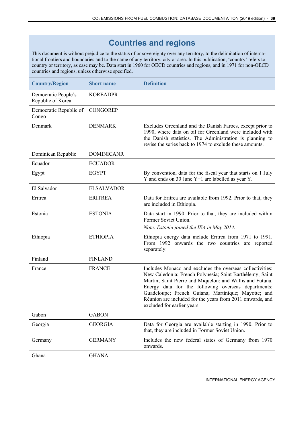This document is without prejudice to the status of or sovereignty over any territory, to the delimitation of international frontiers and boundaries and to the name of any territory, city or area. In this publication, 'country' refers to country or territory, as case may be. Data start in 1960 for OECD countries and regions, and in 1971 for non-OECD countries and regions, unless otherwise specified.

| <b>Country/Region</b>                    | <b>Short name</b> | <b>Definition</b>                                                                                                                                                                                                                                                                                                                                                                            |
|------------------------------------------|-------------------|----------------------------------------------------------------------------------------------------------------------------------------------------------------------------------------------------------------------------------------------------------------------------------------------------------------------------------------------------------------------------------------------|
| Democratic People's<br>Republic of Korea | <b>KOREADPR</b>   |                                                                                                                                                                                                                                                                                                                                                                                              |
| Democratic Republic of<br>Congo          | <b>CONGOREP</b>   |                                                                                                                                                                                                                                                                                                                                                                                              |
| Denmark                                  | <b>DENMARK</b>    | Excludes Greenland and the Danish Faroes, except prior to<br>1990, where data on oil for Greenland were included with<br>the Danish statistics. The Administration is planning to<br>revise the series back to 1974 to exclude these amounts.                                                                                                                                                |
| Dominican Republic                       | <b>DOMINICANR</b> |                                                                                                                                                                                                                                                                                                                                                                                              |
| Ecuador                                  | <b>ECUADOR</b>    |                                                                                                                                                                                                                                                                                                                                                                                              |
| Egypt                                    | <b>EGYPT</b>      | By convention, data for the fiscal year that starts on 1 July<br>Y and ends on 30 June Y+1 are labelled as year Y.                                                                                                                                                                                                                                                                           |
| El Salvador                              | <b>ELSALVADOR</b> |                                                                                                                                                                                                                                                                                                                                                                                              |
| Eritrea                                  | <b>ERITREA</b>    | Data for Eritrea are available from 1992. Prior to that, they<br>are included in Ethiopia.                                                                                                                                                                                                                                                                                                   |
| Estonia                                  | <b>ESTONIA</b>    | Data start in 1990. Prior to that, they are included within<br>Former Soviet Union.                                                                                                                                                                                                                                                                                                          |
|                                          |                   | Note: Estonia joined the IEA in May 2014.                                                                                                                                                                                                                                                                                                                                                    |
| Ethiopia                                 | <b>ETHIOPIA</b>   | Ethiopia energy data include Eritrea from 1971 to 1991.<br>From 1992 onwards the two countries are reported<br>separately.                                                                                                                                                                                                                                                                   |
| Finland                                  | <b>FINLAND</b>    |                                                                                                                                                                                                                                                                                                                                                                                              |
| France                                   | <b>FRANCE</b>     | Includes Monaco and excludes the overseas collectivities:<br>New Caledonia; French Polynesia; Saint Barthélemy; Saint<br>Martin; Saint Pierre and Miquelon; and Wallis and Futuna.<br>Energy data for the following overseas departments:<br>Guadeloupe; French Guiana; Martinique; Mayotte; and<br>Réunion are included for the years from 2011 onwards, and<br>excluded for earlier years. |
| Gabon                                    | <b>GABON</b>      |                                                                                                                                                                                                                                                                                                                                                                                              |
| Georgia                                  | <b>GEORGIA</b>    | Data for Georgia are available starting in 1990. Prior to<br>that, they are included in Former Soviet Union.                                                                                                                                                                                                                                                                                 |
| Germany                                  | <b>GERMANY</b>    | Includes the new federal states of Germany from 1970<br>onwards.                                                                                                                                                                                                                                                                                                                             |
| Ghana                                    | <b>GHANA</b>      |                                                                                                                                                                                                                                                                                                                                                                                              |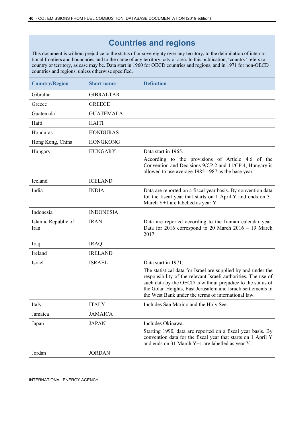This document is without prejudice to the status of or sovereignty over any territory, to the delimitation of international frontiers and boundaries and to the name of any territory, city or area. In this publication, 'country' refers to country or territory, as case may be. Data start in 1960 for OECD countries and regions, and in 1971 for non-OECD countries and regions, unless otherwise specified.

| <b>Country/Region</b>       | <b>Short name</b> | <b>Definition</b>                                                                                                                                                                                                                                                                                                     |
|-----------------------------|-------------------|-----------------------------------------------------------------------------------------------------------------------------------------------------------------------------------------------------------------------------------------------------------------------------------------------------------------------|
| Gibraltar                   | <b>GIBRALTAR</b>  |                                                                                                                                                                                                                                                                                                                       |
| Greece                      | <b>GREECE</b>     |                                                                                                                                                                                                                                                                                                                       |
| Guatemala                   | <b>GUATEMALA</b>  |                                                                                                                                                                                                                                                                                                                       |
| Haiti                       | <b>HAITI</b>      |                                                                                                                                                                                                                                                                                                                       |
| Honduras                    | <b>HONDURAS</b>   |                                                                                                                                                                                                                                                                                                                       |
| Hong Kong, China            | <b>HONGKONG</b>   |                                                                                                                                                                                                                                                                                                                       |
| Hungary                     | <b>HUNGARY</b>    | Data start in 1965.                                                                                                                                                                                                                                                                                                   |
|                             |                   | According to the provisions of Article 4.6 of the<br>Convention and Decisions 9/CP.2 and 11/CP.4, Hungary is<br>allowed to use average 1985-1987 as the base year.                                                                                                                                                    |
| Iceland                     | <b>ICELAND</b>    |                                                                                                                                                                                                                                                                                                                       |
| India                       | <b>INDIA</b>      | Data are reported on a fiscal year basis. By convention data<br>for the fiscal year that starts on 1 April Y and ends on 31<br>March Y+1 are labelled as year Y.                                                                                                                                                      |
| Indonesia                   | <b>INDONESIA</b>  |                                                                                                                                                                                                                                                                                                                       |
| Islamic Republic of<br>Iran | <b>IRAN</b>       | Data are reported according to the Iranian calendar year.<br>Data for 2016 correspond to 20 March 2016 - 19 March<br>2017.                                                                                                                                                                                            |
| Iraq                        | <b>IRAQ</b>       |                                                                                                                                                                                                                                                                                                                       |
| Ireland                     | <b>IRELAND</b>    |                                                                                                                                                                                                                                                                                                                       |
| Israel                      | <b>ISRAEL</b>     | Data start in 1971.                                                                                                                                                                                                                                                                                                   |
|                             |                   | The statistical data for Israel are supplied by and under the<br>responsibility of the relevant Israeli authorities. The use of<br>such data by the OECD is without prejudice to the status of<br>the Golan Heights, East Jerusalem and Israeli settlements in<br>the West Bank under the terms of international law. |
| Italy                       | <b>ITALY</b>      | Includes San Marino and the Holy See.                                                                                                                                                                                                                                                                                 |
| Jamaica                     | <b>JAMAICA</b>    |                                                                                                                                                                                                                                                                                                                       |
| Japan                       | <b>JAPAN</b>      | Includes Okinawa.<br>Starting 1990, data are reported on a fiscal year basis. By<br>convention data for the fiscal year that starts on 1 April Y<br>and ends on 31 March Y+1 are labelled as year Y.                                                                                                                  |
| Jordan                      | <b>JORDAN</b>     |                                                                                                                                                                                                                                                                                                                       |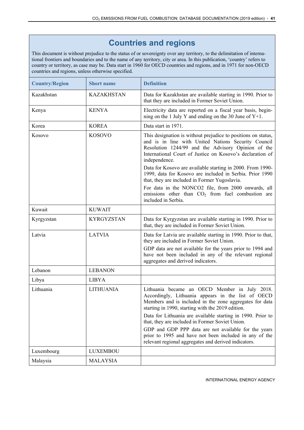This document is without prejudice to the status of or sovereignty over any territory, to the delimitation of international frontiers and boundaries and to the name of any territory, city or area. In this publication, 'country' refers to country or territory, as case may be. Data start in 1960 for OECD countries and regions, and in 1971 for non-OECD countries and regions, unless otherwise specified.

| <b>Country/Region</b> | <b>Short name</b> | <b>Definition</b>                                                                                                                                                                                                                                        |
|-----------------------|-------------------|----------------------------------------------------------------------------------------------------------------------------------------------------------------------------------------------------------------------------------------------------------|
| Kazakhstan            | <b>KAZAKHSTAN</b> | Data for Kazakhstan are available starting in 1990. Prior to<br>that they are included in Former Soviet Union.                                                                                                                                           |
| Kenya                 | <b>KENYA</b>      | Electricity data are reported on a fiscal year basis, begin-<br>ning on the 1 July Y and ending on the 30 June of $Y+1$ .                                                                                                                                |
| Korea                 | <b>KOREA</b>      | Data start in 1971.                                                                                                                                                                                                                                      |
| Kosovo                | <b>KOSOVO</b>     | This designation is without prejudice to positions on status,<br>and is in line with United Nations Security Council<br>Resolution 1244/99 and the Advisory Opinion of the<br>International Court of Justice on Kosovo's declaration of<br>independence. |
|                       |                   | Data for Kosovo are available starting in 2000. From 1990-<br>1999, data for Kosovo are included in Serbia. Prior 1990<br>that, they are included in Former Yugoslavia.                                                                                  |
|                       |                   | For data in the NONCO2 file, from 2000 onwards, all<br>emissions other than $CO2$ from fuel combustion are<br>included in Serbia.                                                                                                                        |
| Kuwait                | <b>KUWAIT</b>     |                                                                                                                                                                                                                                                          |
| Kyrgyzstan            | <b>KYRGYZSTAN</b> | Data for Kyrgyzstan are available starting in 1990. Prior to<br>that, they are included in Former Soviet Union.                                                                                                                                          |
| Latvia                | <b>LATVIA</b>     | Data for Latvia are available starting in 1990. Prior to that,<br>they are included in Former Soviet Union.                                                                                                                                              |
|                       |                   | GDP data are not available for the years prior to 1994 and<br>have not been included in any of the relevant regional<br>aggregates and derived indicators.                                                                                               |
| Lebanon               | <b>LEBANON</b>    |                                                                                                                                                                                                                                                          |
| Libya                 | <b>LIBYA</b>      |                                                                                                                                                                                                                                                          |
| Lithuania             | <b>LITHUANIA</b>  | Lithuania became an OECD Member in July 2018.<br>Accordingly, Lithuania appears in the list of OECD<br>Members and is included in the zone aggregates for data<br>starting in 1990, starting with the 2019 edition.                                      |
|                       |                   | Data for Lithuania are available starting in 1990. Prior to<br>that, they are included in Former Soviet Union.                                                                                                                                           |
|                       |                   | GDP and GDP PPP data are not available for the years<br>prior to 1995 and have not been included in any of the<br>relevant regional aggregates and derived indicators.                                                                                   |
| Luxembourg            | <b>LUXEMBOU</b>   |                                                                                                                                                                                                                                                          |
| Malaysia              | <b>MALAYSIA</b>   |                                                                                                                                                                                                                                                          |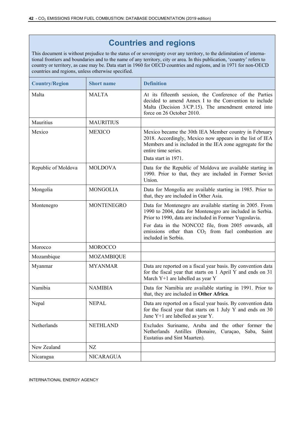This document is without prejudice to the status of or sovereignty over any territory, to the delimitation of international frontiers and boundaries and to the name of any territory, city or area. In this publication, 'country' refers to country or territory, as case may be. Data start in 1960 for OECD countries and regions, and in 1971 for non-OECD countries and regions, unless otherwise specified.

| <b>Country/Region</b> | <b>Short name</b> | <b>Definition</b>                                                                                                                                                                                                                      |
|-----------------------|-------------------|----------------------------------------------------------------------------------------------------------------------------------------------------------------------------------------------------------------------------------------|
| Malta                 | <b>MALTA</b>      | At its fifteenth session, the Conference of the Parties<br>decided to amend Annex I to the Convention to include<br>Malta (Decision 3/CP.15). The amendment entered into<br>force on 26 October 2010.                                  |
| Mauritius             | <b>MAURITIUS</b>  |                                                                                                                                                                                                                                        |
| Mexico                | <b>MEXICO</b>     | Mexico became the 30th IEA Member country in February<br>2018. Accordingly, Mexico now appears in the list of IEA<br>Members and is included in the IEA zone aggregate for the<br>entire time series.                                  |
|                       |                   | Data start in 1971.                                                                                                                                                                                                                    |
| Republic of Moldova   | <b>MOLDOVA</b>    | Data for the Republic of Moldova are available starting in<br>1990. Prior to that, they are included in Former Soviet<br>Union.                                                                                                        |
| Mongolia              | <b>MONGOLIA</b>   | Data for Mongolia are available starting in 1985. Prior to<br>that, they are included in Other Asia.                                                                                                                                   |
| Montenegro            | <b>MONTENEGRO</b> | Data for Montenegro are available starting in 2005. From<br>1990 to 2004, data for Montenegro are included in Serbia.<br>Prior to 1990, data are included in Former Yugoslavia.<br>For data in the NONCO2 file, from 2005 onwards, all |
|                       |                   | emissions other than $CO2$ from fuel combustion are<br>included in Serbia.                                                                                                                                                             |
| Morocco               | <b>MOROCCO</b>    |                                                                                                                                                                                                                                        |
| Mozambique            | <b>MOZAMBIQUE</b> |                                                                                                                                                                                                                                        |
| Myanmar               | <b>MYANMAR</b>    | Data are reported on a fiscal year basis. By convention data<br>for the fiscal year that starts on 1 April Y and ends on 31<br>March Y+1 are labelled as year Y                                                                        |
| Namibia               | <b>NAMIBIA</b>    | Data for Namibia are available starting in 1991. Prior to<br>that, they are included in Other Africa.                                                                                                                                  |
| Nepal                 | <b>NEPAL</b>      | Data are reported on a fiscal year basis. By convention data<br>for the fiscal year that starts on 1 July Y and ends on 30<br>June Y+1 are labelled as year Y.                                                                         |
| Netherlands           | <b>NETHLAND</b>   | Excludes Suriname, Aruba and the other former the<br>Netherlands Antilles (Bonaire, Curaçao, Saba, Saint<br>Eustatius and Sint Maarten).                                                                                               |
| New Zealand           | NZ                |                                                                                                                                                                                                                                        |
| Nicaragua             | <b>NICARAGUA</b>  |                                                                                                                                                                                                                                        |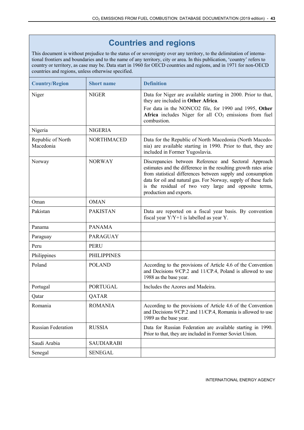This document is without prejudice to the status of or sovereignty over any territory, to the delimitation of international frontiers and boundaries and to the name of any territory, city or area. In this publication, 'country' refers to country or territory, as case may be. Data start in 1960 for OECD countries and regions, and in 1971 for non-OECD countries and regions, unless otherwise specified.

| <b>Country/Region</b>          | <b>Short name</b>  | <b>Definition</b>                                                                                                                                                                                                                                                                                                                               |
|--------------------------------|--------------------|-------------------------------------------------------------------------------------------------------------------------------------------------------------------------------------------------------------------------------------------------------------------------------------------------------------------------------------------------|
| Niger                          | <b>NIGER</b>       | Data for Niger are available starting in 2000. Prior to that,<br>they are included in Other Africa.<br>For data in the NONCO2 file, for 1990 and 1995, Other<br>Africa includes Niger for all $CO2$ emissions from fuel<br>combustion.                                                                                                          |
| Nigeria                        | <b>NIGERIA</b>     |                                                                                                                                                                                                                                                                                                                                                 |
| Republic of North<br>Macedonia | <b>NORTHMACED</b>  | Data for the Republic of North Macedonia (North Macedo-<br>nia) are available starting in 1990. Prior to that, they are<br>included in Former Yugoslavia.                                                                                                                                                                                       |
| Norway                         | <b>NORWAY</b>      | Discrepancies between Reference and Sectoral Approach<br>estimates and the difference in the resulting growth rates arise<br>from statistical differences between supply and consumption<br>data for oil and natural gas. For Norway, supply of these fuels<br>is the residual of two very large and opposite terms,<br>production and exports. |
| Oman                           | <b>OMAN</b>        |                                                                                                                                                                                                                                                                                                                                                 |
| Pakistan                       | <b>PAKISTAN</b>    | Data are reported on a fiscal year basis. By convention<br>fiscal year Y/Y+1 is labelled as year Y.                                                                                                                                                                                                                                             |
| Panama                         | <b>PANAMA</b>      |                                                                                                                                                                                                                                                                                                                                                 |
| Paraguay                       | <b>PARAGUAY</b>    |                                                                                                                                                                                                                                                                                                                                                 |
| Peru                           | <b>PERU</b>        |                                                                                                                                                                                                                                                                                                                                                 |
| Philippines                    | <b>PHILIPPINES</b> |                                                                                                                                                                                                                                                                                                                                                 |
| Poland                         | <b>POLAND</b>      | According to the provisions of Article 4.6 of the Convention<br>and Decisions 9/CP.2 and 11/CP.4, Poland is allowed to use<br>1988 as the base year.                                                                                                                                                                                            |
| Portugal                       | <b>PORTUGAL</b>    | Includes the Azores and Madeira.                                                                                                                                                                                                                                                                                                                |
| Qatar                          | QATAR              |                                                                                                                                                                                                                                                                                                                                                 |
| Romania                        | <b>ROMANIA</b>     | According to the provisions of Article 4.6 of the Convention<br>and Decisions 9/CP.2 and 11/CP.4, Romania is allowed to use<br>1989 as the base year.                                                                                                                                                                                           |
| <b>Russian Federation</b>      | <b>RUSSIA</b>      | Data for Russian Federation are available starting in 1990.<br>Prior to that, they are included in Former Soviet Union.                                                                                                                                                                                                                         |
| Saudi Arabia                   | <b>SAUDIARABI</b>  |                                                                                                                                                                                                                                                                                                                                                 |
| Senegal                        | <b>SENEGAL</b>     |                                                                                                                                                                                                                                                                                                                                                 |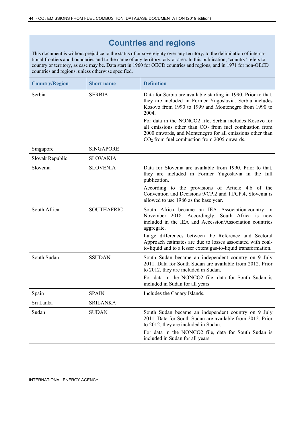This document is without prejudice to the status of or sovereignty over any territory, to the delimitation of international frontiers and boundaries and to the name of any territory, city or area. In this publication, 'country' refers to country or territory, as case may be. Data start in 1960 for OECD countries and regions, and in 1971 for non-OECD countries and regions, unless otherwise specified.

| <b>Country/Region</b> | <b>Short name</b> | <b>Definition</b>                                                                                                                                                                                                                                                                                                      |
|-----------------------|-------------------|------------------------------------------------------------------------------------------------------------------------------------------------------------------------------------------------------------------------------------------------------------------------------------------------------------------------|
| Serbia                | <b>SERBIA</b>     | Data for Serbia are available starting in 1990. Prior to that,<br>they are included in Former Yugoslavia. Serbia includes<br>Kosovo from 1990 to 1999 and Montenegro from 1990 to<br>2004.                                                                                                                             |
|                       |                   | For data in the NONCO2 file, Serbia includes Kosovo for<br>all emissions other than $CO2$ from fuel combustion from<br>2000 onwards, and Montenegro for all emissions other than<br>CO <sub>2</sub> from fuel combustion from 2005 onwards.                                                                            |
| Singapore             | <b>SINGAPORE</b>  |                                                                                                                                                                                                                                                                                                                        |
| Slovak Republic       | <b>SLOVAKIA</b>   |                                                                                                                                                                                                                                                                                                                        |
| Slovenia              | <b>SLOVENIA</b>   | Data for Slovenia are available from 1990. Prior to that,<br>they are included in Former Yugoslavia in the full<br>publication.                                                                                                                                                                                        |
|                       |                   | According to the provisions of Article 4.6 of the<br>Convention and Decisions 9/CP.2 and 11/CP.4, Slovenia is<br>allowed to use 1986 as the base year.                                                                                                                                                                 |
| South Africa          | <b>SOUTHAFRIC</b> | South Africa became an IEA Association country in<br>November 2018. Accordingly, South Africa is now<br>included in the IEA and Accession/Association countries<br>aggregate.<br>Large differences between the Reference and Sectoral<br>Approach estimates are due to losses associated with coal-                    |
| South Sudan           | <b>SSUDAN</b>     | to-liquid and to a lesser extent gas-to-liquid transformation.<br>South Sudan became an independent country on 9 July<br>2011. Data for South Sudan are available from 2012. Prior<br>to 2012, they are included in Sudan.<br>For data in the NONCO2 file, data for South Sudan is<br>included in Sudan for all years. |
| Spain                 | <b>SPAIN</b>      | Includes the Canary Islands.                                                                                                                                                                                                                                                                                           |
| Sri Lanka             | <b>SRILANKA</b>   |                                                                                                                                                                                                                                                                                                                        |
| Sudan                 | <b>SUDAN</b>      | South Sudan became an independent country on 9 July<br>2011. Data for South Sudan are available from 2012. Prior<br>to 2012, they are included in Sudan.                                                                                                                                                               |
|                       |                   | For data in the NONCO2 file, data for South Sudan is<br>included in Sudan for all years.                                                                                                                                                                                                                               |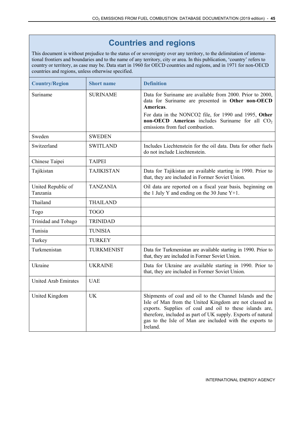This document is without prejudice to the status of or sovereignty over any territory, to the delimitation of international frontiers and boundaries and to the name of any territory, city or area. In this publication, 'country' refers to country or territory, as case may be. Data start in 1960 for OECD countries and regions, and in 1971 for non-OECD countries and regions, unless otherwise specified.

| <b>Country/Region</b>          | <b>Short name</b> | <b>Definition</b>                                                                                                                                                                                                                                                                                                    |
|--------------------------------|-------------------|----------------------------------------------------------------------------------------------------------------------------------------------------------------------------------------------------------------------------------------------------------------------------------------------------------------------|
| Suriname                       | <b>SURINAME</b>   | Data for Suriname are available from 2000. Prior to 2000,<br>data for Suriname are presented in Other non-OECD<br>Americas.                                                                                                                                                                                          |
|                                |                   | For data in the NONCO2 file, for 1990 and 1995, Other<br>non-OECD Americas includes Suriname for all $CO2$<br>emissions from fuel combustion.                                                                                                                                                                        |
| Sweden                         | <b>SWEDEN</b>     |                                                                                                                                                                                                                                                                                                                      |
| Switzerland                    | <b>SWITLAND</b>   | Includes Liechtenstein for the oil data. Data for other fuels<br>do not include Liechtenstein.                                                                                                                                                                                                                       |
| Chinese Taipei                 | <b>TAIPEI</b>     |                                                                                                                                                                                                                                                                                                                      |
| Tajikistan                     | <b>TAJIKISTAN</b> | Data for Tajikistan are available starting in 1990. Prior to<br>that, they are included in Former Soviet Union.                                                                                                                                                                                                      |
| United Republic of<br>Tanzania | <b>TANZANIA</b>   | Oil data are reported on a fiscal year basis, beginning on<br>the 1 July Y and ending on the 30 June $Y+1$ .                                                                                                                                                                                                         |
| Thailand                       | <b>THAILAND</b>   |                                                                                                                                                                                                                                                                                                                      |
| Togo                           | <b>TOGO</b>       |                                                                                                                                                                                                                                                                                                                      |
| Trinidad and Tobago            | <b>TRINIDAD</b>   |                                                                                                                                                                                                                                                                                                                      |
| Tunisia                        | <b>TUNISIA</b>    |                                                                                                                                                                                                                                                                                                                      |
| Turkey                         | <b>TURKEY</b>     |                                                                                                                                                                                                                                                                                                                      |
| Turkmenistan                   | <b>TURKMENIST</b> | Data for Turkmenistan are available starting in 1990. Prior to<br>that, they are included in Former Soviet Union.                                                                                                                                                                                                    |
| Ukraine                        | <b>UKRAINE</b>    | Data for Ukraine are available starting in 1990. Prior to<br>that, they are included in Former Soviet Union.                                                                                                                                                                                                         |
| <b>United Arab Emirates</b>    | <b>UAE</b>        |                                                                                                                                                                                                                                                                                                                      |
| United Kingdom                 | <b>UK</b>         | Shipments of coal and oil to the Channel Islands and the<br>Isle of Man from the United Kingdom are not classed as<br>exports. Supplies of coal and oil to these islands are,<br>therefore, included as part of UK supply. Exports of natural<br>gas to the Isle of Man are included with the exports to<br>Ireland. |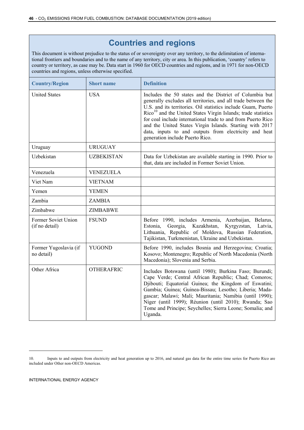This document is without prejudice to the status of or sovereignty over any territory, to the delimitation of international frontiers and boundaries and to the name of any territory, city or area. In this publication, 'country' refers to country or territory, as case may be. Data start in 1960 for OECD countries and regions, and in 1971 for non-OECD countries and regions, unless otherwise specified.

| <b>Country/Region</b>                 | <b>Short name</b> | <b>Definition</b>                                                                                                                                                                                                                                                                                                                                                                                                                                                                              |
|---------------------------------------|-------------------|------------------------------------------------------------------------------------------------------------------------------------------------------------------------------------------------------------------------------------------------------------------------------------------------------------------------------------------------------------------------------------------------------------------------------------------------------------------------------------------------|
| <b>United States</b>                  | <b>USA</b>        | Includes the 50 states and the District of Columbia but<br>generally excludes all territories, and all trade between the<br>U.S. and its territories. Oil statistics include Guam, Puerto<br>Rico <sup>10</sup> and the United States Virgin Islands; trade statistics<br>for coal include international trade to and from Puerto Rico<br>and the United States Virgin Islands. Starting with 2017<br>data, inputs to and outputs from electricity and heat<br>generation include Puerto Rico. |
| Uruguay                               | <b>URUGUAY</b>    |                                                                                                                                                                                                                                                                                                                                                                                                                                                                                                |
| Uzbekistan                            | <b>UZBEKISTAN</b> | Data for Uzbekistan are available starting in 1990. Prior to<br>that, data are included in Former Soviet Union.                                                                                                                                                                                                                                                                                                                                                                                |
| Venezuela                             | <b>VENEZUELA</b>  |                                                                                                                                                                                                                                                                                                                                                                                                                                                                                                |
| Viet Nam                              | <b>VIETNAM</b>    |                                                                                                                                                                                                                                                                                                                                                                                                                                                                                                |
| Yemen                                 | <b>YEMEN</b>      |                                                                                                                                                                                                                                                                                                                                                                                                                                                                                                |
| Zambia                                | <b>ZAMBIA</b>     |                                                                                                                                                                                                                                                                                                                                                                                                                                                                                                |
| Zimbabwe                              | <b>ZIMBABWE</b>   |                                                                                                                                                                                                                                                                                                                                                                                                                                                                                                |
| Former Soviet Union<br>(if no detail) | <b>FSUND</b>      | Before 1990, includes Armenia, Azerbaijan, Belarus,<br>Georgia, Kazakhstan,<br>Kyrgyzstan,<br>Estonia,<br>Latvia,<br>Lithuania, Republic of Moldova, Russian Federation,<br>Tajikistan, Turkmenistan, Ukraine and Uzbekistan.                                                                                                                                                                                                                                                                  |
| Former Yugoslavia (if<br>no detail)   | <b>YUGOND</b>     | Before 1990, includes Bosnia and Herzegovina; Croatia;<br>Kosovo; Montenegro; Republic of North Macedonia (North<br>Macedonia); Slovenia and Serbia.                                                                                                                                                                                                                                                                                                                                           |
| Other Africa                          | <b>OTHERAFRIC</b> | Includes Botswana (until 1980); Burkina Faso; Burundi;<br>Cape Verde; Central African Republic; Chad; Comoros;<br>Djibouti; Equatorial Guinea; the Kingdom of Eswatini;<br>Gambia; Guinea; Guinea-Bissau; Lesotho; Liberia; Mada-<br>gascar; Malawi; Mali; Mauritania; Namibia (until 1990);<br>Niger (until 1999); Réunion (until 2010); Rwanda; Sao<br>Tome and Principe; Seychelles; Sierra Leone; Somalia; and<br>Uganda.                                                                  |

<sup>10.</sup> Inputs to and outputs from electricity and heat generation up to 2016, and natural gas data for the entire time series for Puerto Rico are included under Other non-OECD Americas.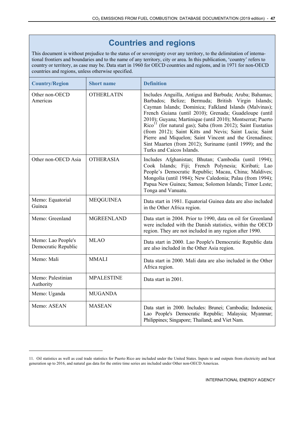This document is without prejudice to the status of or sovereignty over any territory, to the delimitation of international frontiers and boundaries and to the name of any territory, city or area. In this publication, 'country' refers to country or territory, as case may be. Data start in 1960 for OECD countries and regions, and in 1971 for non-OECD countries and regions, unless otherwise specified.

| <b>Country/Region</b>                     | <b>Short name</b> | <b>Definition</b>                                                                                                                                                                                                                                                                                                                                                                                                                                                                                                                                                             |
|-------------------------------------------|-------------------|-------------------------------------------------------------------------------------------------------------------------------------------------------------------------------------------------------------------------------------------------------------------------------------------------------------------------------------------------------------------------------------------------------------------------------------------------------------------------------------------------------------------------------------------------------------------------------|
| Other non-OECD<br>Americas                | <b>OTHERLATIN</b> | Includes Anguilla, Antigua and Barbuda; Aruba; Bahamas;<br>Barbados; Belize; Bermuda; British Virgin Islands;<br>Cayman Islands; Dominica; Falkland Islands (Malvinas);<br>French Guiana (until 2010); Grenada; Guadeloupe (until<br>2010); Guyana; Martinique (until 2010); Montserrat; Puerto<br>$Rico11$ (for natural gas); Saba (from 2012); Saint Eustatius<br>(from 2012); Saint Kitts and Nevis; Saint Lucia; Saint<br>Pierre and Miquelon; Saint Vincent and the Grenadines;<br>Sint Maarten (from 2012); Suriname (until 1999); and the<br>Turks and Caicos Islands. |
| Other non-OECD Asia                       | <b>OTHERASIA</b>  | Includes Afghanistan; Bhutan; Cambodia (until 1994);<br>Cook Islands; Fiji; French Polynesia; Kiribati; Lao<br>People's Democratic Republic; Macau, China; Maldives;<br>Mongolia (until 1984); New Caledonia; Palau (from 1994);<br>Papua New Guinea; Samoa; Solomon Islands; Timor Leste;<br>Tonga and Vanuatu.                                                                                                                                                                                                                                                              |
| Memo: Equatorial<br>Guinea                | <b>MEQGUINEA</b>  | Data start in 1981. Equatorial Guinea data are also included<br>in the Other Africa region.                                                                                                                                                                                                                                                                                                                                                                                                                                                                                   |
| Memo: Greenland                           | <b>MGREENLAND</b> | Data start in 2004. Prior to 1990, data on oil for Greenland<br>were included with the Danish statistics, within the OECD<br>region. They are not included in any region after 1990.                                                                                                                                                                                                                                                                                                                                                                                          |
| Memo: Lao People's<br>Democratic Republic | <b>MLAO</b>       | Data start in 2000. Lao People's Democratic Republic data<br>are also included in the Other Asia region.                                                                                                                                                                                                                                                                                                                                                                                                                                                                      |
| Memo: Mali                                | <b>MMALI</b>      | Data start in 2000. Mali data are also included in the Other<br>Africa region.                                                                                                                                                                                                                                                                                                                                                                                                                                                                                                |
| Memo: Palestinian<br>Authority            | <b>MPALESTINE</b> | Data start in 2001.                                                                                                                                                                                                                                                                                                                                                                                                                                                                                                                                                           |
| Memo: Uganda                              | <b>MUGANDA</b>    |                                                                                                                                                                                                                                                                                                                                                                                                                                                                                                                                                                               |
| Memo: ASEAN                               | <b>MASEAN</b>     | Data start in 2000. Includes: Brunei; Cambodia; Indonesia;<br>Lao People's Democratic Republic; Malaysia; Myanmar;<br>Philippines; Singapore; Thailand; and Viet Nam.                                                                                                                                                                                                                                                                                                                                                                                                         |

<sup>11.</sup> Oil statistics as well as coal trade statistics for Puerto Rico are included under the United States. Inputs to and outputs from electricity and heat generation up to 2016, and natural gas data for the entire time series are included under Other non-OECD Americas.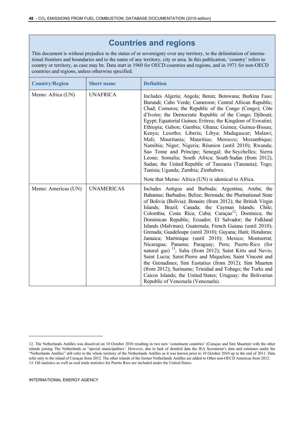This document is without prejudice to the status of or sovereignty over any territory, to the delimitation of international frontiers and boundaries and to the name of any territory, city or area. In this publication, 'country' refers to country or territory, as case may be. Data start in 1960 for OECD countries and regions, and in 1971 for non-OECD countries and regions, unless otherwise specified.

| <b>Country/Region</b> | <b>Short name</b> | <b>Definition</b>                                                                                                                                                                                                                                                                                                                                                                                                                                                                                                                                                                                                                                                                                                                                                                                                                                                                                                                                                                        |
|-----------------------|-------------------|------------------------------------------------------------------------------------------------------------------------------------------------------------------------------------------------------------------------------------------------------------------------------------------------------------------------------------------------------------------------------------------------------------------------------------------------------------------------------------------------------------------------------------------------------------------------------------------------------------------------------------------------------------------------------------------------------------------------------------------------------------------------------------------------------------------------------------------------------------------------------------------------------------------------------------------------------------------------------------------|
| Memo: Africa (UN)     | <b>UNAFRICA</b>   | Includes Algeria; Angola; Benin; Botswana; Burkina Faso;<br>Burundi; Cabo Verde; Cameroon; Central African Republic;<br>Chad; Comoros; the Republic of the Congo (Congo); Côte<br>d'Ivoire; the Democratic Republic of the Congo; Djibouti;<br>Egypt; Equatorial Guinea; Eritrea; the Kingdom of Eswatini;<br>Ethiopia; Gabon; Gambia; Ghana; Guinea; Guinea-Bissau;<br>Kenya; Lesotho; Liberia; Libya; Madagascar; Malawi;<br>Mali; Mauritania; Mauritius; Morocco; Mozambique;<br>Namibia; Niger; Nigeria; Réunion (until 2010); Rwanda;<br>Sao Tome and Principe; Senegal; the Seychelles; Sierra<br>Leone; Somalia; South Africa; South Sudan (from 2012),<br>Sudan; the United Republic of Tanzania (Tanzania); Togo;<br>Tunisia; Uganda; Zambia; Zimbabwe.<br>Note that Memo: Africa (UN) is identical to Africa.                                                                                                                                                                  |
| Memo: Americas (UN)   | <b>UNAMERICAS</b> | Includes Antigua and Barbuda; Argentina; Aruba; the<br>Bahamas; Barbados; Belize; Bermuda; the Plurinational State<br>of Bolivia (Bolivia); Bonaire (from 2012); the British Virgin<br>Islands; Brazil; Canada; the Cayman Islands; Chile;<br>Colombia; Costa Rica; Cuba; Curaçao <sup>12</sup> ; Dominica; the<br>Dominican Republic; Ecuador; El Salvador; the Falkland<br>Islands (Malvinas); Guatemala; French Guiana (until 2010);<br>Grenada; Guadeloupe (until 2010); Guyana; Haiti; Honduras;<br>Jamaica; Martinique (until 2010); Mexico; Montserrat;<br>Nicaragua; Panama; Paraguay; Peru; Puerto Rico (for<br>natural gas) <sup>13</sup> ; Saba (from 2012); Saint Kitts and Nevis;<br>Saint Lucia; Saint Pierre and Miquelon; Saint Vincent and<br>the Grenadines; Sint Eustatius (from 2012); Sint Maarten<br>(from 2012); Suriname; Trinidad and Tobago; the Turks and<br>Caicos Islands; the United States; Uruguay; the Bolivarian<br>Republic of Venezuela (Venezuela). |

INTERNATIONAL ENERGY AGENCY

<sup>12.</sup> The Netherlands Antilles was dissolved on 10 October 2010 resulting in two new 'constituent countries' (Curaçao and Sint Maarten) with the other islands joining The Netherlands as "special municipalities'. However, due to lack of detailed data the IEA Secretariat's data and estimates under the "Netherlands Antilles" still refer to the whole territory of the Netherlands Antilles as it was known prior to 10 October 2010 up to the end of 2011. Data refer only to the island of Curaçao from 2012. The other islands of the former Netherlands Antilles are added to Other non-OECD Americas from 2012. 13. Oil statistics as well as coal trade statistics for Puerto Rico are included under the United States.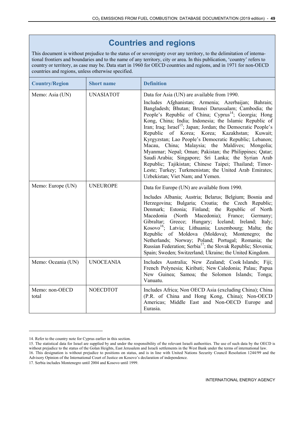This document is without prejudice to the status of or sovereignty over any territory, to the delimitation of international frontiers and boundaries and to the name of any territory, city or area. In this publication, 'country' refers to country or territory, as case may be. Data start in 1960 for OECD countries and regions, and in 1971 for non-OECD countries and regions, unless otherwise specified.

| <b>Country/Region</b>   | <b>Short name</b> | <b>Definition</b>                                                                                                                                                                                                                                                                                                                                                                                                                                                                                                                                                                                                                                                                                                                                                                                             |
|-------------------------|-------------------|---------------------------------------------------------------------------------------------------------------------------------------------------------------------------------------------------------------------------------------------------------------------------------------------------------------------------------------------------------------------------------------------------------------------------------------------------------------------------------------------------------------------------------------------------------------------------------------------------------------------------------------------------------------------------------------------------------------------------------------------------------------------------------------------------------------|
| Memo: Asia (UN)         | <b>UNASIATOT</b>  | Data for Asia (UN) are available from 1990.<br>Includes Afghanistan; Armenia; Azerbaijan; Bahrain;<br>Bangladesh; Bhutan; Brunei Darussalam; Cambodia; the<br>People's Republic of China; Cyprus <sup>14</sup> ; Georgia; Hong<br>Kong, China; India; Indonesia; the Islamic Republic of<br>Iran; Iraq; Israel <sup>15</sup> ; Japan; Jordan; the Democratic People's<br>Republic of Korea; Korea; Kazakhstan; Kuwait;<br>Kyrgyzstan; Lao People's Democratic Republic; Lebanon;<br>Macau, China; Malaysia; the Maldives; Mongolia;<br>Myanmar; Nepal; Oman; Pakistan; the Philippines; Qatar;<br>Saudi Arabia; Singapore; Sri Lanka; the Syrian Arab<br>Republic; Tajikistan; Chinese Taipei; Thailand; Timor-<br>Leste; Turkey; Turkmenistan; the United Arab Emirates;<br>Uzbekistan; Viet Nam; and Yemen. |
| Memo: Europe (UN)       | <b>UNEUROPE</b>   | Data for Europe (UN) are available from 1990.<br>Includes Albania; Austria; Belarus; Belgium; Bosnia and<br>Herzegovina; Bulgaria; Croatia; the Czech Republic;<br>Denmark; Estonia; Finland; the Republic of North<br>Macedonia (North Macedonia); France;<br>Germany;<br>Gibraltar; Greece; Hungary; Iceland; Ireland; Italy;<br>Kosovo <sup>16</sup> ; Latvia; Lithuania; Luxembourg; Malta; the<br>Republic of Moldova (Moldova); Montenegro;<br>the<br>Netherlands; Norway; Poland; Portugal; Romania; the<br>Russian Federation; Serbia <sup>17</sup> ; the Slovak Republic; Slovenia;<br>Spain; Sweden; Switzerland; Ukraine; the United Kingdom.                                                                                                                                                      |
| Memo: Oceania (UN)      | <b>UNOCEANIA</b>  | Includes Australia; New Zealand; Cook Islands; Fiji;<br>French Polynesia; Kiribati; New Caledonia; Palau; Papua<br>New Guinea; Samoa; the Solomon Islands; Tonga;<br>Vanuatu.                                                                                                                                                                                                                                                                                                                                                                                                                                                                                                                                                                                                                                 |
| Memo: non-OECD<br>total | <b>NOECDTOT</b>   | Includes Africa; Non OECD Asia (excluding China); China<br>(P.R. of China and Hong Kong, China); Non-OECD<br>Americas; Middle East and Non-OECD Europe and<br>Eurasia.                                                                                                                                                                                                                                                                                                                                                                                                                                                                                                                                                                                                                                        |

<sup>14.</sup> Refer to the country note for Cyprus earlier in this section.

<sup>15.</sup> The statistical data for Israel are supplied by and under the responsibility of the relevant Israeli authorities. The use of such data by the OECD is without prejudice to the status of the Golan Heights, East Jerusalem and Israeli settlements in the West Bank under the terms of international law. 16. This designation is without prejudice to positions on status, and is in line with United Nations Security Council Resolution 1244/99 and the Advisory Opinion of the International Court of Justice on Kosovo's declaration of independence.

<sup>17.</sup> Serbia includes Montenegro until 2004 and Kosovo until 1999.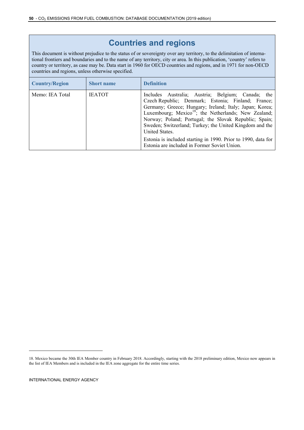This document is without prejudice to the status of or sovereignty over any territory, to the delimitation of international frontiers and boundaries and to the name of any territory, city or area. In this publication, 'country' refers to country or territory, as case may be. Data start in 1960 for OECD countries and regions, and in 1971 for non-OECD countries and regions, unless otherwise specified.

| <b>Country/Region</b> | <b>Short name</b> | <b>Definition</b>                                                                                                                                                                                                                                                                                                                                                            |
|-----------------------|-------------------|------------------------------------------------------------------------------------------------------------------------------------------------------------------------------------------------------------------------------------------------------------------------------------------------------------------------------------------------------------------------------|
| Memo: IEA Total       | <b>IEATOT</b>     | Includes Australia; Austria; Belgium; Canada; the<br>Czech Republic; Denmark; Estonia; Finland; France;<br>Germany; Greece; Hungary; Ireland; Italy; Japan; Korea;<br>Luxembourg; Mexico <sup>18</sup> ; the Netherlands; New Zealand;<br>Norway; Poland; Portugal; the Slovak Republic; Spain;<br>Sweden; Switzerland; Turkey; the United Kingdom and the<br>United States. |
|                       |                   | Estonia is included starting in 1990. Prior to 1990, data for<br>Estonia are included in Former Soviet Union.                                                                                                                                                                                                                                                                |

INTERNATIONAL ENERGY AGENCY

<sup>18.</sup> Mexico became the 30th IEA Member country in February 2018. Accordingly, starting with the 2018 preliminary edition, Mexico now appears in the list of IEA Members and is included in the IEA zone aggregate for the entire time series.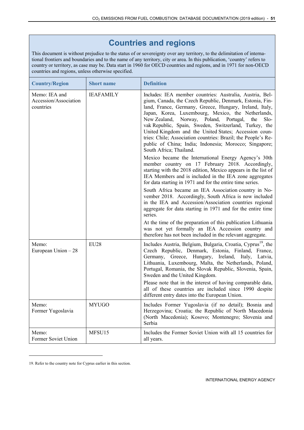This document is without prejudice to the status of or sovereignty over any territory, to the delimitation of international frontiers and boundaries and to the name of any territory, city or area. In this publication, 'country' refers to country or territory, as case may be. Data start in 1960 for OECD countries and regions, and in 1971 for non-OECD countries and regions, unless otherwise specified.

| <b>Country/Region</b>                               | <b>Short name</b> | <b>Definition</b>                                                                                                                                                                                                                                                                                                                                                                                                                                                                                                                                                                                                                                                                                                                                                                                                  |
|-----------------------------------------------------|-------------------|--------------------------------------------------------------------------------------------------------------------------------------------------------------------------------------------------------------------------------------------------------------------------------------------------------------------------------------------------------------------------------------------------------------------------------------------------------------------------------------------------------------------------------------------------------------------------------------------------------------------------------------------------------------------------------------------------------------------------------------------------------------------------------------------------------------------|
| Memo: IEA and<br>Accession/Association<br>countries | <b>IEAFAMILY</b>  | Includes: IEA member countries: Australia, Austria, Bel-<br>gium, Canada, the Czech Republic, Denmark, Estonia, Fin-<br>land, France, Germany, Greece, Hungary, Ireland, Italy,<br>Japan, Korea, Luxembourg, Mexico, the Netherlands,<br>Norway, Poland, Portugal,<br>New Zealand,<br>the<br>$Slo-$<br>vak Republic, Spain, Sweden, Switzerland, Turkey, the<br>United Kingdom and the United States; Accession coun-<br>tries: Chile; Association countries: Brazil; the People's Re-<br>public of China; India; Indonesia; Morocco; Singapore;<br>South Africa; Thailand.<br>Mexico became the International Energy Agency's 30th<br>member country on 17 February 2018. Accordingly,<br>starting with the 2018 edition, Mexico appears in the list of<br>IEA Members and is included in the IEA zone aggregates |
|                                                     |                   | for data starting in 1971 and for the entire time series.<br>South Africa became an IEA Association country in No-<br>vember 2018. Accordingly, South Africa is now included<br>in the IEA and Accession/Association countries regional<br>aggregate for data starting in 1971 and for the entire time<br>series.                                                                                                                                                                                                                                                                                                                                                                                                                                                                                                  |
|                                                     |                   | At the time of the preparation of this publication Lithuania<br>was not yet formally an IEA Accession country and<br>therefore has not been included in the relevant aggregate.                                                                                                                                                                                                                                                                                                                                                                                                                                                                                                                                                                                                                                    |
| Memo:<br>European Union - 28                        | <b>EU28</b>       | Includes Austria, Belgium, Bulgaria, Croatia, Cyprus <sup>19</sup> , the<br>Czech Republic, Denmark, Estonia, Finland, France,<br>Germany, Greece, Hungary,<br>Ireland,<br>Italy,<br>Latvia.<br>Lithuania, Luxembourg, Malta, the Netherlands, Poland,<br>Portugal, Romania, the Slovak Republic, Slovenia, Spain,<br>Sweden and the United Kingdom.<br>Please note that in the interest of having comparable data,                                                                                                                                                                                                                                                                                                                                                                                                |
|                                                     |                   | all of these countries are included since 1990 despite<br>different entry dates into the European Union.                                                                                                                                                                                                                                                                                                                                                                                                                                                                                                                                                                                                                                                                                                           |
| Memo:<br>Former Yugoslavia                          | <b>MYUGO</b>      | Includes Former Yugoslavia (if no detail); Bosnia and<br>Herzegovina; Croatia; the Republic of North Macedonia<br>(North Macedonia); Kosovo; Montenegro; Slovenia and<br>Serbia                                                                                                                                                                                                                                                                                                                                                                                                                                                                                                                                                                                                                                    |
| Memo:<br>Former Soviet Union                        | MFSU15            | Includes the Former Soviet Union with all 15 countries for<br>all years.                                                                                                                                                                                                                                                                                                                                                                                                                                                                                                                                                                                                                                                                                                                                           |

19. Refer to the country note for Cyprus earlier in this section.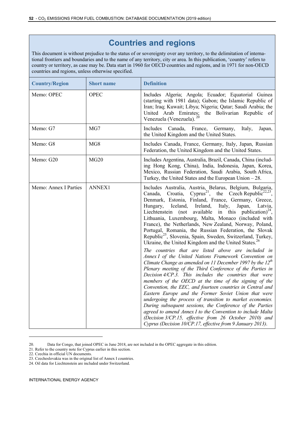This document is without prejudice to the status of or sovereignty over any territory, to the delimitation of international frontiers and boundaries and to the name of any territory, city or area. In this publication, 'country' refers to country or territory, as case may be. Data start in 1960 for OECD countries and regions, and in 1971 for non-OECD countries and regions, unless otherwise specified.

| <b>Country/Region</b> | <b>Short name</b> | <b>Definition</b>                                                                                                                                                                                                                                                                                                                                                                                                                                                                                                                                                                                                                                                                                                                                                                                                                                                                                                                                                                                                                                                                                                                                                                                                                                                                                                                                                                                                                                                                    |
|-----------------------|-------------------|--------------------------------------------------------------------------------------------------------------------------------------------------------------------------------------------------------------------------------------------------------------------------------------------------------------------------------------------------------------------------------------------------------------------------------------------------------------------------------------------------------------------------------------------------------------------------------------------------------------------------------------------------------------------------------------------------------------------------------------------------------------------------------------------------------------------------------------------------------------------------------------------------------------------------------------------------------------------------------------------------------------------------------------------------------------------------------------------------------------------------------------------------------------------------------------------------------------------------------------------------------------------------------------------------------------------------------------------------------------------------------------------------------------------------------------------------------------------------------------|
| Memo: OPEC            | <b>OPEC</b>       | Includes Algeria; Angola; Ecuador; Equatorial Guinea<br>(starting with 1981 data); Gabon; the Islamic Republic of<br>Iran; Iraq; Kuwait; Libya; Nigeria; Qatar; Saudi Arabia; the<br>United Arab Emirates; the Bolivarian Republic of<br>Venezuela (Venezuela). <sup>20</sup>                                                                                                                                                                                                                                                                                                                                                                                                                                                                                                                                                                                                                                                                                                                                                                                                                                                                                                                                                                                                                                                                                                                                                                                                        |
| Memo: G7              | MG7               | Includes<br>Canada, France,<br>Germany,<br>Italy,<br>Japan,<br>the United Kingdom and the United States.                                                                                                                                                                                                                                                                                                                                                                                                                                                                                                                                                                                                                                                                                                                                                                                                                                                                                                                                                                                                                                                                                                                                                                                                                                                                                                                                                                             |
| Memo: G8              | MG8               | Includes Canada, France, Germany, Italy, Japan, Russian<br>Federation, the United Kingdom and the United States.                                                                                                                                                                                                                                                                                                                                                                                                                                                                                                                                                                                                                                                                                                                                                                                                                                                                                                                                                                                                                                                                                                                                                                                                                                                                                                                                                                     |
| Memo: G20             | MG20              | Includes Argentina, Australia, Brazil, Canada, China (includ-<br>ing Hong Kong, China), India, Indonesia, Japan, Korea,<br>Mexico, Russian Federation, Saudi Arabia, South Africa,<br>Turkey, the United States and the European Union $-28$ .                                                                                                                                                                                                                                                                                                                                                                                                                                                                                                                                                                                                                                                                                                                                                                                                                                                                                                                                                                                                                                                                                                                                                                                                                                       |
| Memo: Annex I Parties | <b>ANNEX1</b>     | Includes Australia, Austria, Belarus, Belgium, Bulgaria,<br>Cyprus <sup>21</sup> , the Czech Republic <sup>22,23</sup> ,<br>Canada,<br>Croatia,<br>Denmark, Estonia, Finland, France, Germany, Greece,<br>Hungary,<br>Iceland,<br>Ireland,<br>Japan,<br>Italy,<br>Latvia,<br>in this publication) <sup>24</sup> ,<br>Liechtenstein (not<br>available<br>Lithuania, Luxembourg, Malta, Monaco (included with<br>France), the Netherlands, New Zealand, Norway, Poland,<br>Portugal, Romania, the Russian Federation, the Slovak<br>Republic <sup>25</sup> , Slovenia, Spain, Sweden, Switzerland, Turkey,<br>Ukraine, the United Kingdom and the United States. <sup>26</sup><br>The countries that are listed above are included in<br>Annex I of the United Nations Framework Convention on<br>Climate Change as amended on 11 December 1997 by the $12^{th}$<br>Plenary meeting of the Third Conference of the Parties in<br>Decision 4/CP.3. This includes the countries that were<br>members of the OECD at the time of the signing of the<br>Convention, the EEC, and fourteen countries in Central and<br>Eastern Europe and the Former Soviet Union that were<br>undergoing the process of transition to market economies.<br>During subsequent sessions, the Conference of the Parties<br>agreed to amend Annex I to the Convention to include Malta<br>(Decision 3/CP.15, effective from 26 October 2010) and<br>Cyprus (Decision 10/CP.17, effective from 9 January 2013). |

20. Data for Congo, that joined OPEC in June 2018, are not included in the OPEC aggregate in this edition.

 $\overline{a}$ 

23. Czechoslovakia was in the original list of Annex I countries.

<sup>21.</sup> Refer to the country note for Cyprus earlier in this section.

<sup>22.</sup> Czechia in official UN documents.

<sup>24.</sup> Oil data for Liechtenstein are included under Switzerland.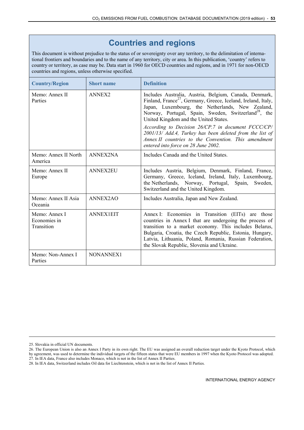This document is without prejudice to the status of or sovereignty over any territory, to the delimitation of international frontiers and boundaries and to the name of any territory, city or area. In this publication, 'country' refers to country or territory, as case may be. Data start in 1960 for OECD countries and regions, and in 1971 for non-OECD countries and regions, unless otherwise specified.

| <b>Country/Region</b>                       | <b>Short name</b> | <b>Definition</b>                                                                                                                                                                                                                                                                                                                           |
|---------------------------------------------|-------------------|---------------------------------------------------------------------------------------------------------------------------------------------------------------------------------------------------------------------------------------------------------------------------------------------------------------------------------------------|
| Memo: Annex II<br>Parties                   | <b>ANNEX2</b>     | Includes Australia, Austria, Belgium, Canada, Denmark,<br>Finland, France <sup>27</sup> , Germany, Greece, Iceland, Ireland, Italy,<br>Japan, Luxembourg, the Netherlands, New Zealand,<br>Norway, Portugal, Spain, Sweden, Switzerland <sup>28</sup> , the<br>United Kingdom and the United States.                                        |
|                                             |                   | According to Decision 26/CP.7 in document FCCC/CP/<br>2001/13/ Add.4, Turkey has been deleted from the list of<br>Annex II countries to the Convention. This amendment<br>entered into force on 28 June 2002.                                                                                                                               |
| Memo: Annex II North<br>America             | <b>ANNEX2NA</b>   | Includes Canada and the United States.                                                                                                                                                                                                                                                                                                      |
| Memo: Annex II<br>Europe                    | <b>ANNEX2EU</b>   | Includes Austria, Belgium, Denmark, Finland, France,<br>Germany, Greece, Iceland, Ireland, Italy, Luxembourg,<br>the Netherlands, Norway, Portugal, Spain,<br>Sweden.<br>Switzerland and the United Kingdom.                                                                                                                                |
| Memo: Annex II Asia<br>Oceania              | ANNEX2AO          | Includes Australia, Japan and New Zealand.                                                                                                                                                                                                                                                                                                  |
| Memo: Annex I<br>Economies in<br>Transition | <b>ANNEX1EIT</b>  | Annex I: Economies in Transition (EITs) are those<br>countries in Annex I that are undergoing the process of<br>transition to a market economy. This includes Belarus,<br>Bulgaria, Croatia, the Czech Republic, Estonia, Hungary,<br>Latvia, Lithuania, Poland, Romania, Russian Federation,<br>the Slovak Republic, Slovenia and Ukraine. |
| Memo: Non-Annex I<br>Parties                | NONANNEX1         |                                                                                                                                                                                                                                                                                                                                             |

25. Slovakia in official UN documents.

- 26. The European Union is also an Annex I Party in its own right. The EU was assigned an overall reduction target under the Kyoto Protocol, which by agreement, was used to determine the individual targets of the fifteen states that were EU members in 1997 when the Kyoto Protocol was adopted.
- 27. In IEA data, France also includes Monaco, which is not in the list of Annex II Parties.
- 28. In IEA data, Switzerland includes Oil data for Liechtenstein, which is not in the list of Annex II Parties.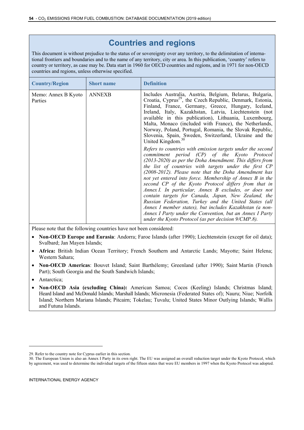This document is without prejudice to the status of or sovereignty over any territory, to the delimitation of international frontiers and boundaries and to the name of any territory, city or area. In this publication, 'country' refers to country or territory, as case may be. Data start in 1960 for OECD countries and regions, and in 1971 for non-OECD countries and regions, unless otherwise specified.

| <b>Country/Region</b>          | <b>Short name</b> | <b>Definition</b>                                                                                                                                                                                                                                                                                                                                                                                                                                                                                                                                                                                                                                                                                                                                                     |
|--------------------------------|-------------------|-----------------------------------------------------------------------------------------------------------------------------------------------------------------------------------------------------------------------------------------------------------------------------------------------------------------------------------------------------------------------------------------------------------------------------------------------------------------------------------------------------------------------------------------------------------------------------------------------------------------------------------------------------------------------------------------------------------------------------------------------------------------------|
| Memo: Annex B Kyoto<br>Parties | <b>ANNEXB</b>     | Includes Australia, Austria, Belgium, Belarus, Bulgaria,<br>Croatia, Cyprus <sup>29</sup> , the Czech Republic, Denmark, Estonia,<br>Finland, France, Germany, Greece, Hungary, Iceland,<br>Ireland, Italy, Kazakhstan, Latvia, Liechtenstein (not<br>available in this publication), Lithuania, Luxembourg,<br>Malta, Monaco (included with France), the Netherlands,<br>Norway, Poland, Portugal, Romania, the Slovak Republic,<br>Slovenia, Spain, Sweden, Switzerland, Ukraine and the United Kingdom. <sup>30</sup>                                                                                                                                                                                                                                              |
|                                |                   | Refers to countries with emission targets under the second<br>commitment period (CP) of the Kyoto Protocol<br>(2013-2020) as per the Doha Amendment. This differs from<br>the list of countries with targets under the first CP<br>(2008-2012). Please note that the Doha Amendment has<br>not yet entered into force. Membership of Annex B in the<br>second CP of the Kyoto Protocol differs from that in<br>Annex I. In particular, Annex B excludes, or does not<br>contain targets for Canada, Japan, New Zealand, the<br>Russian Federation, Turkey and the United States (all<br>Annex I member states), but includes Kazakhstan (a non-<br>Annex I Party under the Convention, but an Annex I Party<br>under the Kyoto Protocol (as per decision $9/CMP.8$ ). |

Please note that the following countries have not been considered:

- **Non-OECD Europe and Eurasia**: Andorra; Faroe Islands (after 1990); Liechtenstein (except for oil data); Svalbard; Jan Mayen Islands;
- **Africa:** British Indian Ocean Territory; French Southern and Antarctic Lands; Mayotte; Saint Helena; Western Sahara;
- **Non-OECD Americas**: Bouvet Island; Saint Barthélemy; Greenland (after 1990); Saint Martin (French Part); South Georgia and the South Sandwich Islands;
- Antarctica:

 $\overline{a}$ 

 **Non-OECD Asia (excluding China):** American Samoa; Cocos (Keeling) Islands; Christmas Island; Heard Island and McDonald Islands; Marshall Islands; Micronesia (Federated States of); Nauru; Niue; Norfolk Island; Northern Mariana Islands; Pitcairn; Tokelau; Tuvalu; United States Minor Outlying Islands; Wallis and Futuna Islands.

<sup>29.</sup> Refer to the country note for Cyprus earlier in this section.

<sup>30.</sup> The European Union is also an Annex I Party in its own right. The EU was assigned an overall reduction target under the Kyoto Protocol, which by agreement, was used to determine the individual targets of the fifteen states that were EU members in 1997 when the Kyoto Protocol was adopted.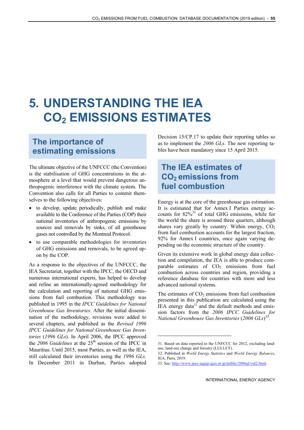# **5. UNDERSTANDING THE IEA CO2 EMISSIONS ESTIMATES**

### **The importance of estimating emissions**

The ultimate objective of the UNFCCC (the Convention) is the stabilisation of GHG concentrations in the atmosphere at a level that would prevent dangerous anthropogenic interference with the climate system. The Convention also calls for all Parties to commit themselves to the following objectives:

- to develop, update periodically, publish and make available to the Conference of the Parties (COP) their national inventories of anthropogenic emissions by sources and removals by sinks, of all greenhouse gases not controlled by the Montreal Protocol.
- to use comparable methodologies for inventories of GHG emissions and removals, to be agreed upon by the COP.

As a response to the objectives of the UNFCCC, the IEA Secretariat, together with the IPCC, the OECD and numerous international experts, has helped to develop and refine an internationally-agreed methodology for the calculation and reporting of national GHG emissions from fuel combustion. This methodology was published in 1995 in the *IPCC Guidelines for National Greenhouse Gas Inventories*. After the initial dissemination of the methodology, revisions were added to several chapters, and published as the *Revised 1996 IPCC Guidelines for National Greenhouse Gas Inventories* (*1996 GLs*). In April 2006, the IPCC approved the 2006 Guidelines at the 25<sup>th</sup> session of the IPCC in Mauritius. Until 2015, most Parties, as well as the IEA, still calculated their inventories using the *1996 GLs*. In December 2011 in Durban, Parties adopted Decision 15/CP.17 to update their reporting tables so as to implement the *2006 GLs*. The new reporting tables have been mandatory since 15 April 2015.

### **The IEA estimates of**  CO<sub>2</sub> emissions from **fuel combustion**

Energy is at the core of the greenhouse gas estimation. It is estimated that for Annex I Parties energy accounts for  $82\%$ <sup>31</sup> of total GHG emissions, while for the world the share is around three quarters, although shares vary greatly by country. Within energy,  $CO<sub>2</sub>$ from fuel combustion accounts for the largest fraction, 92% for Annex I countries, once again varying depending on the economic structure of the country.

Given its extensive work in global energy data collection and compilation, the IEA is able to produce comparable estimates of  $CO<sub>2</sub>$  emissions from fuel combustion across countries and region, providing a reference database for countries with more and less advanced national systems.

The estimates of  $CO<sub>2</sub>$  emissions from fuel combustion presented in this publication are calculated using the IEA energy data $32$  and the default methods and emission factors from the *2006 IPCC Guidelines for National Greenhouse Gas Inventories* (*2006 GLs*) 33.

<sup>31.</sup> Based on data reported to the UNFCCC for 2012, excluding landuse, land-use change and forestry (LULUCF).

<sup>32.</sup> Published in *World Energy Statistics* and *World Energy Balances*, IEA, Paris, 2019.

<sup>33.</sup> See: http://www.ipcc-nggip.iges.or.jp/public/2006gl/vol2.html.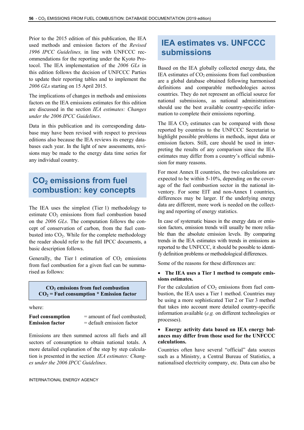Prior to the 2015 edition of this publication, the IEA used methods and emission factors of the *Revised 1996 IPCC Guidelines,* in line with UNFCCC recommendations for the reporting under the Kyoto Protocol. The IEA implementation of the *2006 GLs* in this edition follows the decision of UNFCCC Parties to update their reporting tables and to implement the *2006 GLs* starting on 15 April 2015.

The implications of changes in methods and emissions factors on the IEA emissions estimates for this edition are discussed in the section *IEA estimates: Changes under the 2006 IPCC Guidelines*.

Data in this publication and its corresponding database may have been revised with respect to previous editions also because the IEA reviews its energy databases each year. In the light of new assessments, revisions may be made to the energy data time series for any individual country.

### **CO2 emissions from fuel combustion: key concepts**

The IEA uses the simplest (Tier 1) methodology to estimate  $CO<sub>2</sub>$  emissions from fuel combustion based on the *2006 GLs*. The computation follows the concept of conservation of carbon, from the fuel combusted into  $CO<sub>2</sub>$ . While for the complete methodology the reader should refer to the full IPCC documents, a basic description follows.

Generally, the Tier 1 estimation of  $CO<sub>2</sub>$  emissions from fuel combustion for a given fuel can be summarised as follows:

**CO2 emissions from fuel combustion CO2 = Fuel consumption \* Emission factor**

where:

**Fuel consumption** = amount of fuel combusted: **Emission factor** = default emission factor

Emissions are then summed across all fuels and all sectors of consumption to obtain national totals. A more detailed explanation of the step by step calculation is presented in the section *IEA estimates: Changes under the 2006 IPCC Guidelines*.

### **IEA estimates vs. UNFCCC submissions**

Based on the IEA globally collected energy data, the IEA estimates of  $CO<sub>2</sub>$  emissions from fuel combustion are a global database obtained following harmonised definitions and comparable methodologies across countries. They do not represent an official source for national submissions, as national administrations should use the best available country-specific information to complete their emissions reporting.

The IEA  $CO<sub>2</sub>$  estimates can be compared with those reported by countries to the UNFCCC Secretariat to highlight possible problems in methods, input data or emission factors. Still, care should be used in interpreting the results of any comparison since the IEA estimates may differ from a country's official submission for many reasons.

For most Annex II countries, the two calculations are expected to be within 5-10%, depending on the coverage of the fuel combustion sector in the national inventory. For some EIT and non-Annex I countries, differences may be larger. If the underlying energy data are different, more work is needed on the collecting and reporting of energy statistics.

In case of systematic biases in the energy data or emission factors, emission trends will usually be more reliable than the absolute emission levels. By comparing trends in the IEA estimates with trends in emissions as reported to the UNFCCC, it should be possible to identify definition problems or methodological differences.

Some of the reasons for these differences are:

#### **The IEA uses a Tier 1 method to compute emissions estimates.**

For the calculation of  $CO<sub>2</sub>$  emissions from fuel combustion, the IEA uses a Tier 1 method. Countries may be using a more sophisticated Tier 2 or Tier 3 method that takes into account more detailed country-specific information available (*e.g.* on different technologies or processes).

#### **Energy activity data based on IEA energy balances may differ from those used for the UNFCCC calculations.**

Countries often have several "official" data sources such as a Ministry, a Central Bureau of Statistics, a nationalised electricity company, etc. Data can also be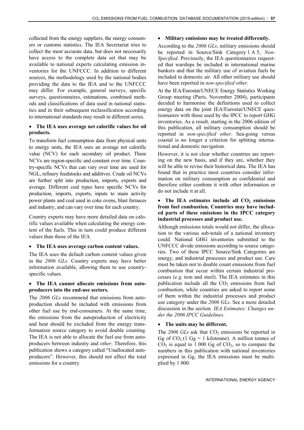collected from the energy suppliers, the energy consumers or customs statistics. The IEA Secretariat tries to collect the most accurate data, but does not necessarily have access to the complete data set that may be available to national experts calculating emission inventories for the UNFCCC. In addition to different sources, the methodology used by the national bodies providing the data to the IEA and to the UNFCCC may differ. For example, general surveys, specific surveys, questionnaires, estimations, combined methods and classifications of data used in national statistics and in their subsequent reclassification according to international standards may result in different series.

#### **The IEA uses average net calorific values for oil products.**

To transform fuel consumption data from physical units to energy units, the IEA uses an average net calorific value (NCV) for each secondary oil product. These NCVs are region-specific and constant over time. Country-specific NCVs that can vary over time are used for NGL, refinery feedstocks and additives. Crude oil NCVs are further split into production, imports, exports and average. Different coal types have specific NCVs for production, imports, exports, inputs to main activity power plants and coal used in coke ovens, blast furnaces and industry, and can vary over time for each country.

Country experts may have more detailed data on calorific values available when calculating the energy content of the fuels. This in turn could produce different values than those of the IEA.

#### **The IEA uses average carbon content values.**

The IEA uses the default carbon content values given in the *2006 GLs*. Country experts may have better information available, allowing them to use countryspecific values.

#### **The IEA cannot allocate emissions from autoproducers into the end-use sectors.**

The *2006 GLs* recommend that emissions from autoproduction should be included with emissions from other fuel use by end-consumers. At the same time, the emissions from the autoproduction of electricity and heat should be excluded from the energy transformation source category to avoid double counting. The IEA is not able to allocate the fuel use from autoproducers between industry and *other*. Therefore, this publication shows a category called "Unallocated autoproducers". However, this should not affect the total emissions for a country.

#### **Military emissions may be treated differently.**

According to the *2006 GLs*, military emissions should be reported in Source/Sink Category 1 A 5, *Non-Specified*. Previously, the IEA questionnaires requested that warships be included in international marine bunkers and that the military use of aviation fuels be included in domestic air. All other military use should have been reported in *non-specified other*.

At the IEA/Eurostat/UNECE Energy Statistics Working Group meeting (Paris, November 2004), participants decided to harmonise the definitions used to collect energy data on the joint IEA/Eurostat/UNECE questionnaires with those used by the IPCC to report GHG inventories. As a result, starting in the 2006 edition of this publication, all military consumption should be reported in *non-specified other*. Sea-going versus coastal is no longer a criterion for splitting international and domestic navigation.

However, it is not clear whether countries are reporting on the new basis, and if they are, whether they will be able to revise their historical data. The IEA has found that in practice most countries consider information on military consumption as confidential and therefore either combine it with other information or do not include it at all.

#### The IEA estimates include all CO<sub>2</sub> emissions **from fuel combustion. Countries may have included parts of these emissions in the IPCC category industrial processes and product use.**

Although emissions totals would not differ, the allocation to the various sub-totals of a national inventory could. National GHG inventories submitted to the UNFCCC divide emissions according to source categories. Two of these IPCC Source/Sink Categories are energy, and industrial processes and product use. Care must be taken not to double count emissions from fuel combustion that occur within certain industrial processes (*e.g.* iron and steel). The IEA estimates in this publication include all the  $CO<sub>2</sub>$  emissions from fuel combustion, while countries are asked to report some of them within the industrial processes and product use category under the *2006 GLs*. See a more detailed discussion in the section *IEA Estimates: Changes under the 2006 IPCC Guidelines*.

#### **The units may be different.**

The  $2006$  GLs ask that  $CO<sub>2</sub>$  emissions be reported in Gg of  $CO_2$  (1 Gg = 1 kilotonne). A million tonnes of  $CO<sub>2</sub>$  is equal to 1 000 Gg of  $CO<sub>2</sub>$ , so to compare the numbers in this publication with national inventories expressed in Gg, the IEA emissions must be multiplied by 1 000.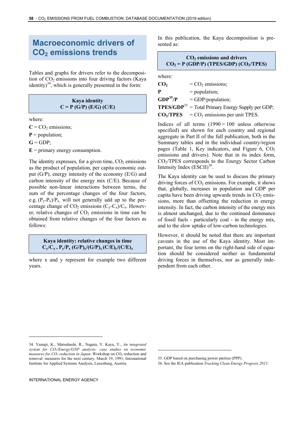### **Macroeconomic drivers of CO2 emissions trends**

Tables and graphs for drivers refer to the decomposition of  $CO<sub>2</sub>$  emissions into four driving factors (Kaya identity) $^{34}$ , which is generally presented in the form:

> **Kaya identity C = P (G/P) (E/G) (C/E)**

where:

 $C = CO<sub>2</sub>$  emissions;

 $P =$  population;

 $G = GDP;$ 

 $E =$  primary energy consumption.

The identity expresses, for a given time,  $CO<sub>2</sub>$  emissions as the product of population, per capita economic output (G/P), energy intensity of the economy (E/G) and carbon intensity of the energy mix (C/E). Because of possible non-linear interactions between terms, the sum of the percentage changes of the four factors, e.g.  $(P_v-P_x)/P_x$ , will not generally add up to the percentage change of  $CO_2$  emissions  $(C_v-C_x)/C_x$ . However, relative changes of  $CO<sub>2</sub>$  emissions in time can be obtained from relative changes of the four factors as follows:

#### **Kaya identity: relative changes in time**   $C_v/C_x = P_v/P_x$  (G/P)<sub>y</sub>/(G/P)<sub>x</sub> (C/E)<sub>y</sub>/(C/E)<sub>x</sub>

where x and y represent for example two different years.

In this publication, the Kaya decomposition is presented as:

$$
CO2 emissions and driversCO2 = P (GDP/P) (TPES/GDP) (CO2/TPES)
$$

where:

 $CO<sub>2</sub> = CO<sub>2</sub>$  emissions;  $P = population;$  $GDP<sup>35</sup>/P = GDP/population;$ **TPES/GDP**<sup>35</sup> = Total Primary Energy Supply per GDP;  $CO<sub>2</sub>/TPES = CO<sub>2</sub>$  emissions per unit TPES.

Indices of all terms  $(1990 = 100)$  unless otherwise specified) are shown for each country and regional aggregate in Part II of the full publication, both in the Summary tables and in the individual country/region pages (Table 1, Key indicators, and Figure 6,  $CO<sub>2</sub>$ emissions and drivers). Note that in its index form, CO<sub>2</sub>/TPES corresponds to the Energy Sector Carbon Intensity Index  $(ESCII)^{36}$ .

The Kaya identity can be used to discuss the primary driving forces of  $CO<sub>2</sub>$  emissions. For example, it shows that, globally, increases in population and GDP per capita have been driving upwards trends in  $CO<sub>2</sub>$  emissions, more than offsetting the reduction in energy intensity. In fact, the carbon intensity of the energy mix is almost unchanged, due to the continued dominance of fossil fuels - particularly coal - in the energy mix, and to the slow uptake of low-carbon technologies.

However, it should be noted that there are important caveats in the use of the Kaya identity. Most important, the four terms on the right-hand side of equation should be considered neither as fundamental driving forces in themselves, nor as generally independent from each other.

 $\overline{a}$ 

INTERNATIONAL ENERGY AGENCY

<sup>34.</sup> Yamaji, K., Matsuhashi, R., Nagata, Y. Kaya, Y., *An integrated*  system for CO<sub>2</sub>/Energy/GNP analysis: case studies on economic *measures for CO<sub>2</sub> reduction in Japan*. Workshop on CO<sub>2</sub> reduction and removal: measures for the next century, March 19, 1991, International Institute for Applied Systems Analysis, Laxenburg, Austria.

<sup>35.</sup> GDP based on purchasing power parities (PPP).

<sup>36.</sup> See the IEA publication *Tracking Clean Energy Progress 2015*.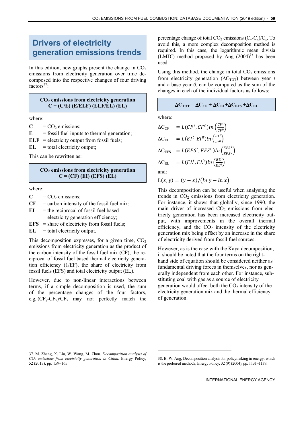### **Drivers of electricity generation emissions trends**

In this edition, new graphs present the change in  $CO<sub>2</sub>$ emissions from electricity generation over time decomposed into the respective changes of four driving factors $37$ :

#### CO<sub>2</sub> emissions from electricity generation **C = (C/E) (E/ELF) (ELF/EL) (EL)**

where:

- $C = CO<sub>2</sub>$  emissions;
- $\mathbf{E}$  = fossil fuel inputs to thermal generation;
- $ELF =$  electricity output from fossil fuels;
- $EL = total electricity output;$

This can be rewritten as:

#### **CO2 emissions from electricity generation C = (CF) (EI) (EFS) (EL)**

where:

 $\overline{a}$ 

- $C = CO<sub>2</sub>$  emissions;
- $CF =$  carbon intensity of the fossil fuel mix;
- $EI$  = the reciprocal of fossil fuel based
- electricity generation efficiency;
- **EFS** = share of electricity from fossil fuels;
- $EL = total$  electricity output.

This decomposition expresses, for a given time,  $CO<sub>2</sub>$ emissions from electricity generation as the product of the carbon intensity of the fossil fuel mix (CF), the reciprocal of fossil fuel based thermal electricity generation efficiency (1/EF), the share of electricity from fossil fuels (EFS) and total electricity output (EL).

However, due to non-linear interactions between terms, if a simple decomposition is used, the sum of the percentage changes of the four factors, e.g.  $(CF_v - CF_x)/CF_x$  may not perfectly match the percentage change of total  $CO_2$  emissions  $(C_v-C_x)/C_x$ . To avoid this, a more complex decomposition method is required. In this case, the logarithmic mean divisia (LMDI) method proposed by Ang  $(2004)^{38}$  has been used.

Using this method, the change in total  $CO<sub>2</sub>$  emissions from electricity generation  $(\Delta C_{TOT})$  between year *t* and a base year *0*, can be computed as the sum of the changes in each of the individual factors as follows:

#### $\Delta C_{\text{TOT}} = \Delta C_{\text{CF}} + \Delta C_{\text{EI}} + \Delta C_{\text{EFS}} + \Delta C_{\text{EL}}$

where:

 $\overline{a}$ 

$$
\Delta C_{CF} = L(CF^t, CF^0)ln\left(\frac{CF^t}{CF^0}\right)
$$
\n
$$
\Delta C_{EI} = L(EI^t, EI^0)ln\left(\frac{EI^t}{EI^0}\right)
$$
\n
$$
\Delta C_{EFS} = L(EFS^t, EFS^0)ln\left(\frac{EFS^t}{EFS^0}\right)
$$
\n
$$
\Delta C_{EL} = L(EL^t, EL^0)ln\left(\frac{EL^t}{EL^0}\right)
$$
\nand:

 $L(x, y) = (y - x) / (ln y - ln x)$ 

This decomposition can be useful when analysing the trends in  $CO<sub>2</sub>$  emissions from electricity generation. For instance, it shows that globally, since 1990, the main driver of increased  $CO<sub>2</sub>$  emissions from electricity generation has been increased electricity output, with improvements in the overall thermal efficiency, and the  $CO<sub>2</sub>$  intensity of the electricity generation mix being offset by an increase in the share of electricity derived from fossil fuel sources.

However, as is the case with the Kaya decomposition, it should be noted that the four terms on the righthand side of equation should be considered neither as fundamental driving forces in themselves, nor as generally independent from each other. For instance, substituting coal with gas as a source of electricity generation would affect both the  $CO<sub>2</sub>$  intensity of the electricity generation mix and the thermal efficiency of generation.

<sup>37.</sup> M. Zhang, X. Liu, W. Wang, M. Zhou. *Decomposition analysis of CO2 emissions from electricity generation in China.* Energy Policy, 52 (2013), pp. 159–165.

<sup>38.</sup> B. W. Ang, Decomposition analysis for policymaking in energy: which is the preferred method?, Energy Policy, 32 (9) (2004), pp. 1131–1139.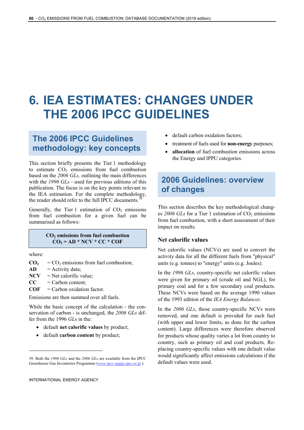# **6. IEA ESTIMATES: CHANGES UNDER THE 2006 IPCC GUIDELINES**

### **The 2006 IPCC Guidelines methodology: key concepts**

This section briefly presents the Tier 1 methodology to estimate  $CO<sub>2</sub>$  emissions from fuel combustion based on the *2006 GLs,* outlining the main differences with the *1996 GLs* - used for previous editions of this publication. The focus is on the key points relevant to the IEA estimation. For the complete methodology, the reader should refer to the full IPCC documents.

Generally, the Tier 1 estimation of  $CO<sub>2</sub>$  emissions from fuel combustion for a given fuel can be summarised as follows:

> **CO2 emissions from fuel combustion**   $CO<sub>2</sub> = AD * NCV * CC * COF$

where:

 $\overline{a}$ 

- $CO<sub>2</sub> = CO<sub>2</sub>$  emissions from fuel combustion;
- $AD =$ Activity data;
- $NCV = Net$  calorific value:
- $CC = Carbon content$ :
- **COF** = Carbon oxidation factor.

Emissions are then summed over all fuels.

While the basic concept of the calculation - the conservation of carbon - is unchanged, the *2006 GLs* differ from the 1996 *GLs* in the:

- default **net calorific values** by product;
- default **carbon content** by product;
- default carbon oxidation factors;
- treatment of fuels used for **non-energy** purposes;
- **allocation** of fuel combustion emissions across the Energy and IPPU categories.

### **2006 Guidelines: overview of changes**

This section describes the key methodological changes 2006 GLs for a Tier 1 estimation of CO<sub>2</sub> emissions from fuel combustion, with a short assessment of their impact on results.

#### **Net calorific values**

Net calorific values (NCVs) are used to convert the activity data for all the different fuels from "physical" units (e.g*.* tonnes) to "energy" units (e.g. Joules).

In the *1996 GLs*, country-specific net calorific values were given for primary oil (crude oil and NGL), for primary coal and for a few secondary coal products. These NCVs were based on the average 1990 values of the 1993 edition of the *IEA Energy Balances*.

In the *2006 GLs*, those country-specific NCVs were removed, and one default is provided for each fuel (with upper and lower limits, as done for the carbon content). Large differences were therefore observed for products whose quality varies a lot from country to country, such as primary oil and coal products. Replacing country-specific values with one default value would significantly affect emissions calculations if the default values were used.

<sup>39.</sup> Both the *1996 GLs* and the *2006 GLs* are available from the IPCC Greenhouse Gas Inventories Programme (*www.ipcc-nggip.iges.or.jp* ).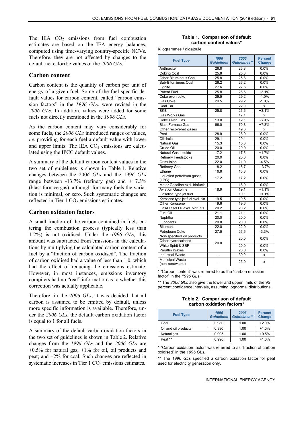The IEA  $CO<sub>2</sub>$  emissions from fuel combustion estimates are based on the IEA energy balances, computed using time-varying country-specific NCVs. Therefore, they are not affected by changes to the default net calorific values of the *2006 GLs*.

#### **Carbon content**

Carbon content is the quantity of carbon per unit of energy of a given fuel. Some of the fuel-specific default values for carbon content, called "carbon emission factors" in the *1996 GLs*, were revised in the *2006 GLs*. In addition, values were added for some fuels not directly mentioned in the *1996 GLs*.

As the carbon content may vary considerably for some fuels, the *2006 GLs* introduced ranges of values, *i.e.* providing for each fuel a default value with lower and upper limits. The IEA  $CO<sub>2</sub>$  emissions are calculated using the IPCC default values.

A summary of the default carbon content values in the two set of guidelines is shown in Table 1. Relative changes between the 200*6 GLs* and the 199*6 GLs* range between  $-13.7\%$  (refinery gas) and  $+7.3\%$ (blast furnace gas), although for many fuels the variation is minimal, or zero. Such systematic changes are reflected in Tier  $1 \text{ CO}_2$  emissions estimates.

#### **Carbon oxidation factors**

A small fraction of the carbon contained in fuels entering the combustion process (typically less than 1-2%) is not oxidised. Under the *1996 GLs,* this amount was subtracted from emissions in the calculations by multiplying the calculated carbon content of a fuel by a "fraction of carbon oxidised". The fraction of carbon oxidised had a value of less than 1.0, which had the effect of reducing the emissions estimate. However, in most instances, emissions inventory compilers had no "real" information as to whether this correction was actually applicable.

Therefore, in the *2006 GLs*, it was decided that all carbon is assumed to be emitted by default, unless more specific information is available. Therefore, under the *2006 GLs*, the default carbon oxidation factor is equal to 1 for all fuels.

A summary of the default carbon oxidation factors in the two set of guidelines is shown in Table 2. Relative changes from the *1996 GLs* and the *2006 GLs* are  $+0.5\%$  for natural gas;  $+1\%$  for oil, oil products and peat; and +2% for coal. Such changes are reflected in systematic increases in Tier  $1 \text{ CO}_2$  emissions estimates.

#### **Table 1. Comparison of default carbon content values\***

Kilogrammes / gigajoule

| <b>Fuel Type</b>                          | 1996<br><b>Guidelines</b> | 2006<br>Guidelines** | <b>Percent</b><br><b>Change</b> |
|-------------------------------------------|---------------------------|----------------------|---------------------------------|
|                                           |                           |                      |                                 |
| Anthracite                                | 26.8                      | 26.8                 | 0.0%                            |
| Coking Coal                               | 25.8                      | 25.8                 | 0.0%                            |
| Other Bituminous Coal                     | 25.8                      | 25.8                 | 0.0%                            |
| Sub-Bituminous Coal                       | 26.2                      | 26.2                 | 0.0%                            |
| Lignite                                   | 27.6                      | 27.6                 | 0.0%                            |
| Patent Fuel                               | 25.8                      | 26.6                 | $+3.1%$                         |
| Coke oven coke                            | 29.5                      | 29.2                 | $-1.0%$                         |
| Gas Coke                                  | 29.5                      | 29.2                 | $-1.0%$                         |
| Coal Tar                                  | .,                        | 22.0                 | X                               |
| BKB                                       | 25.8                      | 26.6                 | $+3.1%$                         |
| Gas Works Gas                             | $\ddot{\phantom{a}}$      | 12.1                 | X                               |
| Coke Oven Gas                             | 13.0                      | 12.1                 | $-6.9%$                         |
| <b>Blast Furnace Gas</b>                  | 66.0                      | 70.8                 | $+7.3%$                         |
| Other recovered gases                     | u,                        | 49.6                 | X                               |
| Peat                                      | 28.9                      | 28.9                 | 0.0%                            |
| Oil shale                                 | 29.1                      | 29.1                 | 0.0%                            |
| <b>Natural Gas</b>                        | 15.3                      | 15.3                 | $0.0\%$                         |
| Crude Oil                                 | 20.0                      | 20.0                 | 0.0%                            |
| Natural Gas Liquids                       | 17.2                      | 17.5                 | $+1.7%$                         |
| Refinery Feedstocks                       | $\overline{20.0}$         | 20.0                 | 0.0%                            |
| Orimulsion                                | 22.0                      | 21.0                 | $-4.5%$                         |
| <b>Refinery Gas</b>                       | 18.2                      | 15.7                 | $-13.7%$                        |
| Ethane                                    | 16.8                      | 16.8                 | 0.0%                            |
| Liquefied petroleum gases<br>(LPG)        | 17.2                      | 17.2                 | 0.0%                            |
| Motor Gasoline excl. biofuels             |                           | 18.9                 | 0.0%                            |
| <b>Aviation Gasoline</b>                  | 18.9                      | 19.1                 | $+1.1%$                         |
| Gasoline type jet fuel                    |                           | 19.1                 | $+1.1%$                         |
| Kerosene type jet fuel excl. bio          | 19.5                      | 19.5                 | 0.0%                            |
| Other Kerosene                            | 19.6                      | 19.6                 | 0.0%                            |
| Gas/Diesel Oil excl. biofuels             | 20.2                      | 20.2                 | 0.0%                            |
| Fuel Oil                                  | 21.1                      | 21.1                 | 0.0%                            |
| Naphtha                                   | 20.0                      | 20.0                 | 0.0%                            |
| Lubricants                                | 20.0                      | 20.0                 | 0.0%                            |
| <b>Bitumen</b>                            | 22.0                      | 22.0                 | 0.0%                            |
| Petroleum Coke                            | 27.5                      | 26.6                 | $-3.3%$                         |
| Non-specified oil products                |                           |                      |                                 |
| Other hydrocarbons                        |                           | 20.0                 | 0.0%                            |
| White Spirit & SBP                        | 20.0                      | 20.0                 | 0.0%                            |
| Paraffin Waxes                            |                           | 20.0                 | 0.0%                            |
| <b>Industrial Waste</b>                   |                           | 39.0                 | X                               |
| <b>Municipal Waste</b><br>(non-renewable) | Ω.                        | 25.0                 | x                               |

\* "Carbon content" was referred to as the "carbon emission factor" in the *1996 GLs*.

\*\* The *2006 GLs* also give the lower and upper limits of the 95 percent confidence intervals, assuming lognormal distributions.

**Table 2. Comparison of default carbon oxidation factors\*** 

| <b>Fuel Type</b>     | 1996<br><b>Guidelines</b> | 2006<br>Guidelines** | <b>Percent</b><br><b>Change</b> |
|----------------------|---------------------------|----------------------|---------------------------------|
| Coal                 | 0.980                     | 1.00                 | $+2.0%$                         |
| Oil and oil products | 0.990                     | 1.00                 | $+1.0%$                         |
| Natural gas          | 0.995                     | 1.00                 | $+0.5%$                         |
| Peat **              | 0.990                     | 1.00                 | $+1.0%$                         |

\* "Carbon oxidation factor" was referred to as "fraction of carbon oxidised" in the *1996 GLs*.

\*\* The *1996 GLs* specified a carbon oxidation factor for peat used for electricity generation only.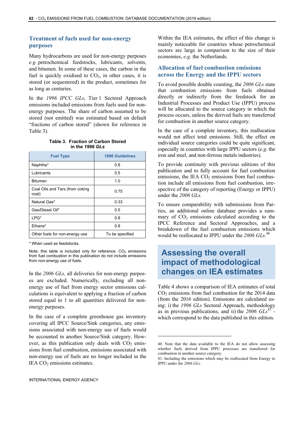#### **Treatment of fuels used for non-energy purposes**

Many hydrocarbons are used for non-energy purposes *e.g.* petrochemical feedstocks, lubricants, solvents, and bitumen. In some of these cases, the carbon in the fuel is quickly oxidised to  $CO<sub>2</sub>$ , in other cases, it is stored (or sequestered) in the product, sometimes for as long as centuries.

In the *1996 IPCC GLs*, Tier 1 Sectoral Approach emissions included emissions from fuels used for nonenergy purposes. The share of carbon assumed to be stored (not emitted) was estimated based on default "fractions of carbon stored" (shown for reference in Table 3).

**Table 3. Fraction of Carbon Stored in the** *1996 GLs*

| <b>Fuel Type</b>                         | <b>1996 Guidelines</b> |
|------------------------------------------|------------------------|
| Naphtha*                                 | 0.8                    |
| Lubricants                               | 0.5                    |
| <b>Bitumen</b>                           | 1.0                    |
| Coal Oils and Tars (from coking<br>coal) | 0.75                   |
| Natural Gas*                             | 0.33                   |
| Gas/Diesel Oil*                          | 0.5                    |
| LPG*                                     | 0.8                    |
| Ethane*                                  | 0.8                    |
| Other fuels for non-energy use           | To be specified        |

\* When used as feedstocks.

Note: this table is included only for reference.  $CO<sub>2</sub>$  emissions from fuel combustion in this publication do not include emissions from non-energy use of fuels.

In the *2006 GLs,* all deliveries for non-energy purposes are excluded. Numerically, excluding all nonenergy use of fuel from energy sector emissions calculations is equivalent to applying a fraction of carbon stored equal to 1 to all quantities delivered for nonenergy purposes.

In the case of a complete greenhouse gas inventory covering all IPCC Source/Sink categories, any emissions associated with non-energy use of fuels would be accounted in another Source/Sink category. However, as this publication only deals with  $CO<sub>2</sub>$  emissions from fuel combustion, emissions associated with non-energy use of fuels are no longer included in the IEA  $CO<sub>2</sub>$  emissions estimates.

Within the IEA estimates, the effect of this change is mainly noticeable for countries whose petrochemical sectors are large in comparison to the size of their economies, *e.g.* the Netherlands.

#### **Allocation of fuel combustion emissions across the Energy and the IPPU sectors**

To avoid possible double counting, the *2006 GLs* state that combustion emissions from fuels obtained directly or indirectly from the feedstock for an Industrial Processes and Product Use (IPPU) process will be allocated to the source category in which the process occurs, unless the derived fuels are transferred for combustion in another source category.

In the case of a complete inventory, this reallocation would not affect total emissions. Still, the effect on individual source categories could be quite significant, especially in countries with large IPPU sectors (*e.g.* the iron and steel, and non-ferrous metals industries).

To provide continuity with previous editions of this publication and to fully account for fuel combustion emissions, the IEA  $CO<sub>2</sub>$  emissions from fuel combustion include all emissions from fuel combustion, irrespective of the category of reporting (Energy or IPPU) under the *2006 GLs.*

To ensure comparability with submissions from Parties, an additional online database provides a summary of  $CO<sub>2</sub>$  emissions calculated according to the IPCC Reference and Sectoral Approaches, and a breakdown of the fuel combustion emissions which would be reallocated to IPPU under the *2006 GLs*. 40

### **Assessing the overall impact of methodological changes on IEA estimates**

Table 4 shows a comparison of IEA estimates of total  $CO<sub>2</sub>$  emissions from fuel combustion for the 2014 data (from the 2016 edition). Emissions are calculated using: i) the *1996 GLs* Sectoral Approach, methodology as in previous publications, and ii) the  $2006 \text{ } GLs<sup>41</sup>$  which correspond to the data published in this edition.

<sup>40.</sup> Note that the data available to the IEA do not allow assessing whether fuels derived from IPPU processes are transferred for combustion in another source category.

<sup>41.</sup> Including the emissions which may be reallocated from Energy to IPPU under the *2006 GLs*.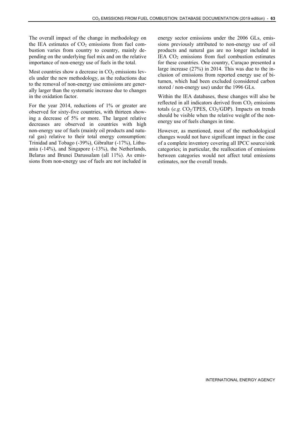The overall impact of the change in methodology on the IEA estimates of  $CO<sub>2</sub>$  emissions from fuel combustion varies from country to country, mainly depending on the underlying fuel mix and on the relative importance of non-energy use of fuels in the total.

Most countries show a decrease in  $CO<sub>2</sub>$  emissions levels under the new methodology, as the reductions due to the removal of non-energy use emissions are generally larger than the systematic increase due to changes in the oxidation factor.

For the year 2014, reductions of 1% or greater are observed for sixty-five countries, with thirteen showing a decrease of 5% or more. The largest relative decreases are observed in countries with high non-energy use of fuels (mainly oil products and natural gas) relative to their total energy consumption: Trinidad and Tobago (-39%), Gibraltar (-17%), Lithuania (-14%), and Singapore (-13%), the Netherlands, Belarus and Brunei Darussalam (all 11%). As emissions from non-energy use of fuels are not included in

energy sector emissions under the 2006 GLs, emissions previously attributed to non-energy use of oil products and natural gas are no longer included in IEA  $CO<sub>2</sub>$  emissions from fuel combustion estimates for these countries. One country, Curaçao presented a large increase (27%) in 2014. This was due to the inclusion of emissions from reported energy use of bitumen, which had been excluded (considered carbon stored / non-energy use) under the 1996 GLs.

Within the IEA databases, these changes will also be reflected in all indicators derived from  $CO<sub>2</sub>$  emissions totals  $(e.g. CO<sub>2</sub>/TPES, CO<sub>2</sub>/GDP)$ . Impacts on trends should be visible when the relative weight of the nonenergy use of fuels changes in time.

However, as mentioned, most of the methodological changes would not have significant impact in the case of a complete inventory covering all IPCC source/sink categories; in particular, the reallocation of emissions between categories would not affect total emissions estimates, nor the overall trends.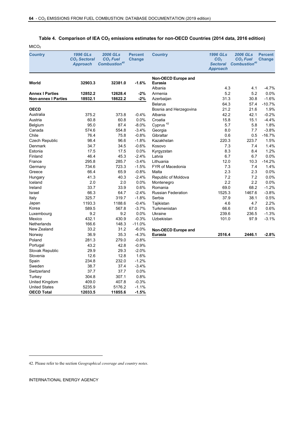| MtCO <sub>2</sub>                         |                                                         |                                                                  |                                 |                                 |                                                                          |                                                           |                          |
|-------------------------------------------|---------------------------------------------------------|------------------------------------------------------------------|---------------------------------|---------------------------------|--------------------------------------------------------------------------|-----------------------------------------------------------|--------------------------|
| <b>Country</b>                            | <b>1996 GLs</b><br>CO <sub>2</sub> Sectoral<br>Approach | <b>2006 GLs</b><br>$CO2$ Fuel<br><b>Combustion</b> <sup>40</sup> | <b>Percent</b><br><b>Change</b> | <b>Country</b>                  | <b>1996 GLs</b><br>CO <sub>2</sub><br><b>Sectoral</b><br><b>Approach</b> | <b>2006 GLs</b><br>$CO2$ Fuel<br>Combustion <sup>40</sup> | <b>Percent</b><br>Change |
| World                                     | 32903.3                                                 | 32381.0                                                          | $-1.6%$                         | Non-OECD Europe and<br>Eurasia  |                                                                          |                                                           |                          |
|                                           |                                                         |                                                                  |                                 | Albania                         | 4.3                                                                      | 4.1                                                       | $-4.7%$                  |
| <b>Annex I Parties</b>                    | 12852.2                                                 | 12628.4                                                          | $-2%$                           | Armenia                         | 5.2                                                                      | 5.2                                                       | 0.0%                     |
| <b>Non-annex I Parties</b>                | 18932.1                                                 | 18622.2                                                          | -2%                             | Azerbaijan                      | 31.3                                                                     | 30.8                                                      | $-1.6%$                  |
|                                           |                                                         |                                                                  |                                 | <b>Belarus</b>                  | 64.3                                                                     | 57.4                                                      | $-10.7%$                 |
| <b>OECD</b>                               |                                                         |                                                                  |                                 | Bosnia and Herzegovina          | 21.2                                                                     | 21.6                                                      | 1.9%                     |
| Australia                                 | 375.2                                                   | 373.8<br>60.8                                                    | $-0.4%$<br>0.0%                 | Albania                         | 42.2                                                                     | 42.1                                                      | $-0.2%$                  |
| Austria                                   | 60.8<br>95.0                                            | 87.4                                                             | $-8.0%$                         | Croatia<br>Cyprus <sup>42</sup> | 15.8<br>5.7                                                              | 15.1<br>5.8                                               | $-4.4%$<br>1.8%          |
| Belgium<br>Canada                         | 574.6                                                   | 554.8                                                            | $-3.4%$                         | Georgia                         | 8.0                                                                      | 7.7                                                       | $-3.8%$                  |
| Chile                                     | 76.4                                                    | 75.8                                                             | $-0.8%$                         | Gibraltar                       | 0.6                                                                      | 0.5                                                       | $-16.7%$                 |
| Czech Republic                            | 98.4                                                    | 96.6                                                             | $-1.8%$                         | Kazakhstan                      | 220.3                                                                    | 223.7                                                     | 1.5%                     |
| Denmark                                   | 34.7                                                    | 34.5                                                             | $-0.6%$                         | Kosovo                          | 7.3                                                                      | 7.4                                                       | 1.4%                     |
| Estonia                                   | 17.5                                                    | 17.5                                                             | 0.0%                            | Kyrgyzstan                      | 8.3                                                                      | 8.4                                                       | 1.2%                     |
| Finland                                   | 46.4                                                    | 45.3                                                             | $-2.4%$                         | Latvia                          | 6.7                                                                      | 6.7                                                       | 0.0%                     |
| France                                    | 295.8                                                   | 285.7                                                            | $-3.4%$                         | Lithuania                       | 12.0                                                                     | 10.3                                                      | $-14.2%$                 |
| Germany                                   | 734.6                                                   | 723.3                                                            | $-1.5%$                         | <b>FYR of Macedonia</b>         | 7.3                                                                      | 7.4                                                       | 1.4%                     |
| Greece                                    | 66.4                                                    | 65.9                                                             | $-0.8%$                         | Malta                           | 2.3                                                                      | 2.3                                                       | 0.0%                     |
| Hungary                                   | 41.3                                                    | 40.3                                                             | $-2.4%$                         | Republic of Moldova             | 7.2                                                                      | 7.2                                                       | 0.0%                     |
| Iceland                                   | 2.0                                                     | 2.0                                                              | 0.0%                            | Montenegro                      | 2.2                                                                      | 2.2                                                       | 0.0%                     |
| Ireland                                   | 33.7                                                    | 33.9                                                             | 0.6%                            | Romania                         | 69.0                                                                     | 68.2                                                      | $-1.2%$                  |
| Israel                                    | 66.3                                                    | 64.7                                                             | $-2.4%$                         | <b>Russian Federation</b>       | 1525.3                                                                   | 1467.6                                                    | $-3.8%$                  |
| Italy                                     | 325.7                                                   | 319.7                                                            | $-1.8%$                         | Serbia                          | 37.9                                                                     | 38.1                                                      | 0.5%                     |
| Japan                                     | 1193.3                                                  | 1188.6                                                           | $-0.4%$                         | Tajikistan                      | 4.6                                                                      | 4.7                                                       | 2.2%                     |
| Korea                                     | 589.5                                                   | 567.8                                                            | $-3.7%$                         | Turkmenistan                    | 66.6                                                                     | 67.0                                                      | 0.6%                     |
| Luxembourg                                | 9.2                                                     | 9.2                                                              | 0.0%                            | Ukraine                         | 239.6                                                                    | 236.5                                                     | $-1.3%$                  |
| Mexico                                    | 432.1                                                   | 430.9                                                            | $-0.3%$                         | Uzbekistan                      | 101.0                                                                    | 97.9                                                      | $-3.1%$                  |
| Netherlands                               | 166.6                                                   | 148.3                                                            | $-11.0%$                        |                                 |                                                                          |                                                           |                          |
| New Zealand                               | 33.2                                                    | 31.2                                                             | $-6.0%$                         | Non-OECD Europe and             |                                                                          |                                                           |                          |
| Norway                                    | 36.9                                                    | 35.3                                                             | $-4.3%$                         | Eurasia                         | 2516.4                                                                   | 2446.1                                                    | $-2.8%$                  |
| Poland                                    | 281.3                                                   | 279.0                                                            | $-0.8%$                         |                                 |                                                                          |                                                           |                          |
| Portugal                                  | 43.2                                                    | 42.8                                                             | $-0.9%$                         |                                 |                                                                          |                                                           |                          |
| Slovak Republic                           | 29.9                                                    | 29.3                                                             | $-2.0%$                         |                                 |                                                                          |                                                           |                          |
| Slovenia                                  | 12.6                                                    | 12.8                                                             | 1.6%                            |                                 |                                                                          |                                                           |                          |
| Spain                                     | 234.8                                                   | 232.0                                                            | $-1.2%$                         |                                 |                                                                          |                                                           |                          |
| Sweden                                    | 38.7                                                    | 37.4                                                             | $-3.4%$                         |                                 |                                                                          |                                                           |                          |
| Switzerland                               | 37.7                                                    | 37.7                                                             | 0.0%                            |                                 |                                                                          |                                                           |                          |
| Turkey                                    | 304.8                                                   | 307.1                                                            | 0.8%                            |                                 |                                                                          |                                                           |                          |
| United Kingdom                            | 409.0                                                   | 407.8                                                            | $-0.3%$                         |                                 |                                                                          |                                                           |                          |
| <b>United States</b><br><b>OECD Total</b> | 5235.9<br>12033.5                                       | 5176.2<br>11855.6                                                | $-1.1%$<br>$-1.5%$              |                                 |                                                                          |                                                           |                          |

### Table 4. Comparison of IEA CO<sub>2</sub> emissions estimates for non-OECD Countries (2014 data, 2016 edition)

42. Please refer to the section *Geographical coverage and country notes*.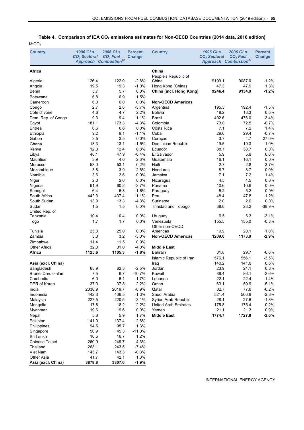| <b>Country</b>             | 1996 GLs<br>CO <sub>2</sub> Sectoral | <b>2006 GLs</b><br>$CO2$ Fuel<br>Approach Combustion <sup>40</sup> | <b>Percent</b><br>Change | <b>Country</b>              | <b>1996 GLs</b><br>CO <sub>2</sub> Sectoral | <b>2006 GLs</b><br>$CO2$ Fuel<br>Approach Combustion <sup>40</sup> | <b>Percent</b><br>Change |
|----------------------------|--------------------------------------|--------------------------------------------------------------------|--------------------------|-----------------------------|---------------------------------------------|--------------------------------------------------------------------|--------------------------|
| Africa                     |                                      |                                                                    |                          | China                       |                                             |                                                                    |                          |
|                            |                                      |                                                                    |                          | People's Republic of        |                                             |                                                                    |                          |
| Algeria                    | 126.4                                | 122.9                                                              | $-2.8%$                  | China                       | 9199.1                                      | 9087.0                                                             | $-1.2%$                  |
| Angola<br>Benin            | 19.5<br>5.7                          | 19.3<br>5.7                                                        | $-1.0%$<br>0.0%          | Hong Kong (China)           | 47.3<br>9246.4                              | 47.9<br>9134.9                                                     | 1.3%<br>$-1.2%$          |
| Botswana                   | 6.8                                  | 6.9                                                                | 1.5%                     | China (incl. Hong Kong)     |                                             |                                                                    |                          |
| Cameroon                   | 6.0                                  | 6.0                                                                | 0.0%                     | <b>Non-OECD Americas</b>    |                                             |                                                                    |                          |
| Congo                      | 2.7                                  | 2.6                                                                | $-3.7%$                  | Argentina                   | 195.3                                       | 192.4                                                              | $-1.5%$                  |
| Cote d'Ivoire              | 4.6                                  | 4.7                                                                | 2.2%                     | <b>Bolivia</b>              | 18.2                                        | 18.3                                                               | 0.5%                     |
| Dem. Rep. of Congo         | 9.3                                  | 9.4                                                                | 1.1%                     | Brazil                      | 492.6                                       | 476.0                                                              | $-3.4%$                  |
| Egypt                      | 181.1                                | 173.3                                                              | $-4.3%$                  | Colombia                    | 73.0                                        | 72.5                                                               | $-0.7%$                  |
| Eritrea                    | 0.6                                  | 0.6                                                                | 0.0%                     | Costa Rica                  | 7.1                                         | 7.2                                                                | 1.4%                     |
| Ethiopia                   | 9.2                                  | 9.1                                                                | $-1.1%$                  | Cuba                        | 29.6                                        | 29.4                                                               | $-0.7%$                  |
| Gabon                      | 3.5                                  | 3.5                                                                | 0.0%                     | Curaçao                     | 3.7                                         | 4.7                                                                | 27.0%                    |
| Ghana                      | 13.3                                 | 13.1                                                               | $-1.5%$                  | Dominican Republic          | 19.5                                        | 19.3                                                               | $-1.0%$                  |
| Kenya                      | 12.3                                 | 12.4                                                               | 0.8%                     | Ecuador                     | 38.7                                        | 38.7                                                               | 0.0%                     |
| Libya                      | 48.1                                 | 47.9                                                               | $-0.4%$                  | El Salvador                 | 5.9                                         | 5.9                                                                | 0.0%                     |
| Mauritius                  | 3.9                                  | 4.0                                                                | 2.6%                     | Guatemala                   | 16.1                                        | 16.1                                                               | 0.0%                     |
| Morocco                    | 53.0                                 | 53.1                                                               | 0.2%                     | Haiti                       | 2.7                                         | 2.8                                                                | 3.7%                     |
| Mozambique                 | 3.8                                  | 3.9                                                                | 2.6%                     | Honduras                    | 8.7                                         | 8.7                                                                | $0.0\%$                  |
| Namibia                    | 3.6                                  | 3.6                                                                | 0.0%                     | Jamaica                     | 7.1                                         | 7.2                                                                | 1.4%                     |
| Niger                      | 2.0                                  | 2.0                                                                | 0.0%                     | Nicaragua                   | 4.5                                         | 4.5                                                                | 0.0%                     |
| Nigeria                    | 61.9                                 | 60.2                                                               | $-2.7%$                  | Panama                      | 10.6                                        | 10.6                                                               | 0.0%                     |
| Senegal                    | 6.4                                  | 6.3                                                                | $-1.6%$                  | Paraguay                    | 5.2                                         | 5.2                                                                | 0.0%                     |
| South Africa               | 442.3                                | 437.4                                                              | $-1.1%$                  | Peru                        | 48.4                                        | 47.8                                                               | $-1.2%$                  |
| South Sudan                | 13.9                                 | 13.3                                                               | $-4.3%$                  | Suriname                    | 2.0                                         | 2.0                                                                | 0.0%                     |
| Sudan                      | 1.5                                  | 1.5                                                                | 0.0%                     | Trinidad and Tobago         | 38.0                                        | 23.2                                                               | $-38.9%$                 |
| United Rep. of<br>Tanzania | 10.4                                 | 10.4                                                               | 0.0%                     | Uruguay                     | 6.5                                         | 6.3                                                                | $-3.1%$                  |
| Togo                       | 1.7                                  | 1.7                                                                | 0.0%                     | Venezuela                   | 155.5                                       | 155.0                                                              | $-0.3%$                  |
|                            |                                      |                                                                    |                          | Other non-OECD              |                                             |                                                                    |                          |
| Tunisia                    | 25.0                                 | 25.0                                                               | 0.0%                     | Americas                    | 19.9                                        | 20.1                                                               | 1.0%                     |
| Zambia                     | 3.3                                  | 3.2                                                                | $-3.0%$                  | <b>Non-OECD Americas</b>    | 1209.0                                      | 1173.9                                                             | $-2.9%$                  |
| Zimbabwe                   | 11.4                                 | 11.5                                                               | 0.9%                     |                             |                                             |                                                                    |                          |
| <b>Other Africa</b>        | 32.3                                 | 31.0                                                               | $-4.0%$                  | <b>Middle East</b>          |                                             |                                                                    |                          |
| Africa                     | 1125.6                               | 1105.3                                                             | $-1.8%$                  | <b>Bahrain</b>              | 31.8                                        | 29.7                                                               | $-6.6%$                  |
|                            |                                      |                                                                    |                          | Islamic Republic of Iran    | 576.1                                       | 556.1                                                              | $-3.5%$                  |
| Asia (excl. China)         |                                      |                                                                    |                          | Iraq                        | 140.2                                       | 141.0                                                              | 0.6%                     |
| Bangladesh                 | 63.9                                 | 62.3                                                               | $-2.5%$                  | Jordan                      | 23.9                                        | 24.1                                                               | 0.8%                     |
| Brunei Darussalam          | 7.5                                  | 6.7                                                                | $-10.7%$                 | Kuwait                      | 88.4                                        | 86.1                                                               | $-2.6%$                  |
| Cambodia                   | 6.0                                  | 6.1                                                                | 1.7%                     | Lebanon                     | 22.1                                        | 22.4                                                               | 1.4%                     |
| DPR of Korea               | 37.0                                 | 37.8                                                               | 2.2%                     | Oman                        | 63.1                                        | 59.9                                                               | $-5.1%$                  |
| India                      | 2038.9                               | 2019.7                                                             | $-0.9%$                  | Qatar                       | 82.7                                        | 77.6                                                               | $-6.2%$                  |
| Indonesia                  | 442.3                                | 436.5                                                              | $-1.3%$                  | Saudi Arabia                | 521.4                                       | 506.6                                                              | $-2.8%$                  |
| Malaysia                   | 227.5                                | 220.5                                                              | $-3.1%$                  | Syrian Arab Republic        | 28.1                                        | 27.6                                                               | $-1.8%$                  |
| Mongolia                   | 17.8                                 | 18.2                                                               | 2.2%                     | <b>United Arab Emirates</b> | 175.8                                       | 175.4                                                              | $-0.2%$                  |
| Myanmar                    | 19.6                                 | 19.6                                                               | 0.0%                     | Yemen                       | 21.1                                        | 21.3                                                               | 0.9%                     |
| Nepal                      | 5.8                                  | 5.9                                                                | 1.7%                     | <b>Middle East</b>          | 1774.7                                      | 1727.8                                                             | $-2.6%$                  |
| Pakistan                   | 141.0                                | 137.4                                                              | $-2.6%$                  |                             |                                             |                                                                    |                          |
| Philippines                | 94.5                                 | 95.7                                                               | 1.3%                     |                             |                                             |                                                                    |                          |
| Singapore                  | 50.9                                 | 45.3                                                               | $-11.0%$                 |                             |                                             |                                                                    |                          |
| Sri Lanka                  | 16.5                                 | 16.7                                                               | 1.2%                     |                             |                                             |                                                                    |                          |
| Chinese Taipei             | 260.9                                | 249.7                                                              | $-4.3%$                  |                             |                                             |                                                                    |                          |
| Thailand                   | 263.1                                | 243.5                                                              | $-7.4%$                  |                             |                                             |                                                                    |                          |
| Viet Nam                   | 143.7                                | 143.3                                                              | $-0.3%$                  |                             |                                             |                                                                    |                          |
| Other Asia                 | 41.7                                 | 42.1<br>3807.0                                                     | 1.0%<br>$-1.9%$          |                             |                                             |                                                                    |                          |
| Asia (excl. China)         | 3878.8                               |                                                                    |                          |                             |                                             |                                                                    |                          |

Table 4. Comparison of IEA CO<sub>2</sub> emissions estimates for Non-OECD Countries (2014 data, 2016 edition)  $MtCO<sub>2</sub>$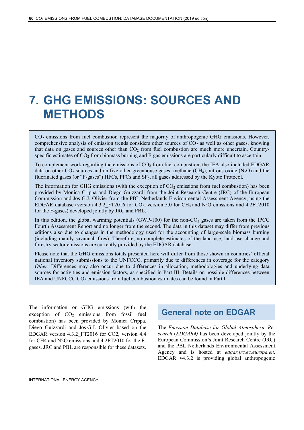# **7. GHG EMISSIONS: SOURCES AND METHODS**

CO2 emissions from fuel combustion represent the majority of anthropogenic GHG emissions. However, comprehensive analysis of emission trends considers other sources of  $CO<sub>2</sub>$  as well as other gases, knowing that data on gases and sources other than  $CO<sub>2</sub>$  from fuel combustion are much more uncertain. Countryspecific estimates of  $CO<sub>2</sub>$  from biomass burning and F-gas emissions are particularly difficult to ascertain.

To complement work regarding the emissions of  $CO<sub>2</sub>$  from fuel combustion, the IEA also included EDGAR data on other  $CO_2$  sources and on five other greenhouse gases; methane (CH<sub>4</sub>), nitrous oxide (N<sub>2</sub>O) and the fluorinated gases (or "F-gases") HFCs, PFCs and  $SF<sub>6</sub>$ , all gases addressed by the Kyoto Protocol.

The information for GHG emissions (with the exception of  $CO<sub>2</sub>$  emissions from fuel combustion) has been provided by Monica Crippa and Diego Guizzardi from the Joint Research Centre (JRC) of the European Commission and Jos G.J. Olivier from the PBL Netherlands Environmental Assessment Agency, using the EDGAR database (version 4.3.2 FT2016 for CO<sub>2</sub>, version 5.0 for CH<sub>4</sub> and N<sub>2</sub>O emissions and 4.2FT2010 for the F-gases) developed jointly by JRC and PBL.

In this edition, the global warming potentials (GWP-100) for the non- $CO<sub>2</sub>$  gases are taken from the IPCC Fourth Assessment Report and no longer from the second. The data in this dataset may differ from previous editions also due to changes in the methodology used for the accounting of large-scale biomass burning (including mainly savannah fires). Therefore, no complete estimates of the land use, land use change and forestry sector emissions are currently provided by the EDGAR database.

Please note that the GHG emissions totals presented here will differ from those shown in countries' official national inventory submissions to the UNFCCC, primarily due to differences in coverage for the category *Other*. Differences may also occur due to differences in allocation, methodologies and underlying data sources for activities and emission factors, as specified in Part III. Details on possible differences between IEA and UNFCCC  $CO_2$  emissions from fuel combustion estimates can be found in Part I.

The information or GHG emissions (with the exception of  $CO<sub>2</sub>$  emissions from fossil fuel combustion) has been provided by Monica Crippa, Diego Guizzardi and Jos G.J. Olivier based on the EDGAR version 4.3.2\_FT2016 for CO2, version 4.4 for CH4 and N2O emissions and 4.2FT2010 for the Fgases. JRC and PBL are responsible for these datasets.

### **General note on EDGAR**

The *Emission Database for Global Atmospheric Research* (*EDGAR4)* has been developed jointly by the European Commission's Joint Research Centre (JRC) and the PBL Netherlands Environmental Assessment Agency and is hosted at *edgar.jrc.ec.europa.eu*. EDGAR v4.3.2 is providing global anthropogenic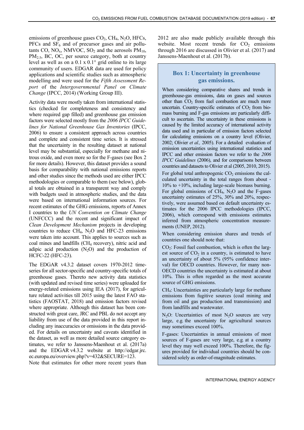emissions of greenhouse gases  $CO<sub>2</sub>$ ,  $CH<sub>4</sub>$ , N<sub>2</sub>O, HFCs, PFCs and  $SF_6$  and of precursor gases and air pollutants CO,  $NO_x$ , NMVOC,  $SO_2$  and the aerosols  $PM_{10}$ , PM<sub>2.5</sub>, BC, OC, per source category, both at country level as well as on a  $0.1 \times 0.1^{\circ}$  grid online to its large community of users. EDGAR data are used for policy applications and scientific studies such as atmospheric modelling and were used for the *Fifth Assessment Report* of the *Intergovernmental Panel on Climate Change* (IPCC, 2014) (Working Group III).

Activity data were mostly taken from international statistics (checked for completeness and consistency and where required gap filled) and greenhouse gas emission factors were selected mostly from the *2006 IPCC Guidelines for National Greenhouse Gas Inventories* (IPCC, 2006) to ensure a consistent approach across countries and complete and consistent time series. It is stressed that the uncertainty in the resulting dataset at national level may be substantial, especially for methane and nitrous oxide, and even more so for the F-gases (see Box 2 for more details). However, this dataset provides a sound basis for comparability with national emissions reports and other studies since the methods used are either IPCC methodologies or comparable to them (see below), global totals are obtained in a transparent way and comply with budgets used in atmospheric studies, and the data were based on international information sources. For recent estimates of the GHG emissions, reports of Annex I countries to the *UN Convention on Climate Change* (UNFCCC) and the recent and significant impact of *Clean Development Mechanism* projects in developing countries to reduce  $CH_4$ , N<sub>2</sub>O and HFC-23 emissions were taken into account. This applies to sources such as coal mines and landfills (CH4 recovery), nitric acid and adipic acid production  $(N_2O)$  and the production of HCFC-22 (HFC-23).

The EDGAR v4.3.2 dataset covers 1970-2012 timeseries for all sector-specific and country-specific totals of greenhouse gases. Thereto new activity data statistics (with updated and revised time series) were uploaded for energy-related emissions using IEA (2017), for agriculture related activities till 2015 using the latest FAO statistics (FAOSTAT, 2018) and emission factors revised where appropriate. Although this dataset has been constructed with great care, JRC and PBL do not accept any liability from use of the data provided in this report including any inaccuracies or omissions in the data provided. For details on uncertainty and caveats identified in the dataset, as well as more detailed source category estimates, we refer to Janssens-Maenhout et al. (2017a) and the EDGAR v4.3.2 website at http://edgar.jrc. ec.europa.eu/overview.php?v=432&SECURE=123.

Note that estimates for other more recent years than

2012 are also made publicly available through this website. Most recent trends for  $CO<sub>2</sub>$  emissions through 2016 are discussed in Olivier et al. (2017) and Janssens-Maenhout et al. (2017b).

#### **Box 1: Uncertainty in greenhouse gas emissions.**

When considering comparative shares and trends in greenhouse-gas emissions, data on gases and sources other than  $CO<sub>2</sub>$  from fuel combustion are much more uncertain. Country-specific estimates of  $CO<sub>2</sub>$  from biomass burning and F-gas emissions are particularly difficult to ascertain. The uncertainty in these emissions is caused by the limited accuracy of international activity data used and in particular of emission factors selected for calculating emissions on a country level (Olivier, 2002; Olivier *et al.,* 2005). For a detailed evaluation of emission uncertainties using international statistics and IPCC and other emission factors we refer to the *2006 IPCC Guidelines* (2006), and for comparisons between countries and datasets to Olivier et al (2005, 2010, 2015). For global total anthropogenic  $CO<sub>2</sub>$  emissions the calculated uncertainty in the total ranges from about ‐ 10% to +10%, including large-scale biomass burning. For global emissions of  $CH_4$ , N<sub>2</sub>O and the F-gases uncertainty estimates of 25%, 30% and 20%, respectively, were assumed based on default uncertainty estimates for the 2006 IPCC methodologies (IPCC, 2006), which correspond with emissions estimates inferred from atmospheric concentration measurements (UNEP, 2012).

When considering emission shares and trends of countries one should note that:

 $CO<sub>2</sub>$ : Fossil fuel combustion, which is often the largest source of  $CO<sub>2</sub>$  in a country, is estimated to have an uncertainty of about 5% (95% confidence interval) for OECD countries. However, for many non-OECD countries the uncertainty is estimated at about 10%. This is often regarded as the most accurate source of GHG emissions.

CH4: Uncertainties are particularly large for methane emissions from fugitive sources (coal mining and from oil and gas production and transmission) and from landfills and wastewater.

 $N_2O$ : Uncertainties of most  $N_2O$  sources are very large, e.g*.* the uncertainty for agricultural sources may sometimes exceed 100%.

F-gases: Uncertainties in annual emissions of most sources of F-gases are very large, e.g*.* at a country level they may well exceed 100%. Therefore, the figures provided for individual countries should be considered solely as order-of-magnitude estimates.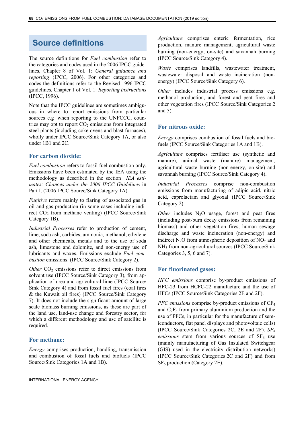### **Source definitions**

The source definitions for *Fuel combustion* refer to the categories and codes used in the 2006 IPCC guidelines, Chapter 8 of Vol. 1: *General guidance and reporting* (IPCC, 2006). For other categories and codes the definitions refer to the Revised 1996 IPCC guidelines, Chapter 1 of Vol. 1: *Reporting instructions* (IPCC, 1996).

Note that the IPCC guidelines are sometimes ambiguous in where to report emissions from particular sources e.g when reporting to the UNFCCC, countries may opt to report  $CO<sub>2</sub>$  emissions from integrated steel plants (including coke ovens and blast furnaces), wholly under IPCC Source/Sink Category 1A, or also under 1B1 and 2C.

#### **For carbon dioxide:**

*Fuel combustion* refers to fossil fuel combustion only. Emissions have been estimated by the IEA using the methodology as described in the section *IEA estimates: Changes under the 2006 IPCC Guidelines* in Part I. (2006 IPCC Source/Sink Category 1A)

*Fugitive* refers mainly to flaring of associated gas in oil and gas production (in some cases including indirect  $CO<sub>2</sub>$  from methane venting) (IPCC Source/Sink Category 1B).

*Industrial Processes* refer to production of cement, lime, soda ash, carbides, ammonia, methanol, ethylene and other chemicals, metals and to the use of soda ash, limestone and dolomite, and non-energy use of lubricants and waxes. Emissions exclude *Fuel combustion* emissions. (IPCC Source/Sink Category 2).

*Other*  $CO<sub>2</sub>$  emissions refer to direct emissions from solvent use (IPCC Source/Sink Category 3), from application of urea and agricultural lime (IPCC Source/ Sink Category 4) and from fossil fuel fires (coal fires & the Kuwait oil fires) (IPCC Source/Sink Category 7). It does not include the significant amount of large scale biomass burning emissions, as these are part of the land use, land-use change and forestry sector, for which a different methodology and use of satellite is required.

#### **For methane:**

*Energy* comprises production, handling, transmission and combustion of fossil fuels and biofuels (IPCC Source/Sink Categories 1A and 1B).

*Agriculture* comprises enteric fermentation, rice production, manure management, agricultural waste burning (non-energy, on-site) and savannah burning (IPCC Source/Sink Category 4).

*Waste* comprises landfills, wastewater treatment, wastewater disposal and waste incineration (nonenergy) (IPCC Source/Sink Category 6).

*Other* includes industrial process emissions e.g. methanol production, and forest and peat fires and other vegetation fires (IPCC Source/Sink Categories 2 and 5).

#### **For nitrous oxide:**

*Energy* comprises combustion of fossil fuels and biofuels (IPCC Source/Sink Categories 1A and 1B).

*Agriculture* comprises fertiliser use (synthetic and manure), animal waste (manure) management, agricultural waste burning (non-energy, on-site) and savannah burning (IPCC Source/Sink Category 4).

*Industrial Processes* comprise non-combustion emissions from manufacturing of adipic acid, nitric acid, caprolactam and glyoxal (IPCC Source/Sink Category 2).

*Other* includes  $N_2O$  usage, forest and peat fires (including post-burn decay emissions from remaining biomass) and other vegetation fires, human sewage discharge and waste incineration (non-energy) and indirect  $N_2O$  from atmospheric deposition of  $NO_x$  and NH3 from non-agricultural sources (IPCC Source/Sink Categories 3, 5, 6 and 7).

#### **For fluorinated gases:**

*HFC emissions* comprise by-product emissions of HFC-23 from HCFC-22 manufacture and the use of HFCs (IPCC Source/Sink Categories 2E and 2F).

*PFC emissions* comprise by-product emissions of CF4 and  $C_2F_6$  from primary aluminium production and the use of PFCs, in particular for the manufacture of semiconductors, flat panel displays and photovoltaic cells) (IPCC Source/Sink Categories 2C, 2E and 2F). *SF6 emissions* stem from various sources of  $SF<sub>6</sub>$  use (mainly manufacturing of Gas Insulated Switchgear (GIS) used in the electricity distribution networks) (IPCC Source/Sink Categories 2C and 2F) and from  $SF<sub>6</sub>$  production (Category 2E).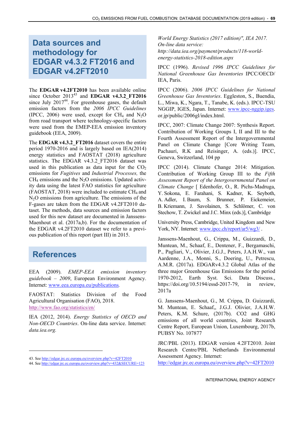### **Data sources and methodology for EDGAR v4.3.2 FT2016 and EDGAR v4.2FT2010**

The **EDGAR v4.2FT2010** has been available online since October 2013<sup>43</sup> and **EDGAR v4.3.2 FT2016** since July  $2017^{44}$ . For greenhouse gases, the default emission factors from the *2006 IPCC Guidelines*  (IPCC, 2006) were used, except for  $CH_4$  and  $N_2O$ from road transport where technology-specific factors were used from the EMEP-EEA emission inventory guidebook (EEA, 2009).

The **EDGAR v4.3.2** FT2016 dataset covers the entire period 1970-2016 and is largely based on IEA(2014) energy statistics and FAOSTAT (2018) agriculture statistics. The EDGAR v4.3.2\_FT2016 dataset was used in this publication as data input for the  $CO<sub>2</sub>$ emissions for *Fugitives* and *Industrial Processes,* the  $CH<sub>4</sub>$  emissions and the N<sub>2</sub>O emissions. Updated activity data using the latest FAO statistics for agriculture  $(FAOSTAT, 2018)$  were included to estimate  $CH<sub>4</sub>$  and N2O emissions from agriculture. The emissions of the F-gases are taken from the EDGAR v4.2FT2010 dataset. The methods, data sources and emission factors used for this new dataset are documented in Janssens-Maenhout et al. (2017a,b). For the documentation of the EDGAR v4.2FT2010 dataset we refer to a previous publication of this report (part III) in 2015.

### **References**

 $\overline{a}$ 

EEA (2009). *EMEP-EEA emission inventory guidebook – 2009*, European Environment Agency. Internet: www.eea.europa.eu/publications*.* 

FAOSTAT: Statistics Division of the Food Agricultural Organisation (FAO), 2018. http://www.fao.org/statistics/en/

IEA (2012, 2014). *Energy Statistics of OECD and Non-OECD Countries*. On-line data service. Internet: *data.iea.org.* 

*World Energy Statistics (2017 edition)", IEA 2017. On-line data service: http://data.iea.org/payment/products/118-worldenergy-statistics-2018-edition.aspx* 

IPCC (1996). *Revised 1996 IPCC Guidelines for National Greenhouse Gas Inventories* IPCC/OECD/ IEA, Paris.

IPCC (2006). *2006 IPCC Guidelines for National Greenhouse Gas Inventories*. Eggleston, S., Buendia, L., Miwa, K., Ngara, T., Tanabe, K. (eds.). IPCC-TSU NGGIP, IGES, Japan. Internet: www.ipcc-nggip.iges. or.jp/public/2006gl/index.html.

IPCC, 2007: Climate Change 2007: Synthesis Report. Contribution of Working Groups I, II and III to the Fourth Assessment Report of the Intergovernmental Panel on Climate Change [Core Writing Team, Pachauri, R.K and Reisinger, A. (eds.)]. IPCC, Geneva, Switzerland, 104 pp

IPCC (2014). Climate Change 2014: Mitigation. Contribution of Working Group III to the *Fifth Assessment Report of the Intergovernmental Panel on Climate Change* [ Edenhofer, O., R. Pichs-Madruga, Y. Sokona, E. Farahani, S. Kadner, K. Seyboth, A. Adler, I. Baum, S. Brunner, P. Eickemeier, B. Kriemann, J. Savolainen, S. Schlömer, C. von Stechow, T. Zwickel and J.C. Minx (eds.)], Cambridge

University Press, Cambridge, United Kingdom and New York, NY. Internet: www.ipcc.ch/report/ar5/wg3/.

Janssens-Maenhout, G., Crippa, M., Guizzardi, D., Muntean, M., Schaaf, E., Dentener, F., Bergamaschi, P., Pagliari, V., Olivier, J.G.J., Peters, J.A.H.W., van Aardenne, J.A., Monni, S., Doering, U., Petrescu, A.M.R. (2017a). EDGARv4.3.2 Global Atlas of the three major Greenhouse Gas Emissions for the period 1970-2012, Earth Syst. Sci. Data Discuss., https://doi.org/10.5194/essd-2017-79, in review, 2017a

G. Janssens-Maenhout, G., M. Crippa, D. Guizzardi, M. Muntean, E. Schaaf,, J.G.J. Olivier, J.A.H.W. Peters, K.M. Schure, (2017b). CO2 and GHG emissions of all world countries, Joint Research Centre Report, European Union, Luxembourg, 2017b, PUBSY No. 107877

JRC/PBL (2013). EDGAR version 4.2FT2010. Joint Research Centre/PBL Netherlands Environmental Assessment Agency. Internet:

http://edgar.jrc.ec.europa.eu/overview.php?v=42FT2010

<sup>43.</sup> See http://edgar.jrc.ec.europa.eu/overview.php?v=42FT2010

<sup>44.</sup> See http://edgar.jrc.ec.europa.eu/overview.php?v=432&SECURE=123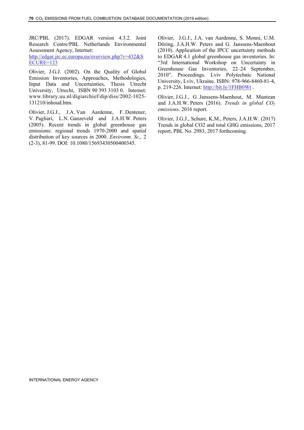JRC/PBL (2017). EDGAR version 4.3.2. Joint Research Centre/PBL Netherlands Environmental Assessment Agency, Internet: http://edgar.jrc.ec.europa.eu/overview.php?v=432&S ECURE=123

Olivier, J.G.J. (2002). On the Quality of Global Emission Inventories, Approaches, Methodologies, Input Data and Uncertainties, Thesis Utrecht University, Utrecht, ISBN 90 393 3103 0. Internet: www.library.uu.nl/digiarchief/dip/diss/2002-1025- 131210/inhoud.htm.

Olivier, J.G.J., J.A. Van Aardenne, F. Dentener, V. Pagliari, L.N. Ganzeveld and J.A.H.W. Peters (2005). Recent trends in global greenhouse gas emissions: regional trends 1970-2000 and spatial distribution of key sources in 2000. *Environm. Sc.,* 2 (2-3), 81-99. DOI: 10.1080/15693430500400345.

Olivier, J.G.J., J.A. van Aardenne, S. Monni, U.M. Döring, J.A.H.W. Peters and G. Janssens-Maenhout (2010). Application of the IPCC uncertainty methods to EDGAR 4.1 global greenhouse gas inventories. In: "3rd International Workshop on Uncertainty in Greenhouse Gas Inventories, 22–24 September, 2010". Proceedings. Lviv Polytechnic National University, Lviv, Ukraine. ISBN: 978-966-8460-81-4, p. 219-226. Internet: http://bit.ly/1FHB0Wt .

Olivier, J.G.J., G. Janssens-Maenhout, M. Muntean and J.A.H.W. Peters (2016). *Trends in global CO2 emissions*. 2016 report.

Olivier, J.G.J., Schure, K.M., Peters, J.A.H.W. (2017) Trends in global CO2 and total GHG emissions, 2017 report, PBL No. 2983, 2017 forthcoming.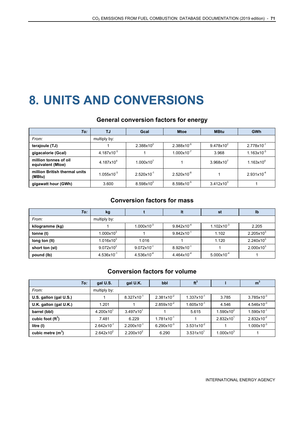# **8. UNITS AND CONVERSIONS**

#### **General conversion factors for energy**

| To:                                        | TJ                   | Gcal                   | <b>Mtoe</b>            | <b>MBtu</b>         | <b>GWh</b>           |
|--------------------------------------------|----------------------|------------------------|------------------------|---------------------|----------------------|
| From:                                      | multiply by:         |                        |                        |                     |                      |
| terajoule (TJ)                             |                      | $2.388x10^2$           | 2.388x10 <sup>-5</sup> | $9.478x10^2$        | $2.778\times10^{-1}$ |
| gigacalorie (Gcal)                         | $4.187\times10^{-3}$ |                        | $1.000 \times 10^{-7}$ | 3.968               | $1.163x10^{-3}$      |
| million tonnes of oil<br>equivalent (Mtoe) | $4.187\times10^{4}$  | $1.000 \times 10^{7}$  |                        | $3.968\times10^{7}$ | $1.163x10^{4}$       |
| million British thermal units<br>(MBtu)    | $1.055x10^{-3}$      | $2.520 \times 10^{-1}$ | $2.520\times10^{-8}$   |                     | $2.931x10^{-4}$      |
| gigawatt hour (GWh)                        | 3.600                | $8.598x10^2$           | 8.598x10 <sup>-5</sup> | $3.412x10^3$        |                      |

### **Conversion factors for mass**

| To:             | kg              |                        | It                     | st              | lb             |
|-----------------|-----------------|------------------------|------------------------|-----------------|----------------|
| From:           | multiply by:    |                        |                        |                 |                |
| kilogramme (kg) |                 | $1.000x10^{-3}$        | $9.842\times10^{-4}$   | $1.102x10^{-3}$ | 2.205          |
| tonne (t)       | $1.000x10^{3}$  |                        | $9.842 \times 10^{-7}$ | 1.102           | $2.205x10^{3}$ |
| long ton (It)   | $1.016x10^{3}$  | 1.016                  |                        | 1.120           | $2.240x10^3$   |
| short ton (st)  | $9.072x10^2$    | $9.072 \times 10^{-1}$ | $8.929x10^{-1}$        |                 | $2.000x10^{3}$ |
| pound (lb)      | $4.536x10^{-1}$ | $4.536x10^{-4}$        | $4.464\times10^{-4}$   | $5.000x10^{-4}$ |                |

### **Conversion factors for volume**

|                        | To: | gal U.S.              | gal U.K.               | bbl             | ft <sup>3</sup>         |                         | m <sup>3</sup>         |
|------------------------|-----|-----------------------|------------------------|-----------------|-------------------------|-------------------------|------------------------|
| From:                  |     | multiply by:          |                        |                 |                         |                         |                        |
| U.S. gallon (gal U.S.) |     |                       | $8.327 \times 10^{-1}$ | $2.381x10^{-2}$ | $1.337x10^{-1}$         | 3.785                   | $3.785x10^{-3}$        |
| U.K. gallon (gal U.K.) |     | 1.201                 |                        | $2.859x10^{-2}$ | $1.605x10^{-1}$         | 4.546                   | $4.546x10^{-3}$        |
| barrel (bbl)           |     | $4.200 \times 10^{1}$ | 3.497x10               |                 | 5.615                   | $1.590x10^{2}$          | $1.590x10^{-1}$        |
| cubic foot $(ft^3)$    |     | 7.481                 | 6.229                  | $1.781x10^{-1}$ |                         | $2.832x10$ <sup>1</sup> | $2.832 \times 10^{-2}$ |
| litre (I)              |     | $2.642x10^{-1}$       | $2.200 \times 10^{-1}$ | $6.290x10^{-3}$ | $3.531 \times 10^{-2}$  |                         | $1.000 \times 10^{-3}$ |
| cubic metre $(m^3)$    |     | $2.642x10^{2}$        | $2.200x10^2$           | 6.290           | $3.531x10$ <sup>1</sup> | $1.000x10^{3}$          |                        |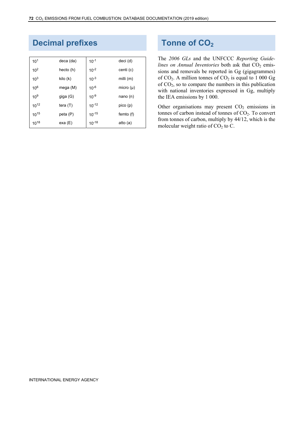| 10 <sup>1</sup> | deca (da)  | $10^{-1}$  | deci (d)      |
|-----------------|------------|------------|---------------|
| 10 <sup>2</sup> | hecto (h)  | $10^{-2}$  | centi (c)     |
| $10^{3}$        | kilo (k)   | $10^{-3}$  | milli $(m)$   |
| $10^{6}$        | mega (M)   | $10^{-6}$  | micro $(\mu)$ |
| 10 <sup>9</sup> | giga (G)   | $10^{-9}$  | nano(n)       |
| $10^{12}$       | tera $(T)$ | $10^{-12}$ | pico (p)      |
| $10^{15}$       | peta (P)   | $10^{-15}$ | femto (f)     |
| $10^{18}$       | exa(E)     | $10^{-18}$ | atto $(a)$    |

**Decimal prefixes** 

### **Tonne of CO<sub>2</sub>**

The *2006 GLs* and the UNFCCC *Reporting Guidelines on Annual Inventories* both ask that  $CO<sub>2</sub>$  emissions and removals be reported in Gg (gigagrammes) of  $CO<sub>2</sub>$ . A million tonnes of  $CO<sub>2</sub>$  is equal to 1 000 Gg of CO2, so to compare the numbers in this publication with national inventories expressed in Gg, multiply the IEA emissions by 1 000.

Other organisations may present  $CO<sub>2</sub>$  emissions in tonnes of carbon instead of tonnes of  $CO<sub>2</sub>$ . To convert from tonnes of carbon, multiply by 44/12, which is the molecular weight ratio of  $CO<sub>2</sub>$  to C.